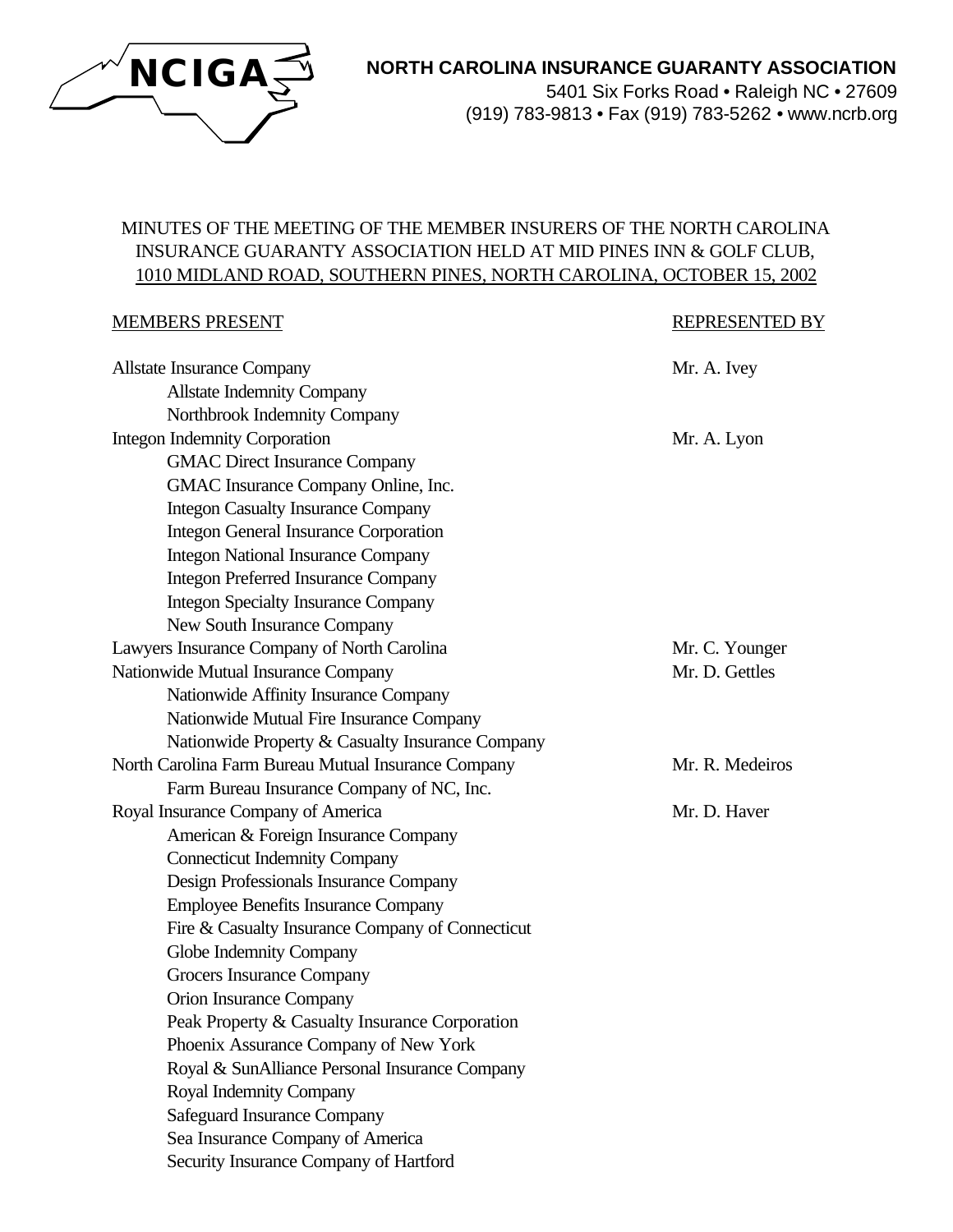

# **NORTH CAROLINA INSURANCE GUARANTY ASSOCIATION**

5401 Six Forks Road • Raleigh NC • 27609 (919) 783-9813 • Fax (919) 783-5262 • www.ncrb.org

# MINUTES OF THE MEETING OF THE MEMBER INSURERS OF THE NORTH CAROLINA INSURANCE GUARANTY ASSOCIATION HELD AT MID PINES INN & GOLF CLUB, 1010 MIDLAND ROAD, SOUTHERN PINES, NORTH CAROLINA, OCTOBER 15, 2002

#### MEMBERS PRESENT REPRESENTED BY

| <b>Allstate Insurance Company</b>                   | Mr. A. Ivey     |
|-----------------------------------------------------|-----------------|
| <b>Allstate Indemnity Company</b>                   |                 |
| Northbrook Indemnity Company                        |                 |
| <b>Integon Indemnity Corporation</b>                | Mr. A. Lyon     |
| <b>GMAC Direct Insurance Company</b>                |                 |
| GMAC Insurance Company Online, Inc.                 |                 |
| <b>Integon Casualty Insurance Company</b>           |                 |
| <b>Integon General Insurance Corporation</b>        |                 |
| <b>Integon National Insurance Company</b>           |                 |
| <b>Integon Preferred Insurance Company</b>          |                 |
| <b>Integon Specialty Insurance Company</b>          |                 |
| New South Insurance Company                         |                 |
| Lawyers Insurance Company of North Carolina         | Mr. C. Younger  |
| Nationwide Mutual Insurance Company                 | Mr. D. Gettles  |
| Nationwide Affinity Insurance Company               |                 |
| Nationwide Mutual Fire Insurance Company            |                 |
| Nationwide Property & Casualty Insurance Company    |                 |
| North Carolina Farm Bureau Mutual Insurance Company | Mr. R. Medeiros |
| Farm Bureau Insurance Company of NC, Inc.           |                 |
| Royal Insurance Company of America                  | Mr. D. Haver    |
| American & Foreign Insurance Company                |                 |
| <b>Connecticut Indemnity Company</b>                |                 |
| Design Professionals Insurance Company              |                 |
| <b>Employee Benefits Insurance Company</b>          |                 |
| Fire & Casualty Insurance Company of Connecticut    |                 |
| Globe Indemnity Company                             |                 |
| Grocers Insurance Company                           |                 |
| Orion Insurance Company                             |                 |
| Peak Property & Casualty Insurance Corporation      |                 |
| Phoenix Assurance Company of New York               |                 |
| Royal & SunAlliance Personal Insurance Company      |                 |
| Royal Indemnity Company                             |                 |
| <b>Safeguard Insurance Company</b>                  |                 |
| Sea Insurance Company of America                    |                 |
| Security Insurance Company of Hartford              |                 |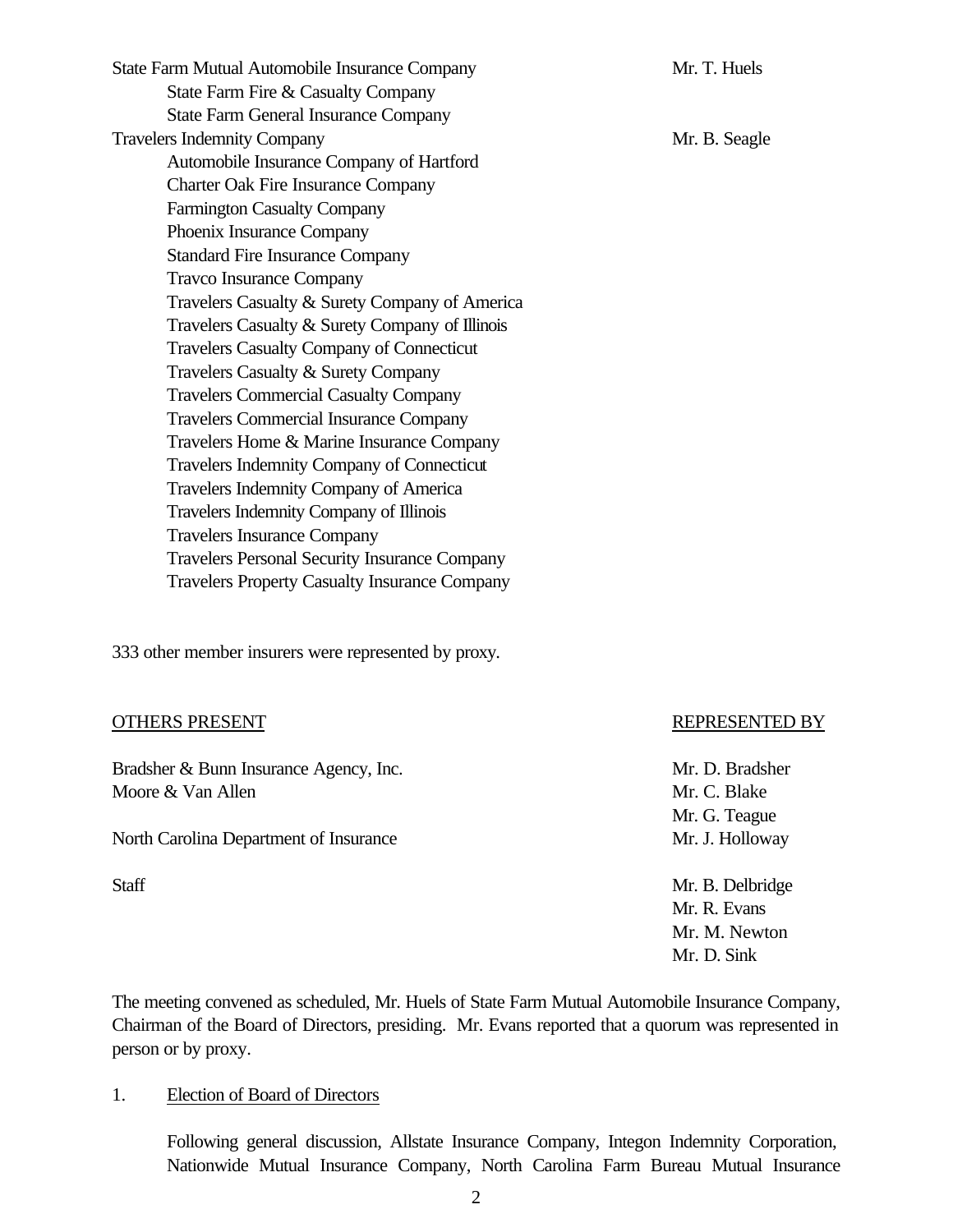State Farm Mutual Automobile Insurance Company Mr. T. Huels State Farm Fire & Casualty Company State Farm General Insurance Company Travelers Indemnity Company Mr. B. Seagle Automobile Insurance Company of Hartford Charter Oak Fire Insurance Company Farmington Casualty Company Phoenix Insurance Company Standard Fire Insurance Company Travco Insurance Company Travelers Casualty & Surety Company of America Travelers Casualty & Surety Company of Illinois Travelers Casualty Company of Connecticut Travelers Casualty & Surety Company Travelers Commercial Casualty Company Travelers Commercial Insurance Company Travelers Home & Marine Insurance Company Travelers Indemnity Company of Connecticut Travelers Indemnity Company of America Travelers Indemnity Company of Illinois Travelers Insurance Company Travelers Personal Security Insurance Company Travelers Property Casualty Insurance Company

333 other member insurers were represented by proxy.

#### OTHERS PRESENT REPRESENTED BY

Bradsher & Bunn Insurance Agency, Inc. Mr. D. Bradsher Moore & Van Allen Mr. C. Blake

North Carolina Department of Insurance Mr. J. Holloway

Mr. G. Teague

Staff Mr. B. Delbridge Mr. R. Evans Mr. M. Newton Mr. D. Sink

The meeting convened as scheduled, Mr. Huels of State Farm Mutual Automobile Insurance Company, Chairman of the Board of Directors, presiding. Mr. Evans reported that a quorum was represented in person or by proxy.

#### 1. Election of Board of Directors

Following general discussion, Allstate Insurance Company, Integon Indemnity Corporation, Nationwide Mutual Insurance Company, North Carolina Farm Bureau Mutual Insurance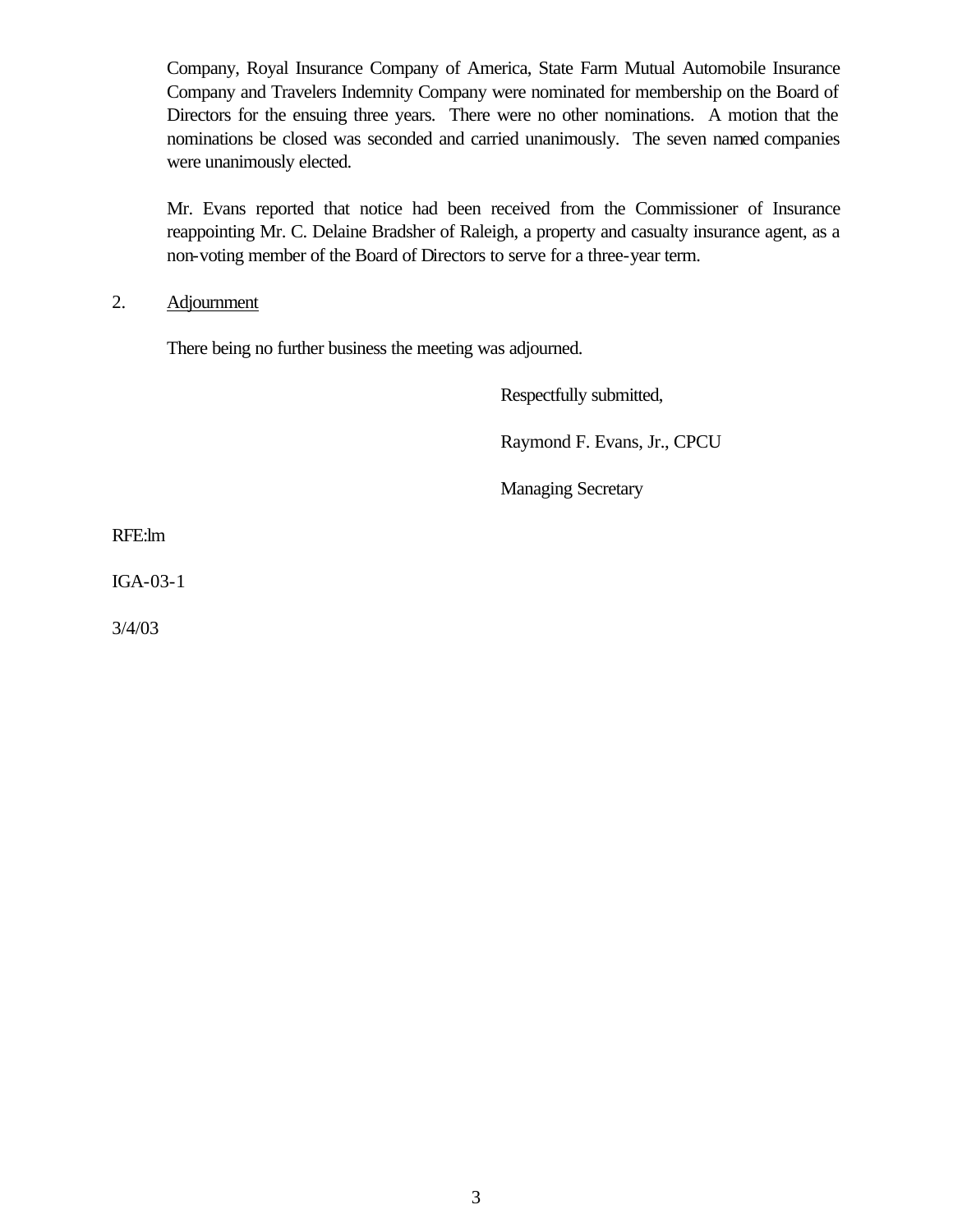Company, Royal Insurance Company of America, State Farm Mutual Automobile Insurance Company and Travelers Indemnity Company were nominated for membership on the Board of Directors for the ensuing three years. There were no other nominations. A motion that the nominations be closed was seconded and carried unanimously. The seven named companies were unanimously elected.

Mr. Evans reported that notice had been received from the Commissioner of Insurance reappointing Mr. C. Delaine Bradsher of Raleigh, a property and casualty insurance agent, as a non-voting member of the Board of Directors to serve for a three-year term.

2. Adjournment

There being no further business the meeting was adjourned.

Respectfully submitted,

Raymond F. Evans, Jr., CPCU

Managing Secretary

RFE:lm

IGA-03-1

3/4/03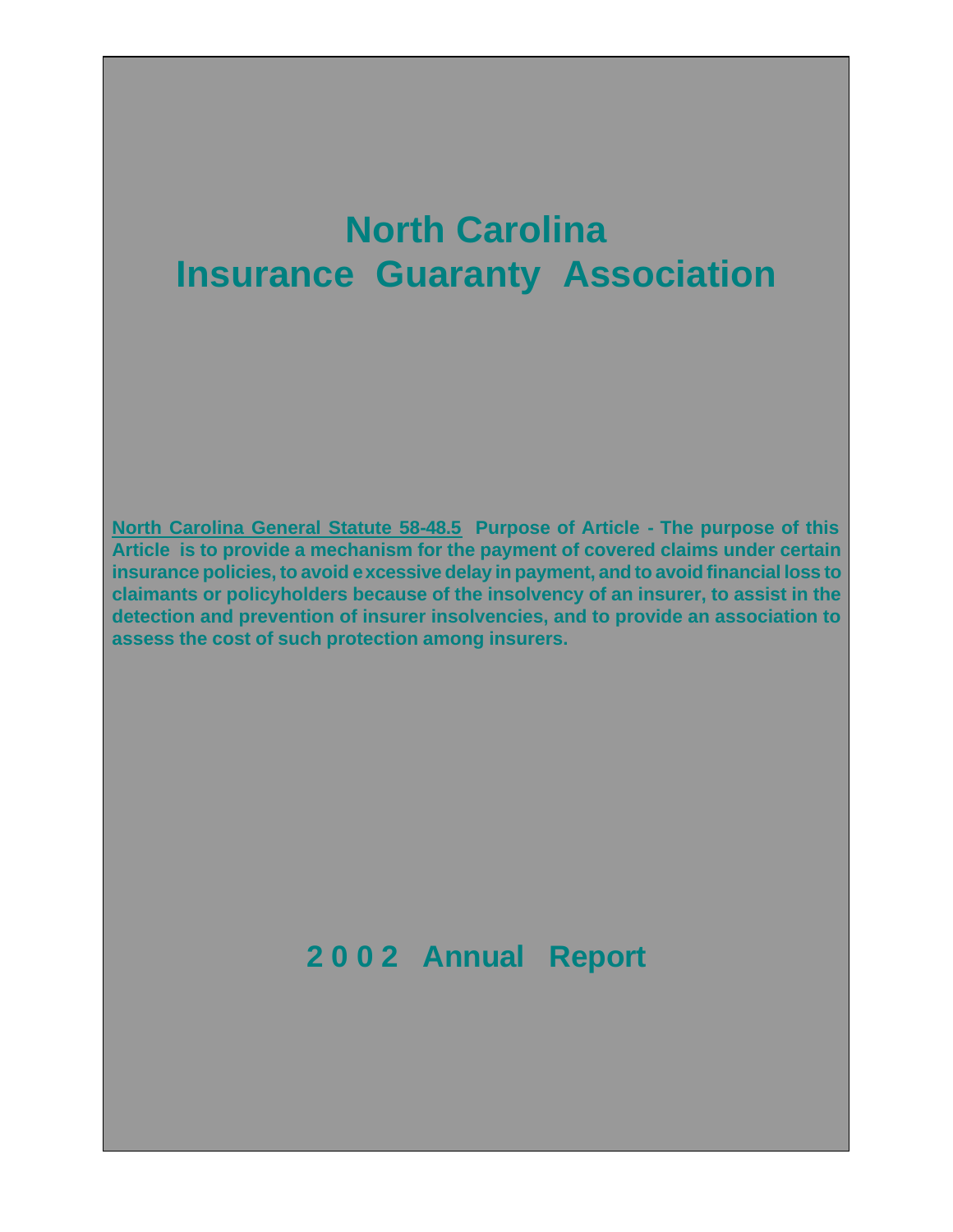# **North Carolina Insurance Guaranty Association**

**North Carolina General Statute 58-48.5 Purpose of Article - The purpose of this Article is to provide a mechanism for the payment of covered claims under certain insurance policies, to avoid excessive delay in payment, and to avoid financial loss to claimants or policyholders because of the insolvency of an insurer, to assist in the detection and prevention of insurer insolvencies, and to provide an association to assess the cost of such protection among insurers.**

# **2 0 0 2 Annual Report**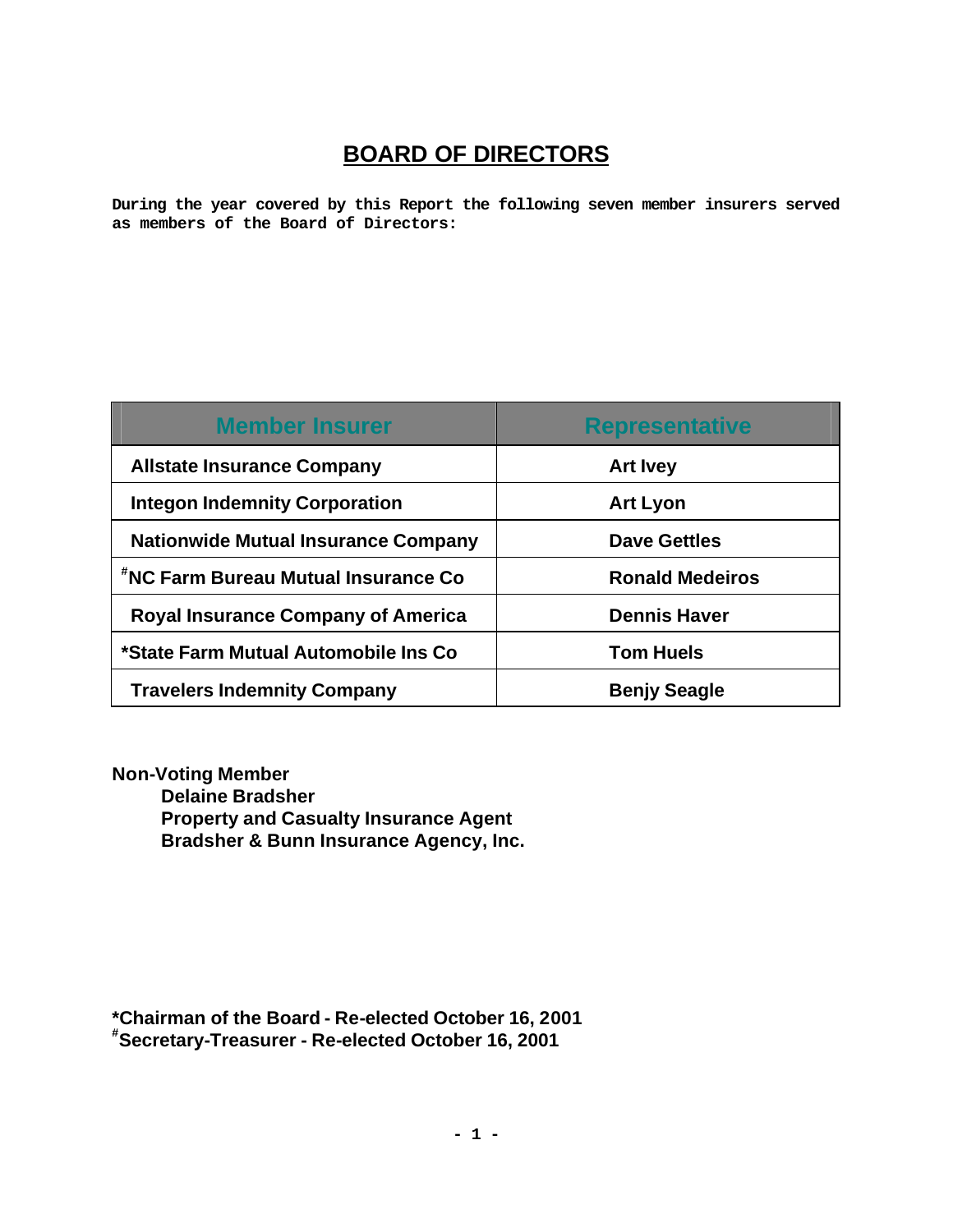# **BOARD OF DIRECTORS**

**During the year covered by this Report the following seven member insurers served as members of the Board of Directors:**

| <b>Member Insurer</b>                      | <b>Representative</b>  |
|--------------------------------------------|------------------------|
| <b>Allstate Insurance Company</b>          | <b>Art Ivey</b>        |
| <b>Integon Indemnity Corporation</b>       | <b>Art Lyon</b>        |
| <b>Nationwide Mutual Insurance Company</b> | <b>Dave Gettles</b>    |
| "NC Farm Bureau Mutual Insurance Co        | <b>Ronald Medeiros</b> |
| <b>Royal Insurance Company of America</b>  | <b>Dennis Haver</b>    |
| *State Farm Mutual Automobile Ins Co       | <b>Tom Huels</b>       |
| <b>Travelers Indemnity Company</b>         | <b>Benjy Seagle</b>    |

**Non-Voting Member Delaine Bradsher Property and Casualty Insurance Agent Bradsher & Bunn Insurance Agency, Inc.**

**\*Chairman of the Board - Re-elected October 16, 2001 #Secretary-Treasurer - Re-elected October 16, 2001**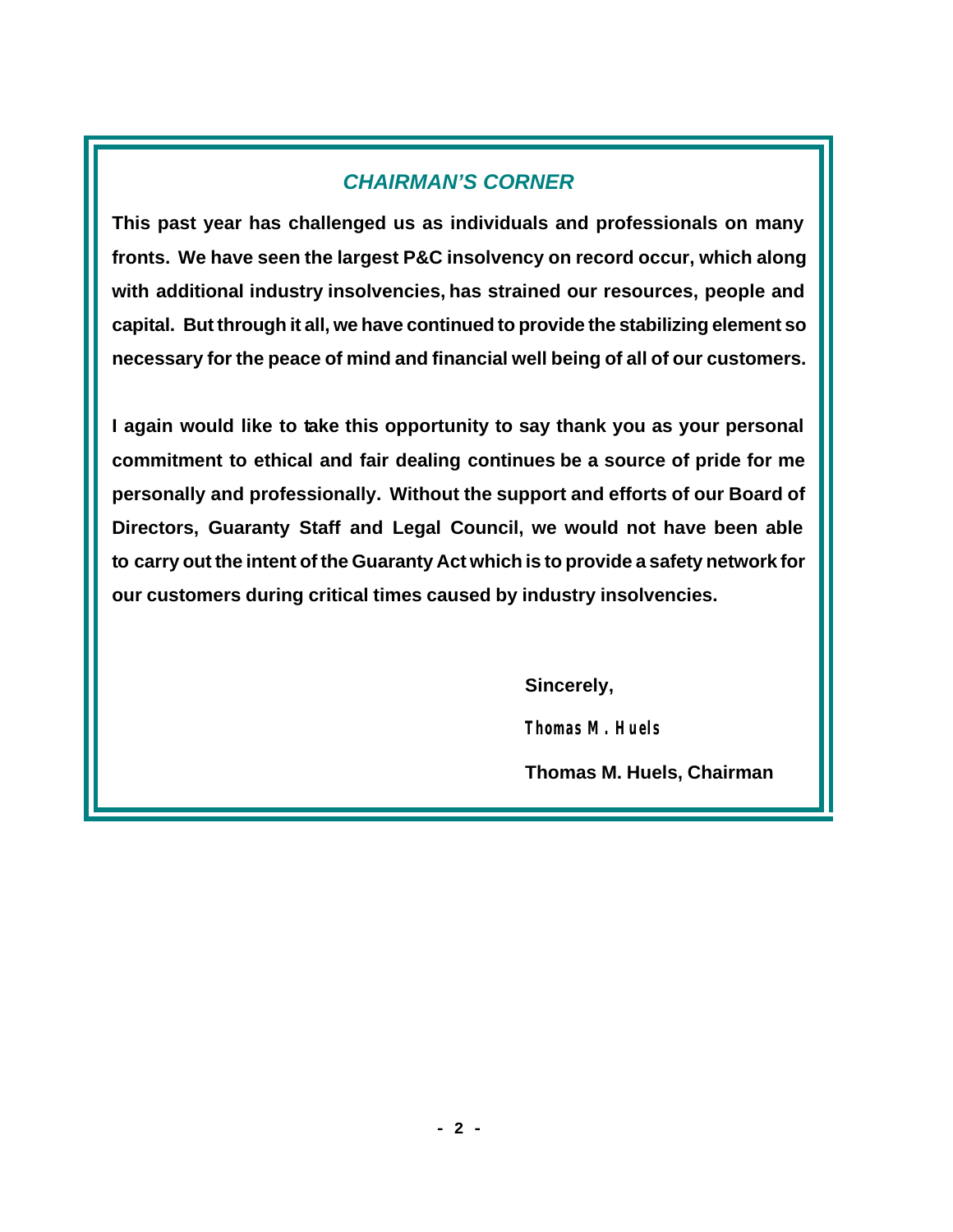# *CHAIRMAN'S CORNER*

**This past year has challenged us as individuals and professionals on many fronts. We have seen the largest P&C insolvency on record occur, which along with additional industry insolvencies, has strained our resources, people and capital. But through it all, we have continued to provide the stabilizing element so necessary for the peace of mind and financial well being of all of our customers.**

**I again would like to take this opportunity to say thank you as your personal commitment to ethical and fair dealing continues be a source of pride for me personally and professionally. Without the support and efforts of our Board of Directors, Guaranty Staff and Legal Council, we would not have been able to carry out the intent of the Guaranty Act which is to provide a safety network for our customers during critical times caused by industry insolvencies.**

 **Sincerely,**

*Thomas M. Huels*

 **Thomas M. Huels, Chairman**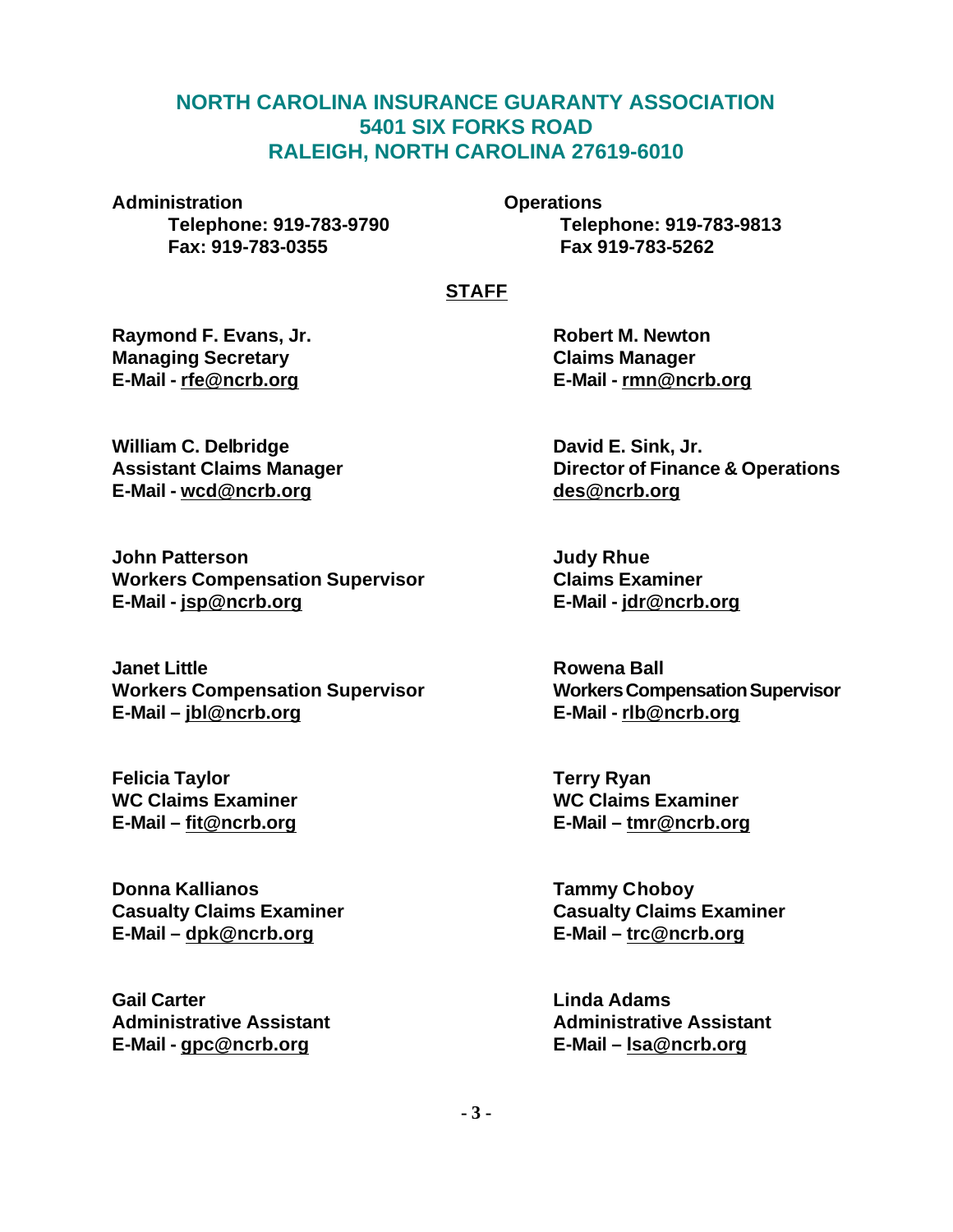# **NORTH CAROLINA INSURANCE GUARANTY ASSOCIATION 5401 SIX FORKS ROAD RALEIGH, NORTH CAROLINA 27619-6010**

**Administration Operations Fax: 919-783-0355 Fax 919-783-5262**

**Telephone: 919-783-9790 Telephone: 919-783-9813**

# **STAFF**

**Raymond F. Evans, Jr. Robert M. Newton Managing Secretary Claims Manager E-Mail - rfe@ncrb.org E-Mail - rmn@ncrb.org**

William C. Delbridge **David E. Sink, Jr. David E. Sink, Jr. E-Mail - wcd@ncrb.org des@ncrb.org**

**John Patterson Judy Rhue Workers Compensation Supervisor Claims Examiner E-Mail - jsp@ncrb.org E-Mail - jdr@ncrb.org**

**Janet Little Rowena Ball Workers Compensation Supervisor Workers Compensation Supervisor E-Mail – jbl@ncrb.org E-Mail - rlb@ncrb.org**

**Felicia Taylor Terry Ryan WC Claims Examiner WC Claims Examiner**

**Donna Kallianos Tammy Choboy E-Mail – dpk@ncrb.org E-Mail – trc@ncrb.org**

**Gail Carter Linda Adams E-Mail - gpc@ncrb.org E-Mail – lsa@ncrb.org**

**Assistant Claims Manager Director of Finance & Operations**

**E-Mail – fit@ncrb.org E-Mail – tmr@ncrb.org**

**Casualty Claims Examiner Casualty Claims Examiner**

**Administrative Assistant Administrative Assistant**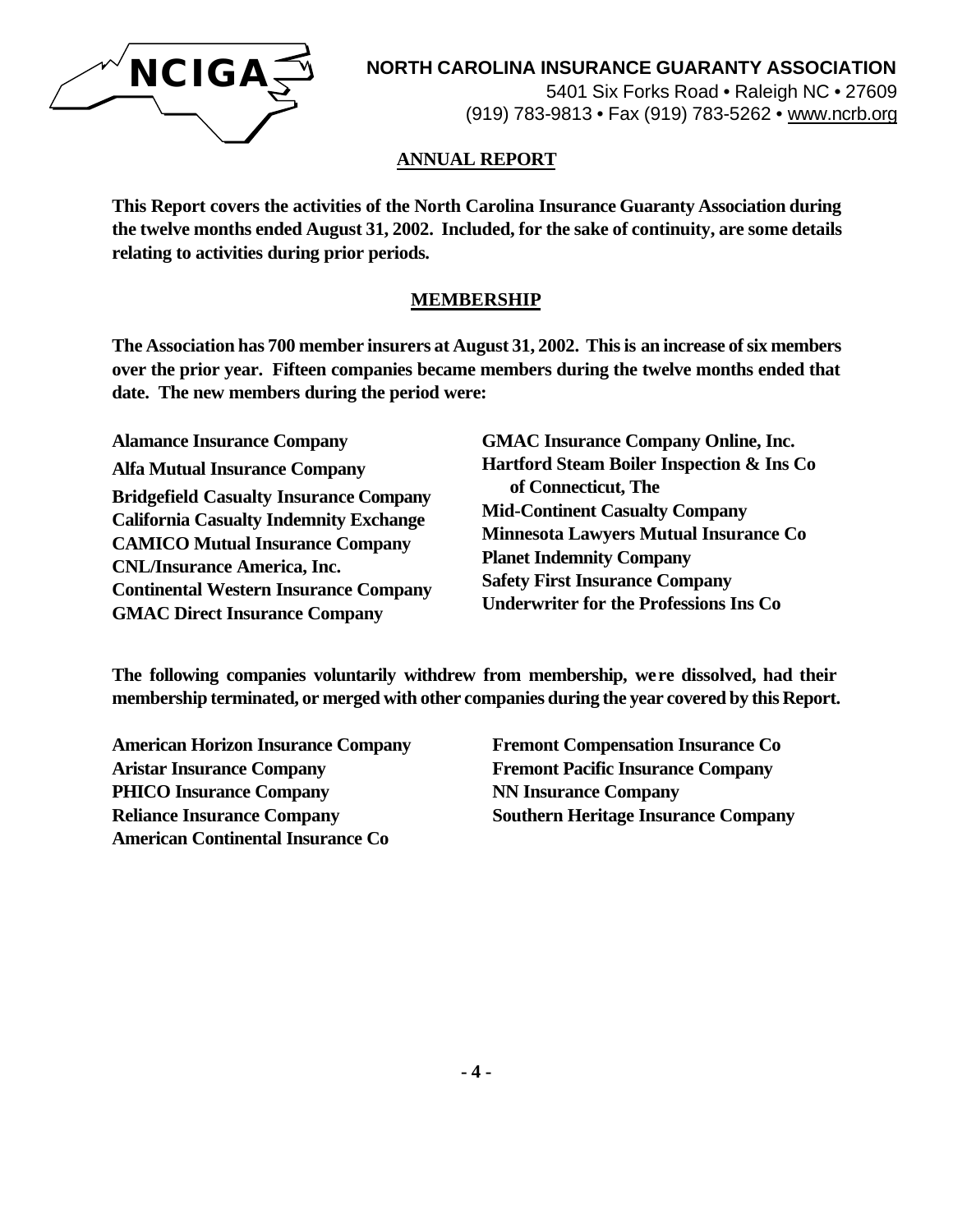

# **NORTH CAROLINA INSURANCE GUARANTY ASSOCIATION**

5401 Six Forks Road • Raleigh NC • 27609 (919) 783-9813 • Fax (919) 783-5262 • www.ncrb.org

#### **ANNUAL REPORT**

**This Report covers the activities of the North Carolina Insurance Guaranty Association during the twelve months ended August 31, 2002. Included, for the sake of continuity, are some details relating to activities during prior periods.**

#### **MEMBERSHIP**

**The Association has 700 member insurers at August 31, 2002. This is an increase of six members over the prior year. Fifteen companies became members during the twelve months ended that date. The new members during the period were:**

**Alamance Insurance Company Alfa Mutual Insurance Company Bridgefield Casualty Insurance Company California Casualty Indemnity Exchange CAMICO Mutual Insurance Company CNL/Insurance America, Inc. Continental Western Insurance Company GMAC Direct Insurance Company**

**GMAC Insurance Company Online, Inc. Hartford Steam Boiler Inspection & Ins Co of Connecticut, The Mid-Continent Casualty Company Minnesota Lawyers Mutual Insurance Co Planet Indemnity Company Safety First Insurance Company Underwriter for the Professions Ins Co**

**The following companies voluntarily withdrew from membership, were dissolved, had their membership terminated, or merged with other companies during the year covered by this Report.**

**American Horizon Insurance Company Fremont Compensation Insurance Co Aristar Insurance Company Fremont Pacific Insurance Company PHICO Insurance Company NN Insurance Company American Continental Insurance Co**

**Reliance Insurance Company Southern Heritage Insurance Company**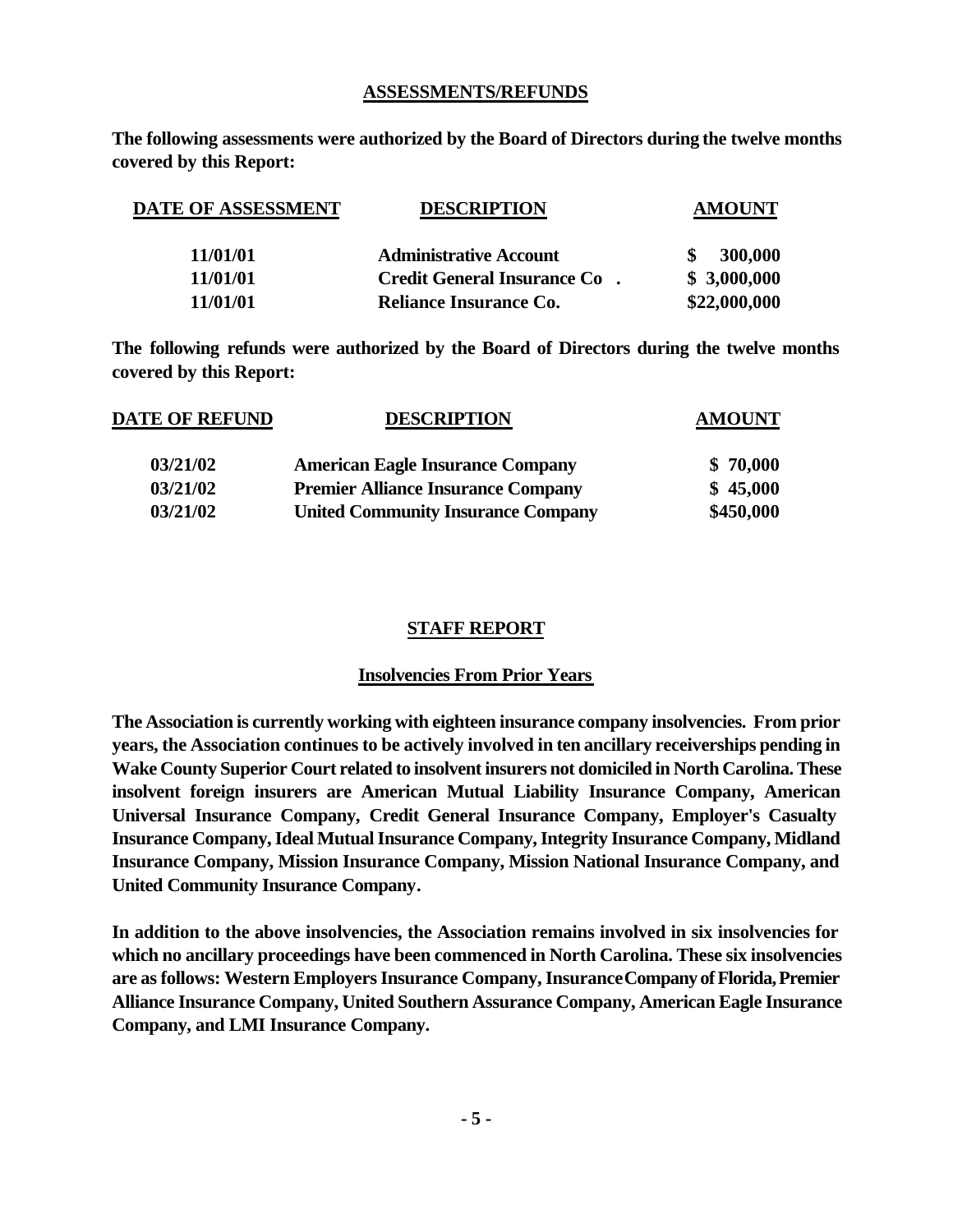#### **ASSESSMENTS/REFUNDS**

**The following assessments were authorized by the Board of Directors during the twelve months covered by this Report:**

| DATE OF ASSESSMENT | <b>DESCRIPTION</b>                 | <b>AMOUNT</b> |
|--------------------|------------------------------------|---------------|
| 11/01/01           | <b>Administrative Account</b>      | 300,000       |
| 11/01/01           | <b>Credit General Insurance Co</b> | \$3,000,000   |
| 11/01/01           | Reliance Insurance Co.             | \$22,000,000  |

**The following refunds were authorized by the Board of Directors during the twelve months covered by this Report:**

| <b>DATE OF REFUND</b> | <b>DESCRIPTION</b>                        | <b>AMOUNT</b> |  |
|-----------------------|-------------------------------------------|---------------|--|
| 03/21/02              | <b>American Eagle Insurance Company</b>   | \$70,000      |  |
| 03/21/02              | <b>Premier Alliance Insurance Company</b> | \$45,000      |  |
| 03/21/02              | <b>United Community Insurance Company</b> | \$450,000     |  |

# **STAFF REPORT**

#### **Insolvencies From Prior Years**

**The Association is currently working with eighteen insurance company insolvencies. From prior years, the Association continues to be actively involved in ten ancillary receiverships pending in Wake County Superior Court related to insolvent insurers not domiciled in North Carolina. These insolvent foreign insurers are American Mutual Liability Insurance Company, American Universal Insurance Company, Credit General Insurance Company, Employer's Casualty Insurance Company, Ideal Mutual Insurance Company, Integrity Insurance Company, Midland Insurance Company, Mission Insurance Company, Mission National Insurance Company, and United Community Insurance Company.** 

**In addition to the above insolvencies, the Association remains involved in six insolvencies for which no ancillary proceedings have been commenced in North Carolina. These six insolvencies are as follows: Western Employers Insurance Company, Insurance Company of Florida, Premier Alliance Insurance Company, United Southern Assurance Company, American Eagle Insurance Company, and LMI Insurance Company.**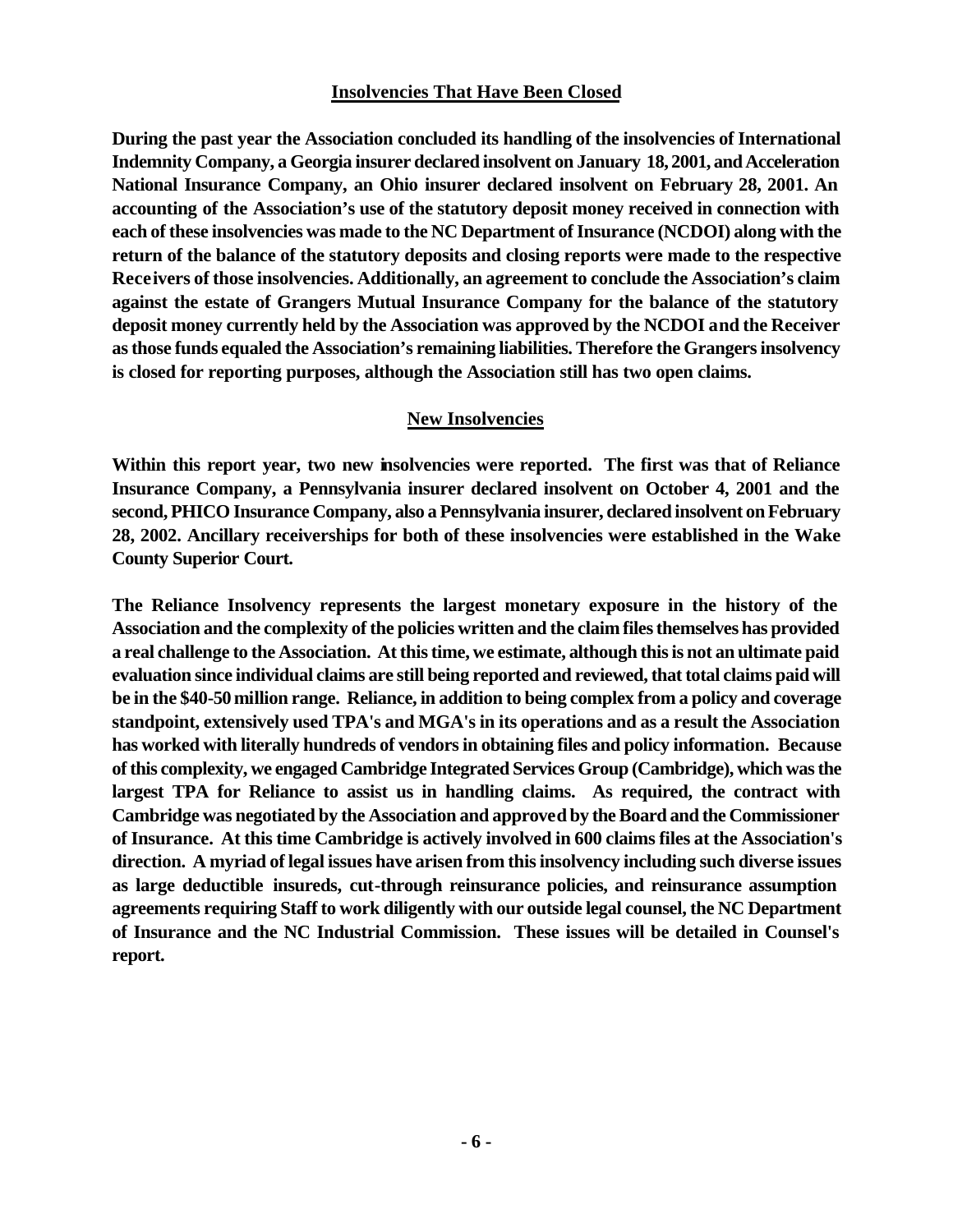#### **Insolvencies That Have Been Closed**

**During the past year the Association concluded its handling of the insolvencies of International Indemnity Company, a Georgia insurer declared insolvent on January 18, 2001, and Acceleration National Insurance Company, an Ohio insurer declared insolvent on February 28, 2001. An accounting of the Association's use of the statutory deposit money received in connection with each of these insolvencies was made to the NC Department of Insurance (NCDOI) along with the return of the balance of the statutory deposits and closing reports were made to the respective Receivers of those insolvencies. Additionally, an agreement to conclude the Association's claim against the estate of Grangers Mutual Insurance Company for the balance of the statutory deposit money currently held by the Association was approved by the NCDOI and the Receiver as those funds equaled the Association's remaining liabilities. Therefore the Grangers insolvency is closed for reporting purposes, although the Association still has two open claims.** 

#### **New Insolvencies**

**Within this report year, two new insolvencies were reported. The first was that of Reliance Insurance Company, a Pennsylvania insurer declared insolvent on October 4, 2001 and the second, PHICO Insurance Company, also a Pennsylvania insurer, declared insolvent on February 28, 2002. Ancillary receiverships for both of these insolvencies were established in the Wake County Superior Court.**

**The Reliance Insolvency represents the largest monetary exposure in the history of the Association and the complexity of the policies written and the claim files themselves has provided a real challenge to the Association. At this time, we estimate, although this is not an ultimate paid evaluation since individual claims are still being reported and reviewed, that total claims paid will be in the \$40-50 million range. Reliance, in addition to being complex from a policy and coverage standpoint, extensively used TPA's and MGA's in its operations and as a result the Association has worked with literally hundreds of vendors in obtaining files and policy information. Because of this complexity, we engaged Cambridge Integrated Services Group (Cambridge), which was the largest TPA for Reliance to assist us in handling claims. As required, the contract with Cambridge was negotiated by the Association and approved by the Board and the Commissioner of Insurance. At this time Cambridge is actively involved in 600 claims files at the Association's direction. A myriad of legal issues have arisen from this insolvency including such diverse issues as large deductible insureds, cut-through reinsurance policies, and reinsurance assumption agreements requiring Staff to work diligently with our outside legal counsel, the NC Department of Insurance and the NC Industrial Commission. These issues will be detailed in Counsel's report.**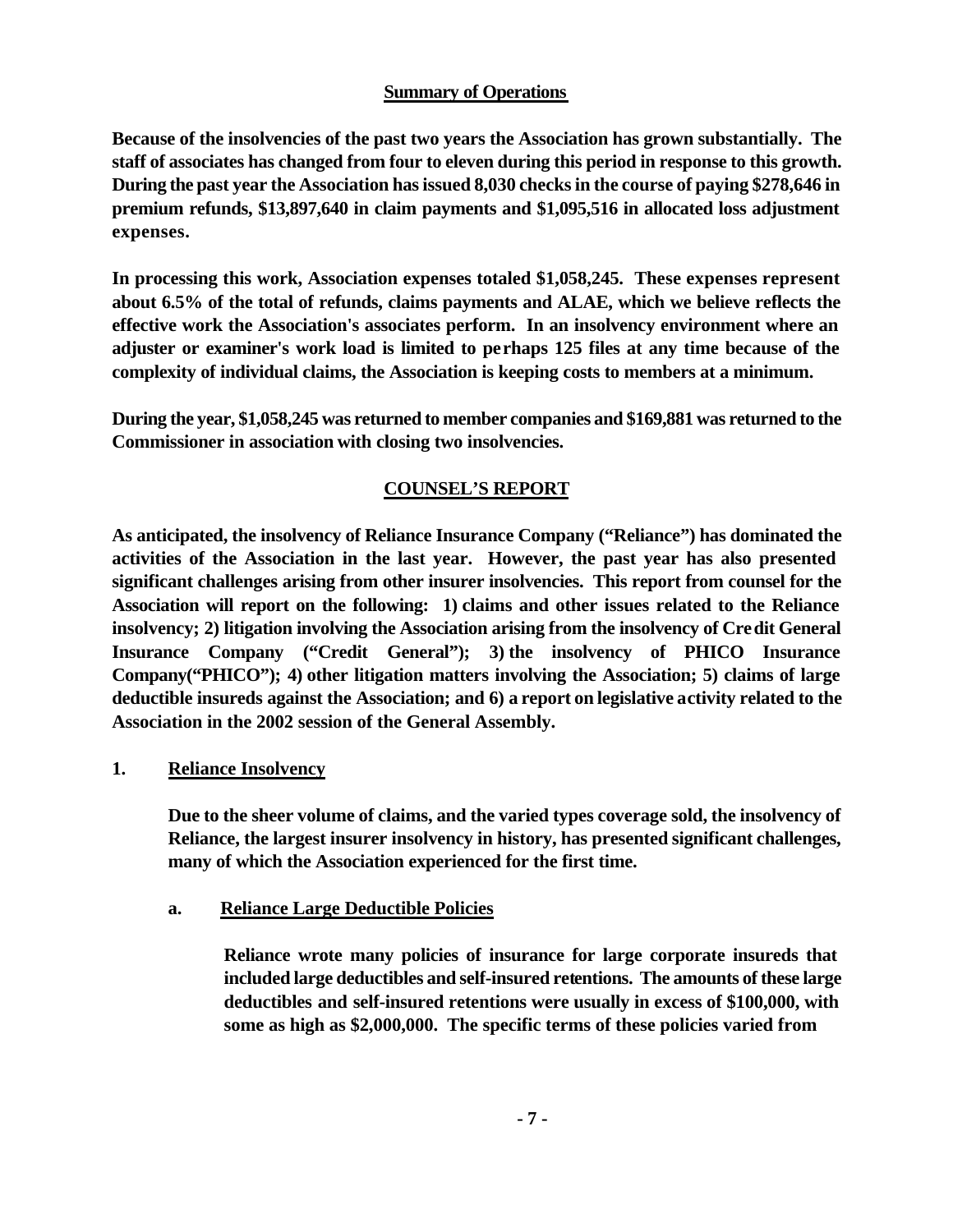# **Summary of Operations**

**Because of the insolvencies of the past two years the Association has grown substantially. The staff of associates has changed from four to eleven during this period in response to this growth. During the past year the Association has issued 8,030 checks in the course of paying \$278,646 in premium refunds, \$13,897,640 in claim payments and \$1,095,516 in allocated loss adjustment expenses.**

**In processing this work, Association expenses totaled \$1,058,245. These expenses represent about 6.5% of the total of refunds, claims payments and ALAE, which we believe reflects the effective work the Association's associates perform. In an insolvency environment where an adjuster or examiner's work load is limited to perhaps 125 files at any time because of the complexity of individual claims, the Association is keeping costs to members at a minimum.**

**During the year, \$1,058,245 was returned to member companies and \$169,881 was returned to the Commissioner in association with closing two insolvencies.**

# **COUNSEL'S REPORT**

**As anticipated, the insolvency of Reliance Insurance Company ("Reliance") has dominated the activities of the Association in the last year. However, the past year has also presented significant challenges arising from other insurer insolvencies. This report from counsel for the Association will report on the following: 1) claims and other issues related to the Reliance insolvency; 2) litigation involving the Association arising from the insolvency of Credit General Insurance Company ("Credit General"); 3) the insolvency of PHICO Insurance Company("PHICO"); 4) other litigation matters involving the Association; 5) claims of large deductible insureds against the Association; and 6) a report on legislative activity related to the Association in the 2002 session of the General Assembly.**

# **1. Reliance Insolvency**

**Due to the sheer volume of claims, and the varied types coverage sold, the insolvency of Reliance, the largest insurer insolvency in history, has presented significant challenges, many of which the Association experienced for the first time.**

#### **a. Reliance Large Deductible Policies**

**Reliance wrote many policies of insurance for large corporate insureds that included large deductibles and self-insured retentions. The amounts of these large deductibles and self-insured retentions were usually in excess of \$100,000, with some as high as \$2,000,000. The specific terms of these policies varied from**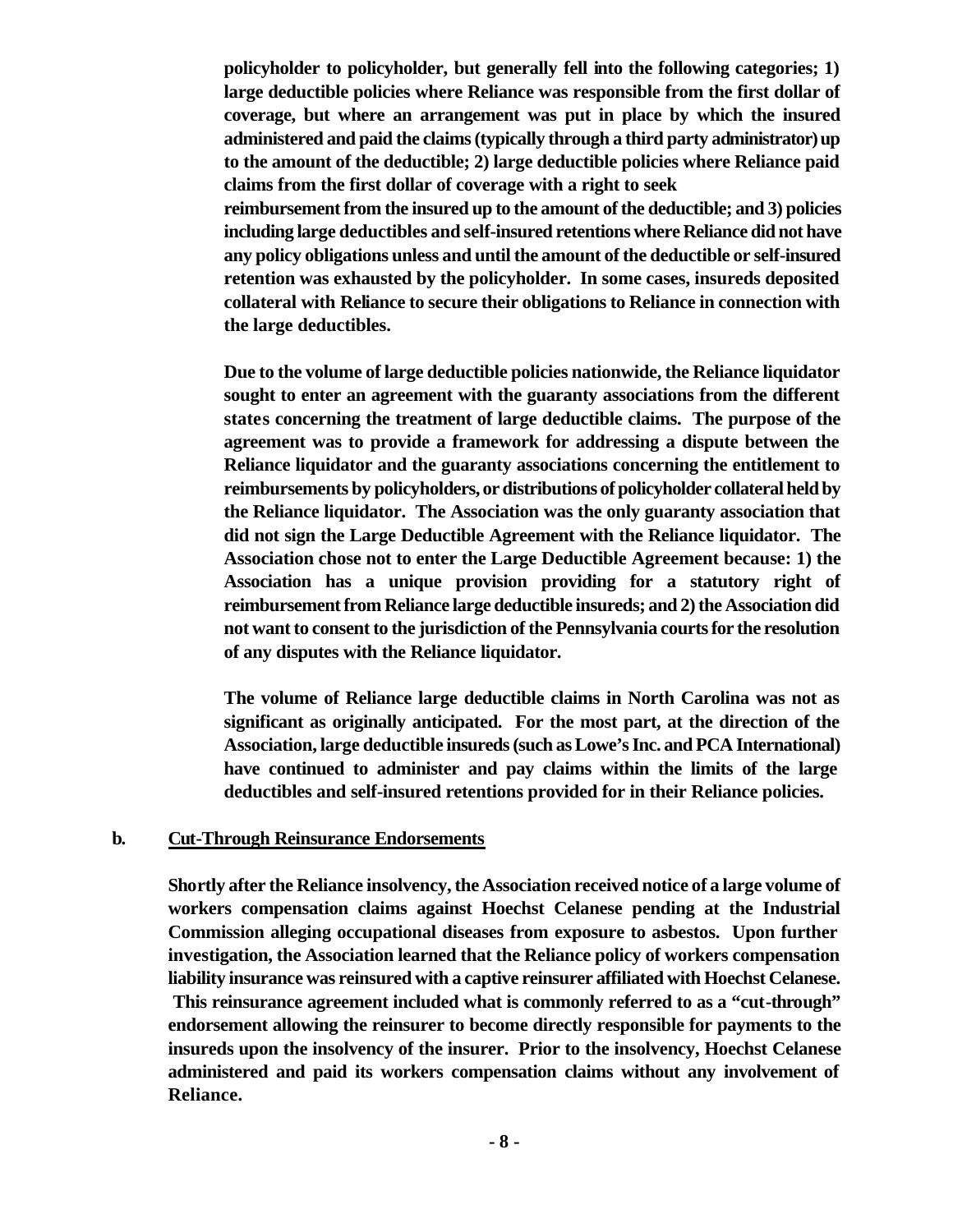**policyholder to policyholder, but generally fell into the following categories; 1) large deductible policies where Reliance was responsible from the first dollar of coverage, but where an arrangement was put in place by which the insured administered and paid the claims (typically through a third party administrator) up to the amount of the deductible; 2) large deductible policies where Reliance paid claims from the first dollar of coverage with a right to seek** 

**reimbursement from the insured up to the amount of the deductible; and 3) policies including large deductibles and self-insured retentions where Reliance did not have any policy obligations unless and until the amount of the deductible or self-insured retention was exhausted by the policyholder. In some cases, insureds deposited collateral with Reliance to secure their obligations to Reliance in connection with the large deductibles.**

**Due to the volume of large deductible policies nationwide, the Reliance liquidator sought to enter an agreement with the guaranty associations from the different states concerning the treatment of large deductible claims. The purpose of the agreement was to provide a framework for addressing a dispute between the Reliance liquidator and the guaranty associations concerning the entitlement to reimbursements by policyholders, or distributions of policyholder collateral held by the Reliance liquidator. The Association was the only guaranty association that did not sign the Large Deductible Agreement with the Reliance liquidator. The Association chose not to enter the Large Deductible Agreement because: 1) the Association has a unique provision providing for a statutory right of reimbursement from Reliance large deductible insureds; and 2) the Association did not want to consent to the jurisdiction of the Pennsylvania courts for the resolution of any disputes with the Reliance liquidator.**

**The volume of Reliance large deductible claims in North Carolina was not as significant as originally anticipated. For the most part, at the direction of the Association, large deductible insureds (such as Lowe's Inc. and PCA International) have continued to administer and pay claims within the limits of the large deductibles and self-insured retentions provided for in their Reliance policies.**

#### **b. Cut-Through Reinsurance Endorsements**

**Shortly after the Reliance insolvency, the Association received notice of a large volume of workers compensation claims against Hoechst Celanese pending at the Industrial Commission alleging occupational diseases from exposure to asbestos. Upon further investigation, the Association learned that the Reliance policy of workers compensation liability insurance was reinsured with a captive reinsurer affiliated with Hoechst Celanese. This reinsurance agreement included what is commonly referred to as a "cut-through" endorsement allowing the reinsurer to become directly responsible for payments to the insureds upon the insolvency of the insurer. Prior to the insolvency, Hoechst Celanese administered and paid its workers compensation claims without any involvement of Reliance.**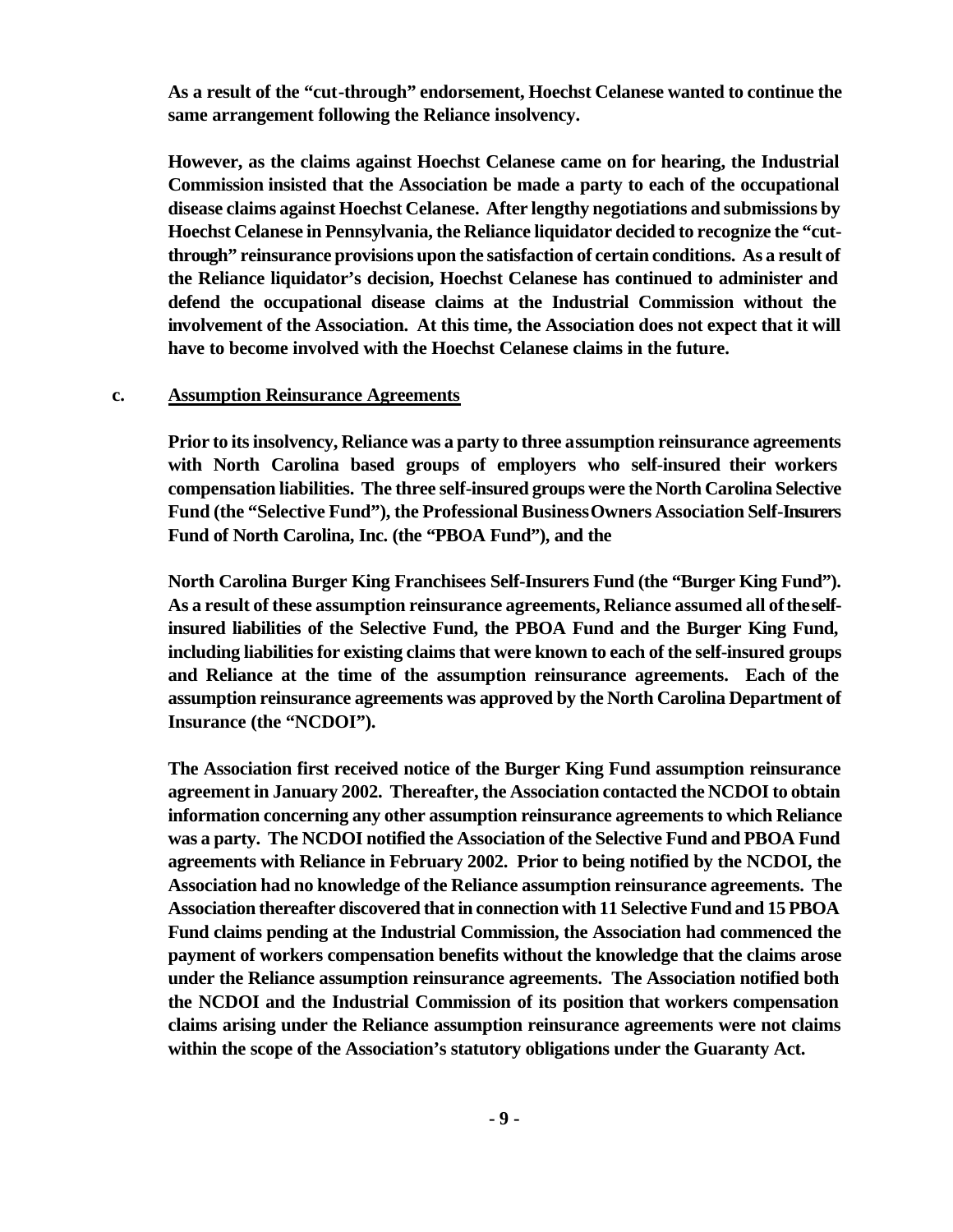**As a result of the "cut-through" endorsement, Hoechst Celanese wanted to continue the same arrangement following the Reliance insolvency.**

**However, as the claims against Hoechst Celanese came on for hearing, the Industrial Commission insisted that the Association be made a party to each of the occupational disease claims against Hoechst Celanese. After lengthy negotiations and submissions by Hoechst Celanese in Pennsylvania, the Reliance liquidator decided to recognize the "cutthrough" reinsurance provisions upon the satisfaction of certain conditions. As a result of the Reliance liquidator's decision, Hoechst Celanese has continued to administer and defend the occupational disease claims at the Industrial Commission without the involvement of the Association. At this time, the Association does not expect that it will have to become involved with the Hoechst Celanese claims in the future.**

#### **c. Assumption Reinsurance Agreements**

**Prior to its insolvency, Reliance was a party to three assumption reinsurance agreements with North Carolina based groups of employers who self-insured their workers compensation liabilities. The three self-insured groups were the North Carolina Selective Fund (the "Selective Fund"), the Professional Business Owners Association Self-Insurers Fund of North Carolina, Inc. (the "PBOA Fund"), and the** 

**North Carolina Burger King Franchisees Self-Insurers Fund (the "Burger King Fund"). As a result of these assumption reinsurance agreements, Reliance assumed all of the selfinsured liabilities of the Selective Fund, the PBOA Fund and the Burger King Fund, including liabilities for existing claims that were known to each of the self-insured groups and Reliance at the time of the assumption reinsurance agreements. Each of the assumption reinsurance agreements was approved by the North Carolina Department of Insurance (the "NCDOI").**

**The Association first received notice of the Burger King Fund assumption reinsurance agreement in January 2002. Thereafter, the Association contacted the NCDOI to obtain information concerning any other assumption reinsurance agreements to which Reliance was a party. The NCDOI notified the Association of the Selective Fund and PBOA Fund agreements with Reliance in February 2002. Prior to being notified by the NCDOI, the Association had no knowledge of the Reliance assumption reinsurance agreements. The Association thereafter discovered that in connection with 11 Selective Fund and 15 PBOA Fund claims pending at the Industrial Commission, the Association had commenced the payment of workers compensation benefits without the knowledge that the claims arose under the Reliance assumption reinsurance agreements. The Association notified both the NCDOI and the Industrial Commission of its position that workers compensation claims arising under the Reliance assumption reinsurance agreements were not claims within the scope of the Association's statutory obligations under the Guaranty Act.**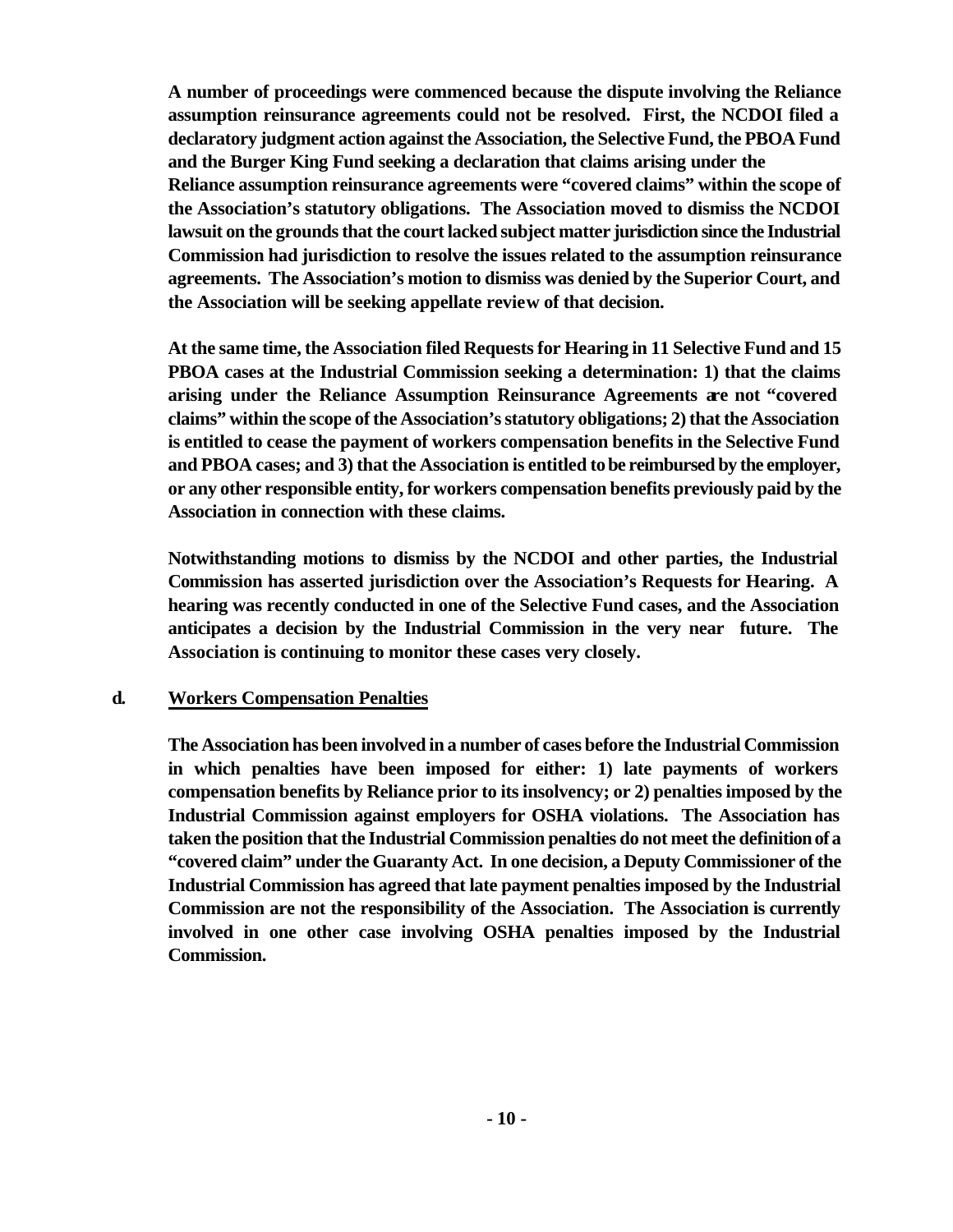**A number of proceedings were commenced because the dispute involving the Reliance assumption reinsurance agreements could not be resolved. First, the NCDOI filed a declaratory judgment action against the Association, the Selective Fund, the PBOA Fund and the Burger King Fund seeking a declaration that claims arising under the Reliance assumption reinsurance agreements were "covered claims" within the scope of the Association's statutory obligations. The Association moved to dismiss the NCDOI lawsuit on the grounds that the court lacked subject matter jurisdiction since the Industrial Commission had jurisdiction to resolve the issues related to the assumption reinsurance agreements. The Association's motion to dismiss was denied by the Superior Court, and the Association will be seeking appellate review of that decision.**

**At the same time, the Association filed Requests for Hearing in 11 Selective Fund and 15 PBOA cases at the Industrial Commission seeking a determination: 1) that the claims arising under the Reliance Assumption Reinsurance Agreements are not "covered claims" within the scope of the Association's statutory obligations; 2) that the Association is entitled to cease the payment of workers compensation benefits in the Selective Fund and PBOA cases; and 3) that the Association is entitled to be reimbursed by the employer, or any other responsible entity, for workers compensation benefits previously paid by the Association in connection with these claims.** 

**Notwithstanding motions to dismiss by the NCDOI and other parties, the Industrial Commission has asserted jurisdiction over the Association's Requests for Hearing. A hearing was recently conducted in one of the Selective Fund cases, and the Association anticipates a decision by the Industrial Commission in the very near future. The Association is continuing to monitor these cases very closely.**

#### **d. Workers Compensation Penalties**

**The Association has been involved in a number of cases before the Industrial Commission in which penalties have been imposed for either: 1) late payments of workers compensation benefits by Reliance prior to its insolvency; or 2) penalties imposed by the Industrial Commission against employers for OSHA violations. The Association has taken the position that the Industrial Commission penalties do not meet the definition of a "covered claim" under the Guaranty Act. In one decision, a Deputy Commissioner of the Industrial Commission has agreed that late payment penalties imposed by the Industrial Commission are not the responsibility of the Association. The Association is currently involved in one other case involving OSHA penalties imposed by the Industrial Commission.**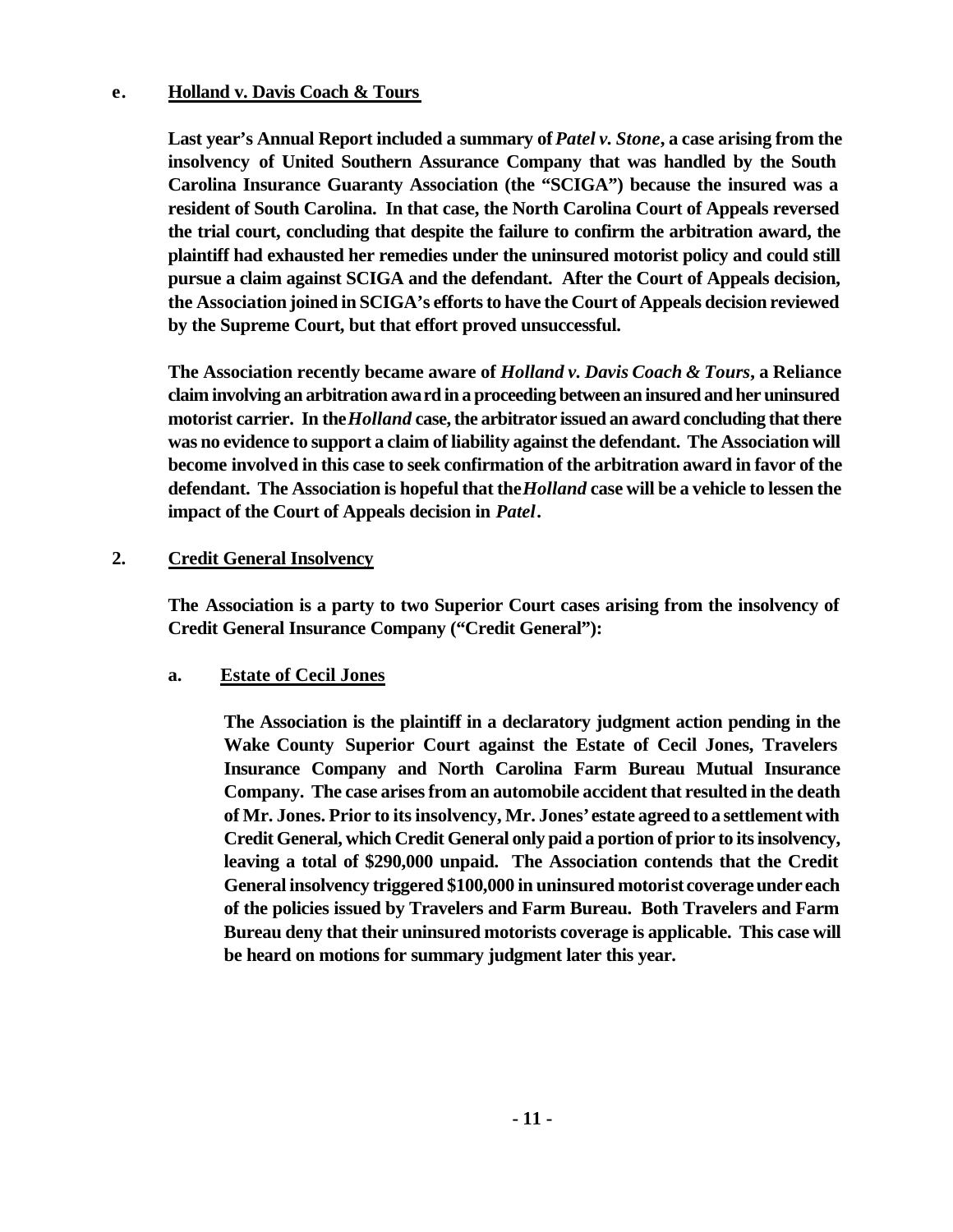#### **e. Holland v. Davis Coach & Tours**

Last year's Annual Report included a summary of *Patel v. Stone*, a case arising from the **insolvency of United Southern Assurance Company that was handled by the South Carolina Insurance Guaranty Association (the "SCIGA") because the insured was a resident of South Carolina. In that case, the North Carolina Court of Appeals reversed the trial court, concluding that despite the failure to confirm the arbitration award, the plaintiff had exhausted her remedies under the uninsured motorist policy and could still pursue a claim against SCIGA and the defendant. After the Court of Appeals decision, the Association joined in SCIGA's efforts to have the Court of Appeals decision reviewed by the Supreme Court, but that effort proved unsuccessful.** 

**The Association recently became aware of** *Holland v. Davis Coach & Tours***, a Reliance claim involving an arbitration award in a proceeding between an insured and her uninsured motorist carrier. In the** *Holland* **case, the arbitrator issued an award concluding that there was no evidence to support a claim of liability against the defendant. The Association will become involved in this case to seek confirmation of the arbitration award in favor of the defendant. The Association is hopeful that the** *Holland* **case will be a vehicle to lessen the impact of the Court of Appeals decision in** *Patel***.** 

# **2. Credit General Insolvency**

**The Association is a party to two Superior Court cases arising from the insolvency of Credit General Insurance Company ("Credit General"):**

# **a. Estate of Cecil Jones**

**The Association is the plaintiff in a declaratory judgment action pending in the Wake County Superior Court against the Estate of Cecil Jones, Travelers Insurance Company and North Carolina Farm Bureau Mutual Insurance Company. The case arises from an automobile accident that resulted in the death of Mr. Jones. Prior to its insolvency, Mr. Jones' estate agreed to a settlement with Credit General, which Credit General only paid a portion of prior to its insolvency, leaving a total of \$290,000 unpaid. The Association contends that the Credit General insolvency triggered \$100,000 in uninsured motorist coverage under each of the policies issued by Travelers and Farm Bureau. Both Travelers and Farm Bureau deny that their uninsured motorists coverage is applicable. This case will be heard on motions for summary judgment later this year.**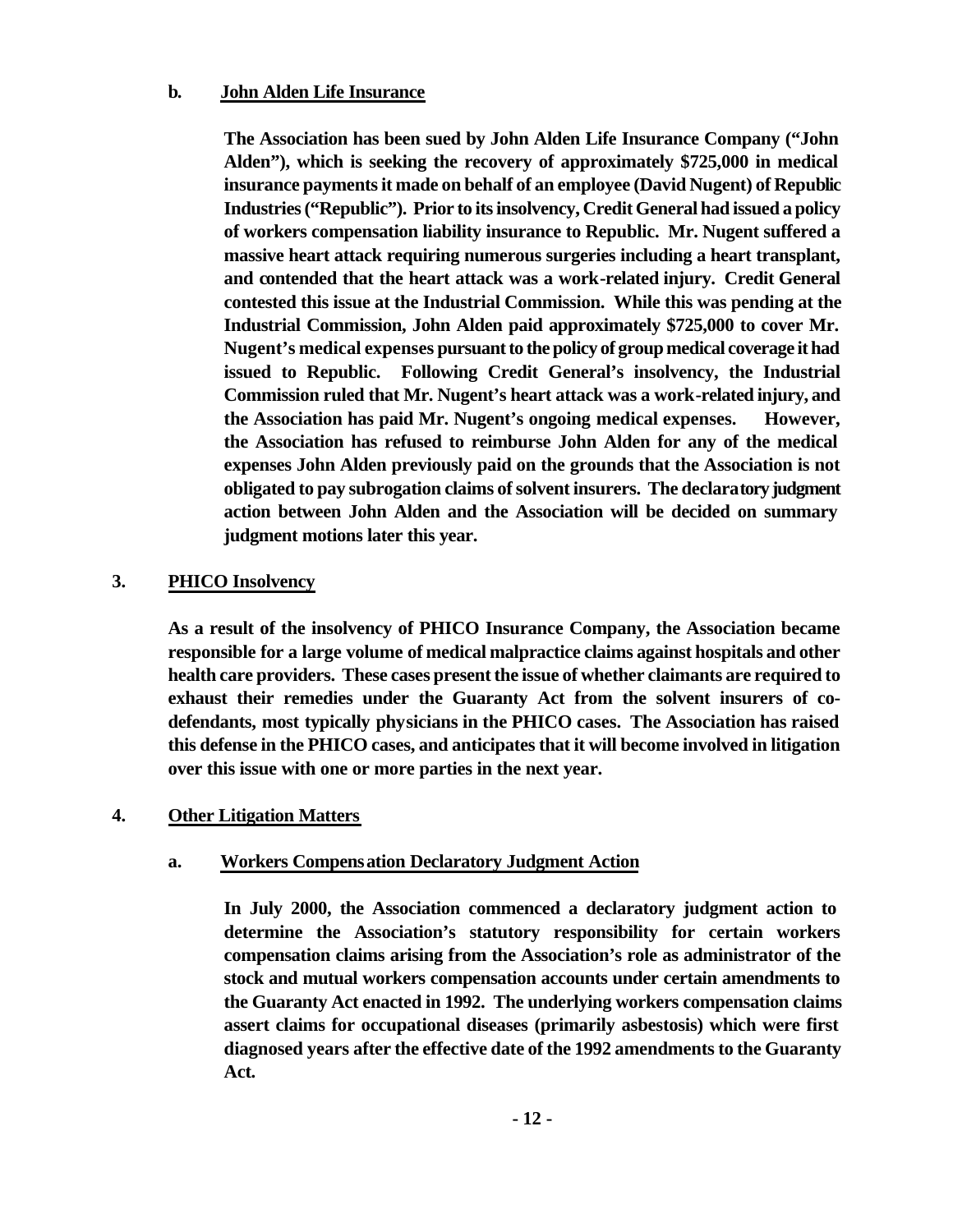#### **b. John Alden Life Insurance**

**The Association has been sued by John Alden Life Insurance Company ("John Alden"), which is seeking the recovery of approximately \$725,000 in medical insurance payments it made on behalf of an employee (David Nugent) of Republic Industries ("Republic"). Prior to its insolvency, Credit General had issued a policy of workers compensation liability insurance to Republic. Mr. Nugent suffered a massive heart attack requiring numerous surgeries including a heart transplant, and contended that the heart attack was a work-related injury. Credit General contested this issue at the Industrial Commission. While this was pending at the Industrial Commission, John Alden paid approximately \$725,000 to cover Mr. Nugent's medical expenses pursuant to the policy of group medical coverage it had issued to Republic. Following Credit General's insolvency, the Industrial Commission ruled that Mr. Nugent's heart attack was a work-related injury, and the Association has paid Mr. Nugent's ongoing medical expenses. However, the Association has refused to reimburse John Alden for any of the medical expenses John Alden previously paid on the grounds that the Association is not obligated to pay subrogation claims of solvent insurers. The declaratory judgment action between John Alden and the Association will be decided on summary judgment motions later this year.**

# **3. PHICO Insolvency**

**As a result of the insolvency of PHICO Insurance Company, the Association became responsible for a large volume of medical malpractice claims against hospitals and other health care providers. These cases present the issue of whether claimants are required to exhaust their remedies under the Guaranty Act from the solvent insurers of codefendants, most typically physicians in the PHICO cases. The Association has raised this defense in the PHICO cases, and anticipates that it will become involved in litigation over this issue with one or more parties in the next year.**

#### **4. Other Litigation Matters**

#### **a. Workers Compensation Declaratory Judgment Action**

**In July 2000, the Association commenced a declaratory judgment action to determine the Association's statutory responsibility for certain workers compensation claims arising from the Association's role as administrator of the stock and mutual workers compensation accounts under certain amendments to the Guaranty Act enacted in 1992. The underlying workers compensation claims assert claims for occupational diseases (primarily asbestosis) which were first diagnosed years after the effective date of the 1992 amendments to the Guaranty Act.**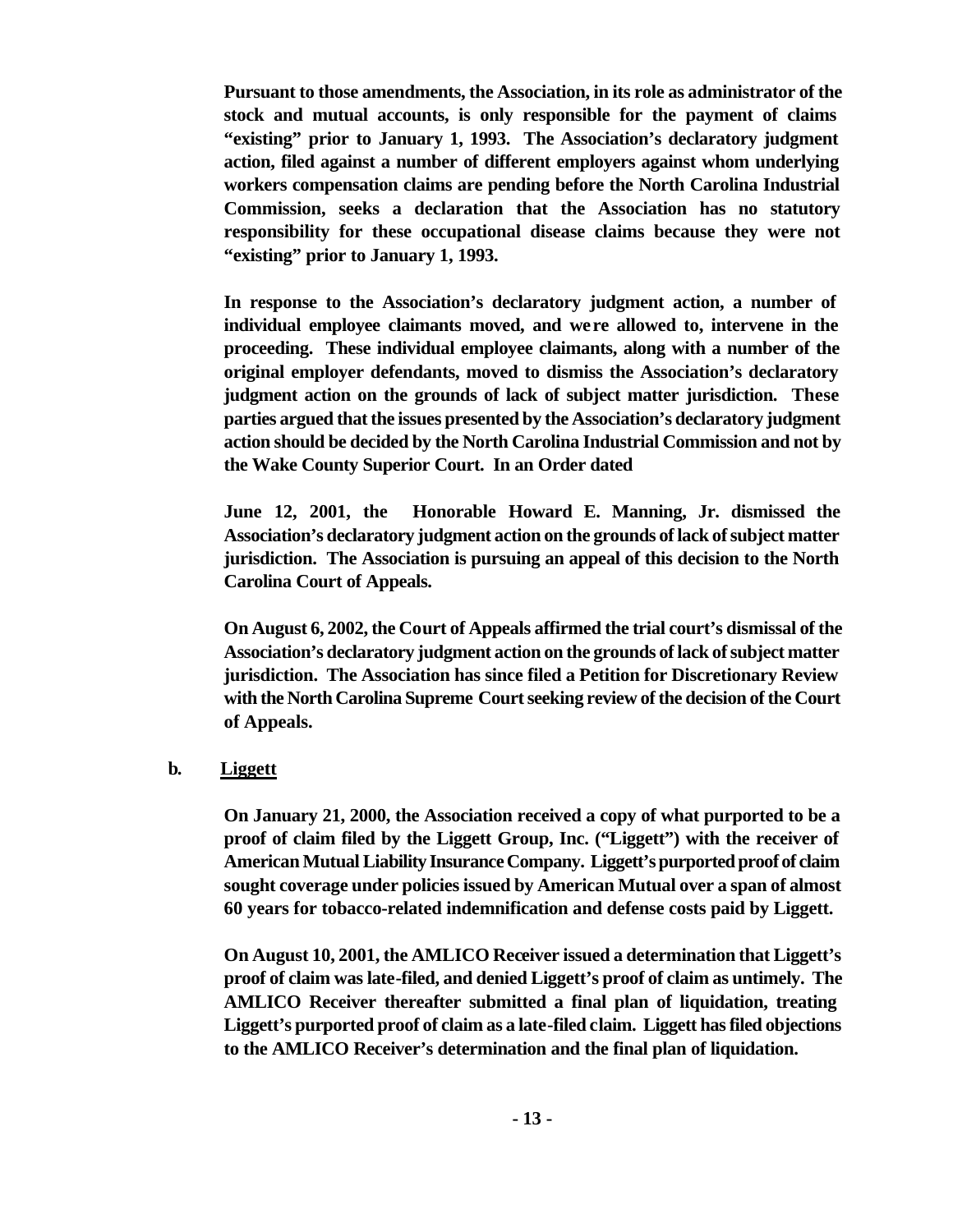**Pursuant to those amendments, the Association, in its role as administrator of the stock and mutual accounts, is only responsible for the payment of claims "existing" prior to January 1, 1993. The Association's declaratory judgment action, filed against a number of different employers against whom underlying workers compensation claims are pending before the North Carolina Industrial Commission, seeks a declaration that the Association has no statutory responsibility for these occupational disease claims because they were not "existing" prior to January 1, 1993.** 

**In response to the Association's declaratory judgment action, a number of individual employee claimants moved, and were allowed to, intervene in the proceeding. These individual employee claimants, along with a number of the original employer defendants, moved to dismiss the Association's declaratory judgment action on the grounds of lack of subject matter jurisdiction. These parties argued that the issues presented by the Association's declaratory judgment action should be decided by the North Carolina Industrial Commission and not by the Wake County Superior Court. In an Order dated** 

**June 12, 2001, the Honorable Howard E. Manning, Jr. dismissed the Association's declaratory judgment action on the grounds of lack of subject matter jurisdiction. The Association is pursuing an appeal of this decision to the North Carolina Court of Appeals.** 

**On August 6, 2002, the Court of Appeals affirmed the trial court's dismissal of the Association's declaratory judgment action on the grounds of lack of subject matter jurisdiction. The Association has since filed a Petition for Discretionary Review with the North Carolina Supreme Court seeking review of the decision of the Court of Appeals.**

# **b. Liggett**

**On January 21, 2000, the Association received a copy of what purported to be a proof of claim filed by the Liggett Group, Inc. ("Liggett") with the receiver of American Mutual Liability Insurance Company. Liggett's purported proof of claim sought coverage under policies issued by American Mutual over a span of almost 60 years for tobacco-related indemnification and defense costs paid by Liggett.**

**On August 10, 2001, the AMLICO Receiver issued a determination that Liggett's proof of claim was late-filed, and denied Liggett's proof of claim as untimely. The AMLICO Receiver thereafter submitted a final plan of liquidation, treating Liggett's purported proof of claim as a late-filed claim. Liggett has filed objections to the AMLICO Receiver's determination and the final plan of liquidation.**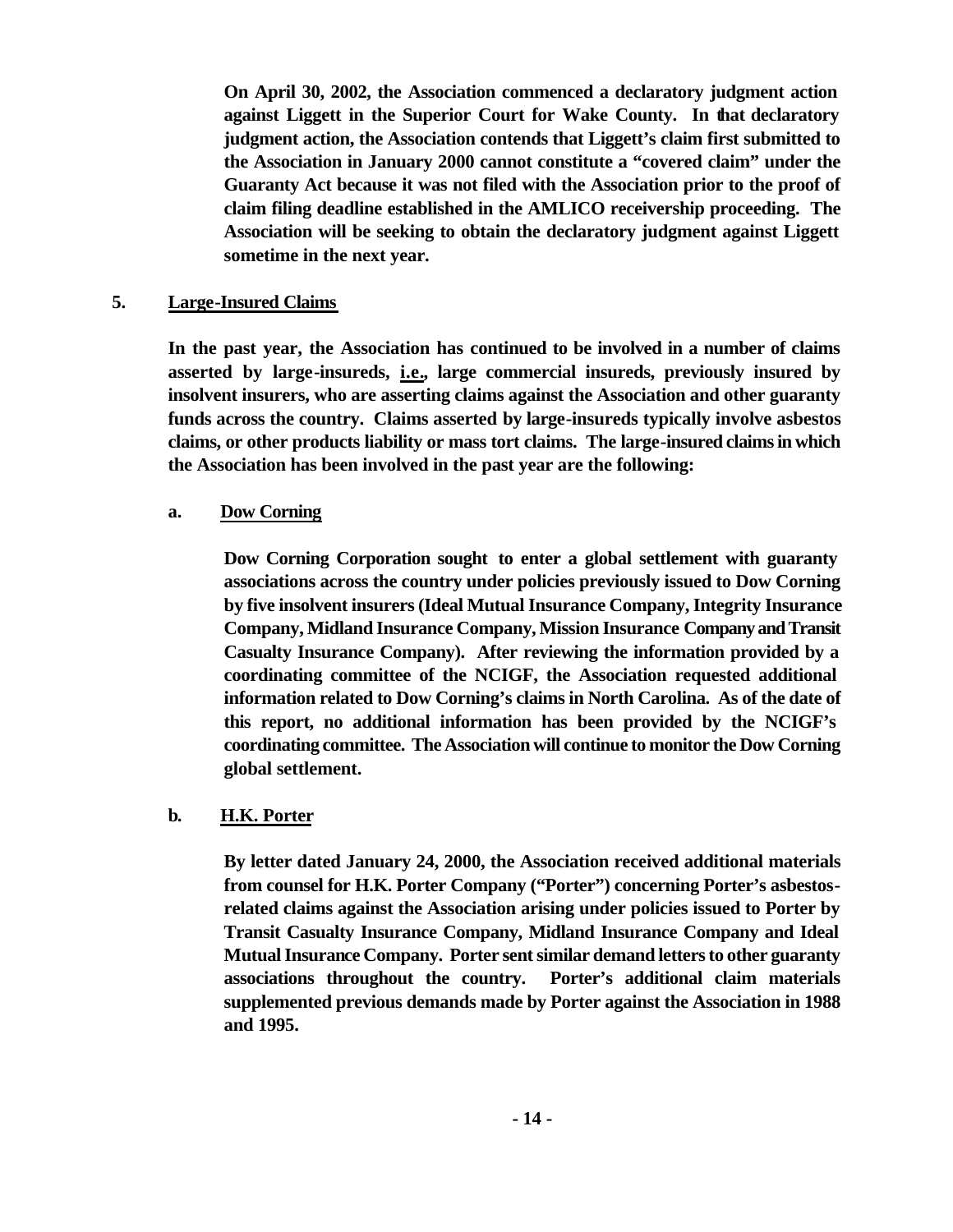**On April 30, 2002, the Association commenced a declaratory judgment action against Liggett in the Superior Court for Wake County. In that declaratory judgment action, the Association contends that Liggett's claim first submitted to the Association in January 2000 cannot constitute a "covered claim" under the Guaranty Act because it was not filed with the Association prior to the proof of claim filing deadline established in the AMLICO receivership proceeding. The Association will be seeking to obtain the declaratory judgment against Liggett sometime in the next year.** 

#### **5. Large-Insured Claims**

**In the past year, the Association has continued to be involved in a number of claims asserted by large-insureds, i.e., large commercial insureds, previously insured by insolvent insurers, who are asserting claims against the Association and other guaranty funds across the country. Claims asserted by large-insureds typically involve asbestos claims, or other products liability or mass tort claims. The large-insured claims in which the Association has been involved in the past year are the following:**

#### **a. Dow Corning**

**Dow Corning Corporation sought to enter a global settlement with guaranty associations across the country under policies previously issued to Dow Corning by five insolvent insurers (Ideal Mutual Insurance Company, Integrity Insurance Company, Midland Insurance Company, Mission Insurance Company and Transit Casualty Insurance Company). After reviewing the information provided by a coordinating committee of the NCIGF, the Association requested additional information related to Dow Corning's claims in North Carolina. As of the date of this report, no additional information has been provided by the NCIGF's coordinating committee. The Association will continue to monitor the Dow Corning global settlement.**

#### **b. H.K. Porter**

**By letter dated January 24, 2000, the Association received additional materials from counsel for H.K. Porter Company ("Porter") concerning Porter's asbestosrelated claims against the Association arising under policies issued to Porter by Transit Casualty Insurance Company, Midland Insurance Company and Ideal Mutual Insurance Company. Porter sent similar demand letters to other guaranty associations throughout the country. Porter's additional claim materials supplemented previous demands made by Porter against the Association in 1988 and 1995.**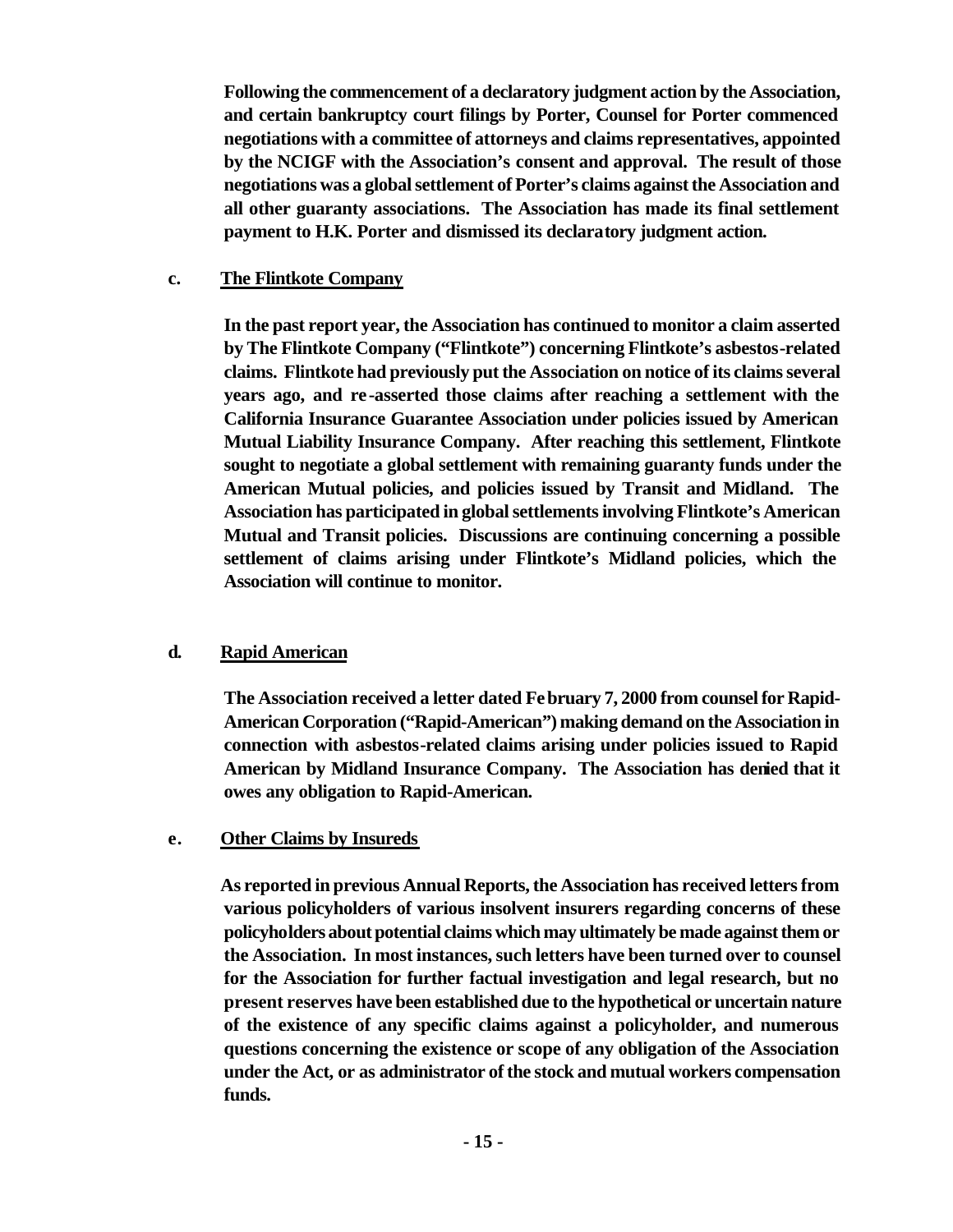**Following the commencement of a declaratory judgment action by the Association, and certain bankruptcy court filings by Porter, Counsel for Porter commenced negotiations with a committee of attorneys and claims representatives, appointed by the NCIGF with the Association's consent and approval. The result of those negotiations was a global settlement of Porter's claims against the Association and all other guaranty associations. The Association has made its final settlement payment to H.K. Porter and dismissed its declaratory judgment action.**

#### **c. The Flintkote Company**

**In the past report year, the Association has continued to monitor a claim asserted by The Flintkote Company ("Flintkote") concerning Flintkote's asbestos-related claims. Flintkote had previously put the Association on notice of its claims several years ago, and re-asserted those claims after reaching a settlement with the California Insurance Guarantee Association under policies issued by American Mutual Liability Insurance Company. After reaching this settlement, Flintkote sought to negotiate a global settlement with remaining guaranty funds under the American Mutual policies, and policies issued by Transit and Midland. The Association has participated in global settlements involving Flintkote's American Mutual and Transit policies. Discussions are continuing concerning a possible settlement of claims arising under Flintkote's Midland policies, which the Association will continue to monitor.**

# **d. Rapid American**

**The Association received a letter dated February 7, 2000 from counsel for Rapid-American Corporation ("Rapid-American") making demand on the Association in connection with asbestos-related claims arising under policies issued to Rapid American by Midland Insurance Company. The Association has denied that it owes any obligation to Rapid-American.** 

# **e. Other Claims by Insureds**

**As reported in previous Annual Reports, the Association has received letters from various policyholders of various insolvent insurers regarding concerns of these policyholders about potential claims which may ultimately be made against them or the Association. In most instances, such letters have been turned over to counsel for the Association for further factual investigation and legal research, but no present reserves have been established due to the hypothetical or uncertain nature of the existence of any specific claims against a policyholder, and numerous questions concerning the existence or scope of any obligation of the Association under the Act, or as administrator of the stock and mutual workers compensation funds.**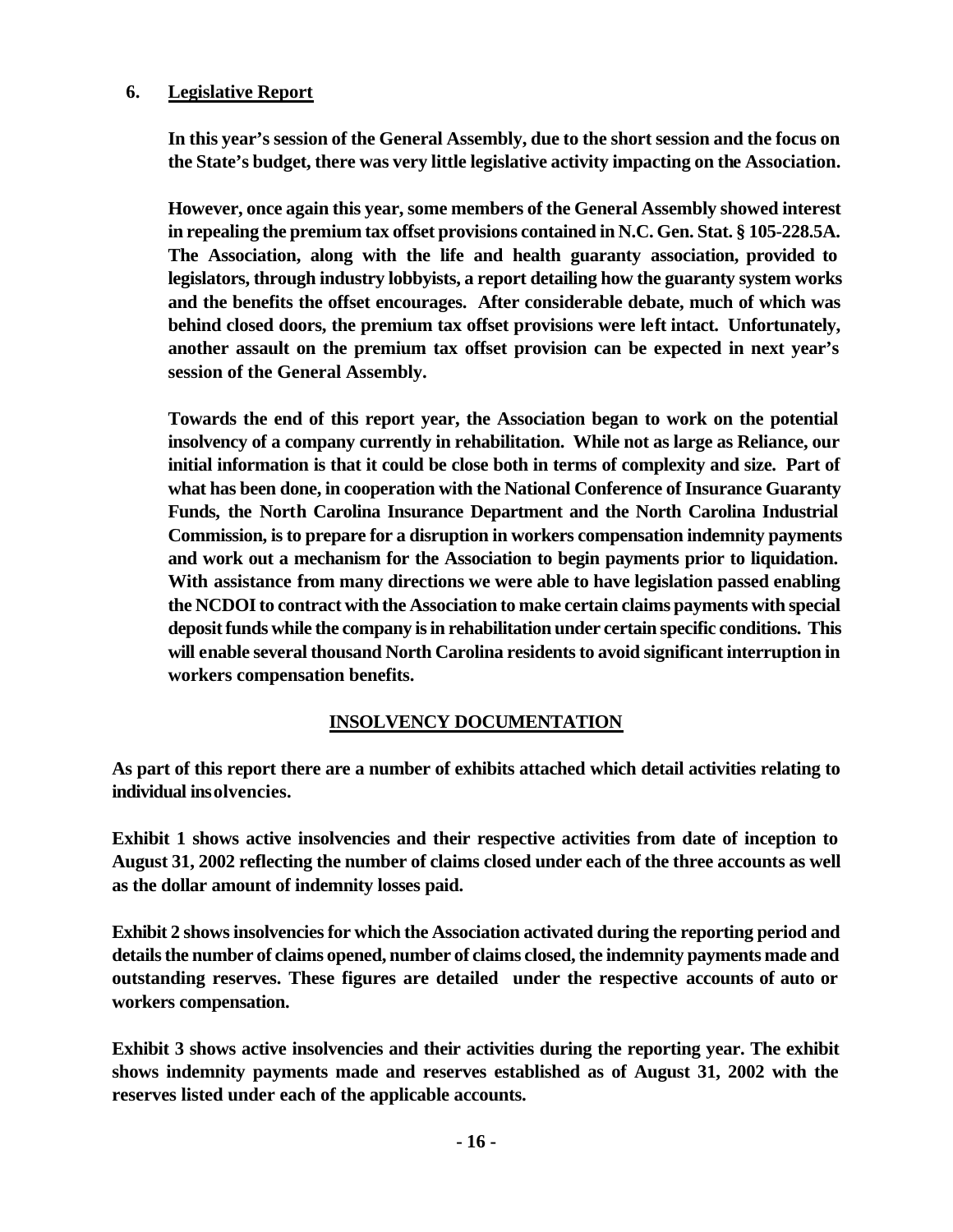#### **6. Legislative Report**

**In this year's session of the General Assembly, due to the short session and the focus on the State's budget, there was very little legislative activity impacting on the Association.** 

**However, once again this year, some members of the General Assembly showed interest in repealing the premium tax offset provisions contained in N.C. Gen. Stat. § 105-228.5A. The Association, along with the life and health guaranty association, provided to legislators, through industry lobbyists, a report detailing how the guaranty system works and the benefits the offset encourages. After considerable debate, much of which was behind closed doors, the premium tax offset provisions were left intact. Unfortunately, another assault on the premium tax offset provision can be expected in next year's session of the General Assembly.**

**Towards the end of this report year, the Association began to work on the potential insolvency of a company currently in rehabilitation. While not as large as Reliance, our initial information is that it could be close both in terms of complexity and size. Part of what has been done, in cooperation with the National Conference of Insurance Guaranty Funds, the North Carolina Insurance Department and the North Carolina Industrial Commission, is to prepare for a disruption in workers compensation indemnity payments and work out a mechanism for the Association to begin payments prior to liquidation. With assistance from many directions we were able to have legislation passed enabling the NCDOI to contract with the Association to make certain claims payments with special deposit funds while the company is in rehabilitation under certain specific conditions. This will enable several thousand North Carolina residents to avoid significant interruption in workers compensation benefits.**

# **INSOLVENCY DOCUMENTATION**

**As part of this report there are a number of exhibits attached which detail activities relating to individual insolvencies.**

**Exhibit 1 shows active insolvencies and their respective activities from date of inception to August 31, 2002 reflecting the number of claims closed under each of the three accounts as well as the dollar amount of indemnity losses paid.**

**Exhibit 2 shows insolvencies for which the Association activated during the reporting period and details the number of claims opened, number of claims closed, the indemnity payments made and outstanding reserves. These figures are detailed under the respective accounts of auto or workers compensation.**

**Exhibit 3 shows active insolvencies and their activities during the reporting year. The exhibit shows indemnity payments made and reserves established as of August 31, 2002 with the reserves listed under each of the applicable accounts.**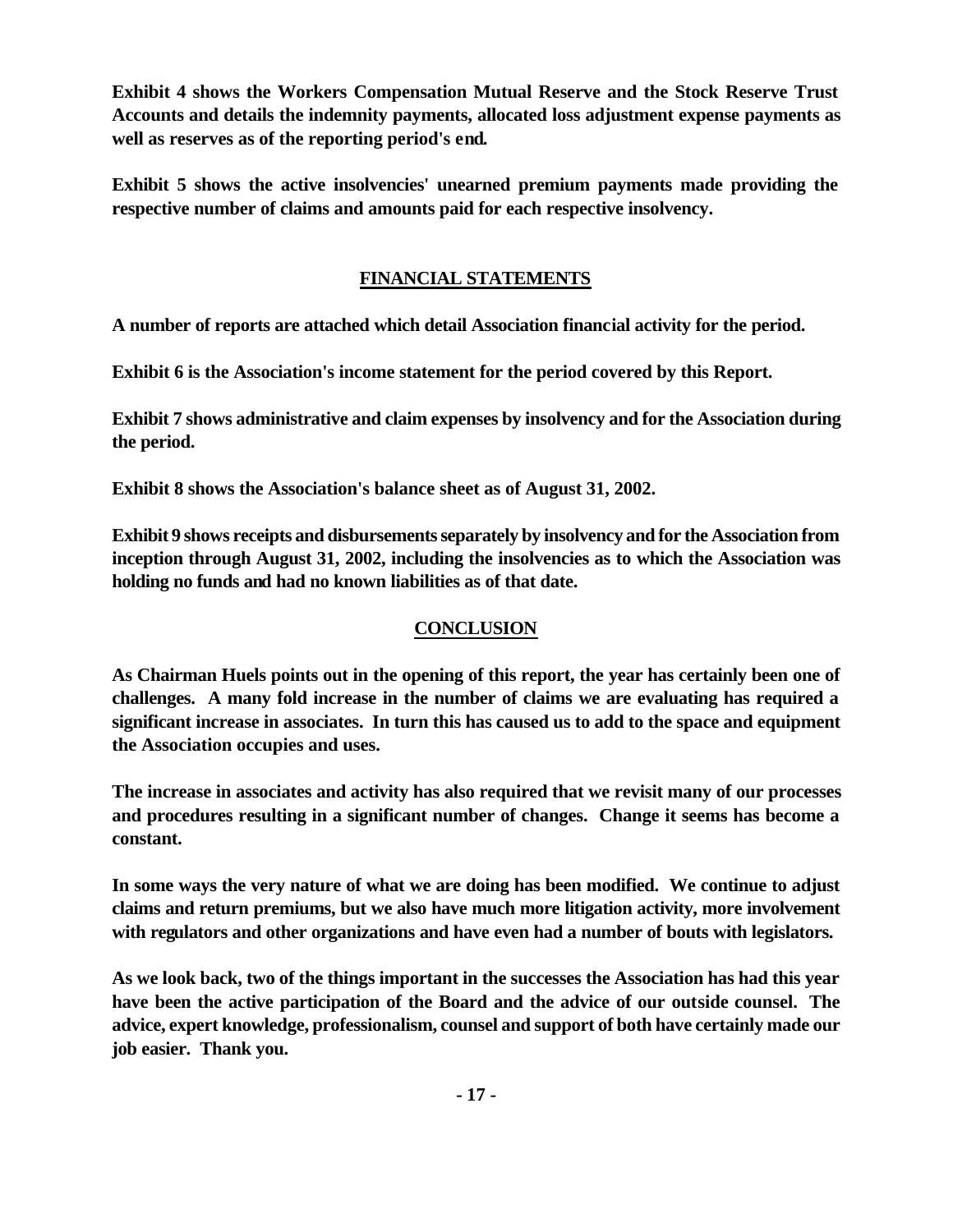**Exhibit 4 shows the Workers Compensation Mutual Reserve and the Stock Reserve Trust Accounts and details the indemnity payments, allocated loss adjustment expense payments as well as reserves as of the reporting period's end.**

**Exhibit 5 shows the active insolvencies' unearned premium payments made providing the respective number of claims and amounts paid for each respective insolvency.**

# **FINANCIAL STATEMENTS**

**A number of reports are attached which detail Association financial activity for the period.**

**Exhibit 6 is the Association's income statement for the period covered by this Report.** 

**Exhibit 7 shows administrative and claim expenses by insolvency and for the Association during the period.** 

**Exhibit 8 shows the Association's balance sheet as of August 31, 2002.**

**Exhibit 9 shows receipts and disbursements separately by insolvency and for the Association from inception through August 31, 2002, including the insolvencies as to which the Association was holding no funds and had no known liabilities as of that date.**

# **CONCLUSION**

**As Chairman Huels points out in the opening of this report, the year has certainly been one of challenges. A many fold increase in the number of claims we are evaluating has required a significant increase in associates. In turn this has caused us to add to the space and equipment the Association occupies and uses.**

**The increase in associates and activity has also required that we revisit many of our processes and procedures resulting in a significant number of changes. Change it seems has become a constant.**

**In some ways the very nature of what we are doing has been modified. We continue to adjust claims and return premiums, but we also have much more litigation activity, more involvement with regulators and other organizations and have even had a number of bouts with legislators.**

**As we look back, two of the things important in the successes the Association has had this year have been the active participation of the Board and the advice of our outside counsel. The advice, expert knowledge, professionalism, counsel and support of both have certainly made our job easier. Thank you.**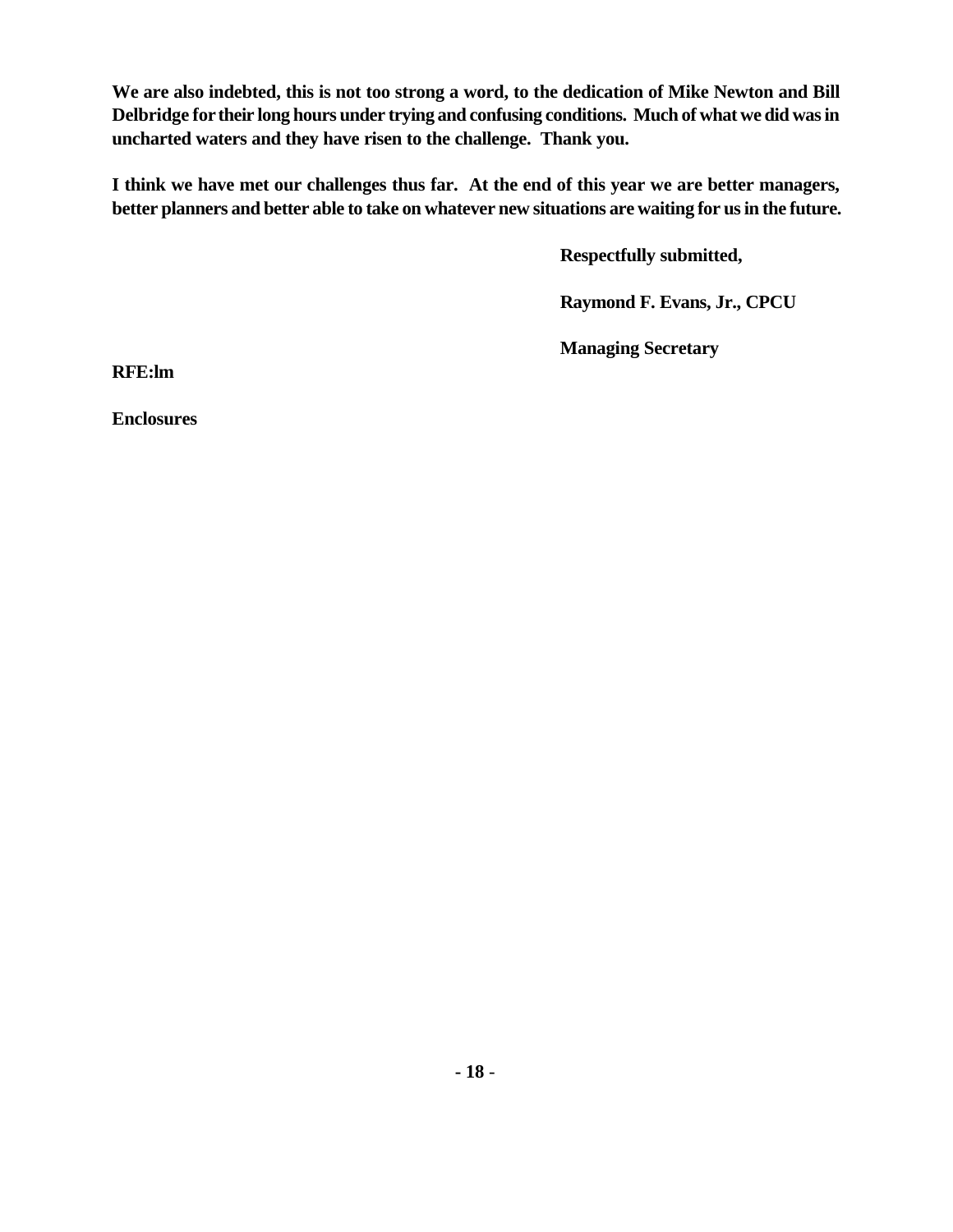**We are also indebted, this is not too strong a word, to the dedication of Mike Newton and Bill Delbridge for their long hours under trying and confusing conditions. Much of what we did was in uncharted waters and they have risen to the challenge. Thank you.**

**I think we have met our challenges thus far. At the end of this year we are better managers, better planners and better able to take on whatever new situations are waiting for us in the future.**

**Respectfully submitted,**

**Raymond F. Evans, Jr., CPCU**

**Managing Secretary**

**RFE:lm**

**Enclosures**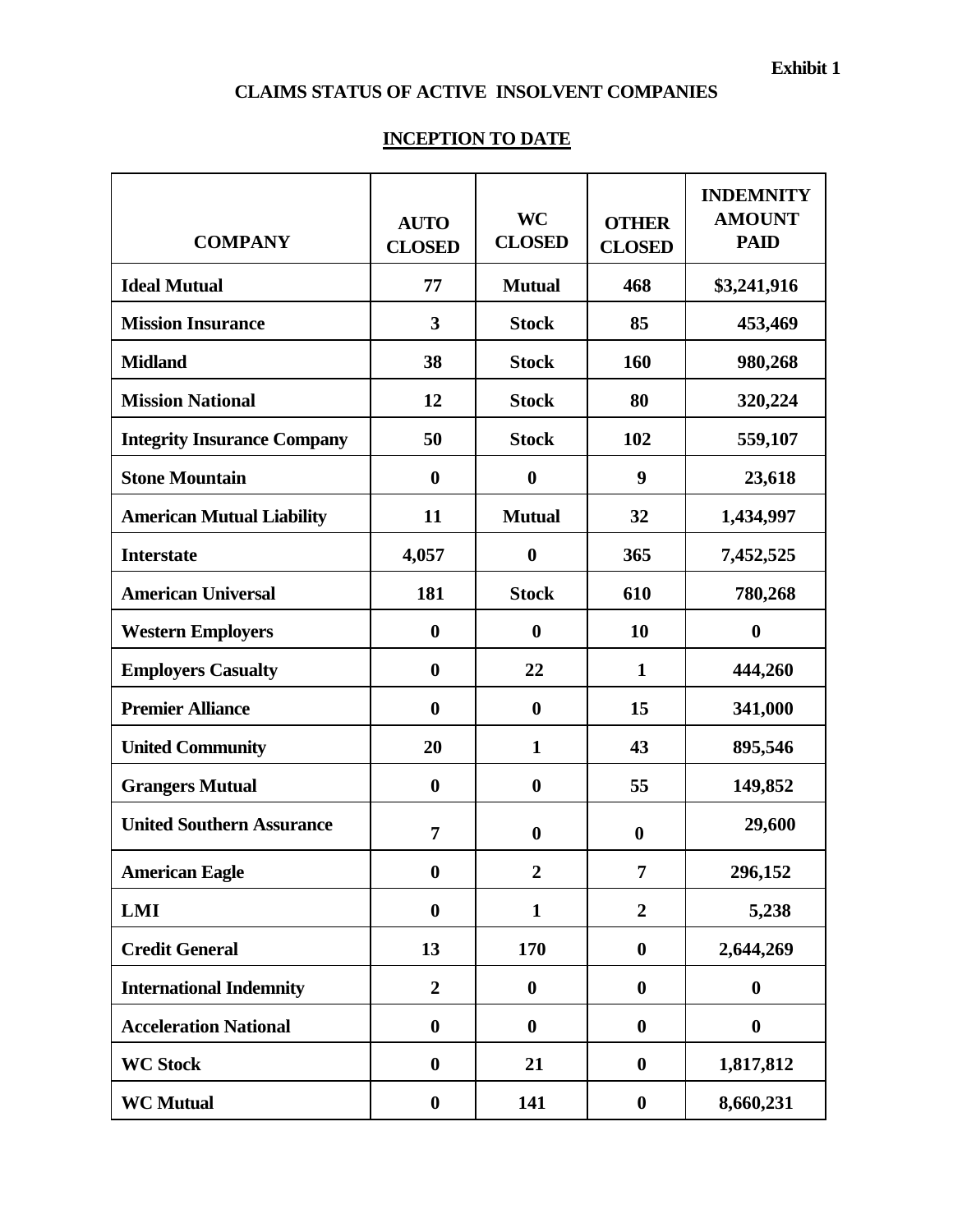# **CLAIMS STATUS OF ACTIVE INSOLVENT COMPANIES**

# **INCEPTION TO DATE**

| <b>COMPANY</b>                     | <b>AUTO</b><br><b>CLOSED</b> | <b>WC</b><br><b>CLOSED</b> | <b>OTHER</b><br><b>CLOSED</b> | <b>INDEMNITY</b><br><b>AMOUNT</b><br><b>PAID</b> |
|------------------------------------|------------------------------|----------------------------|-------------------------------|--------------------------------------------------|
| <b>Ideal Mutual</b>                | 77                           | <b>Mutual</b>              | 468                           | \$3,241,916                                      |
| <b>Mission Insurance</b>           | $\overline{\mathbf{3}}$      | <b>Stock</b>               | 85                            | 453,469                                          |
| <b>Midland</b>                     | 38                           | <b>Stock</b>               | 160                           | 980,268                                          |
| <b>Mission National</b>            | 12                           | <b>Stock</b>               | 80                            | 320,224                                          |
| <b>Integrity Insurance Company</b> | 50                           | <b>Stock</b>               | 102                           | 559,107                                          |
| <b>Stone Mountain</b>              | $\boldsymbol{0}$             | $\boldsymbol{0}$           | 9                             | 23,618                                           |
| <b>American Mutual Liability</b>   | 11                           | <b>Mutual</b>              | 32                            | 1,434,997                                        |
| <b>Interstate</b>                  | 4,057                        | $\boldsymbol{0}$           | 365                           | 7,452,525                                        |
| <b>American Universal</b>          | 181                          | <b>Stock</b>               | 610                           | 780,268                                          |
| <b>Western Employers</b>           | $\boldsymbol{0}$             | $\boldsymbol{0}$           | 10                            | $\boldsymbol{0}$                                 |
| <b>Employers Casualty</b>          | $\boldsymbol{0}$             | 22                         | $\mathbf{1}$                  | 444,260                                          |
| <b>Premier Alliance</b>            | $\boldsymbol{0}$             | $\boldsymbol{0}$           | 15                            | 341,000                                          |
| <b>United Community</b>            | 20                           | $\mathbf{1}$               | 43                            | 895,546                                          |
| <b>Grangers Mutual</b>             | $\boldsymbol{0}$             | $\boldsymbol{0}$           | 55                            | 149,852                                          |
| <b>United Southern Assurance</b>   | 7                            | $\boldsymbol{0}$           | $\boldsymbol{0}$              | 29,600                                           |
| <b>American Eagle</b>              | $\boldsymbol{0}$             | $\boldsymbol{2}$           | $\overline{7}$                | 296,152                                          |
| <b>LMI</b>                         | $\boldsymbol{0}$             | $\mathbf{1}$               | $\overline{2}$                | 5,238                                            |
| <b>Credit General</b>              | 13                           | 170                        | $\boldsymbol{0}$              | 2,644,269                                        |
| <b>International Indemnity</b>     | $\overline{2}$               | $\boldsymbol{0}$           | $\boldsymbol{0}$              | $\boldsymbol{0}$                                 |
| <b>Acceleration National</b>       | $\boldsymbol{0}$             | $\bf{0}$                   | $\boldsymbol{0}$              | $\boldsymbol{0}$                                 |
| <b>WC Stock</b>                    | $\boldsymbol{0}$             | 21                         | $\boldsymbol{0}$              | 1,817,812                                        |
| <b>WC Mutual</b>                   | $\boldsymbol{0}$             | 141                        | $\boldsymbol{0}$              | 8,660,231                                        |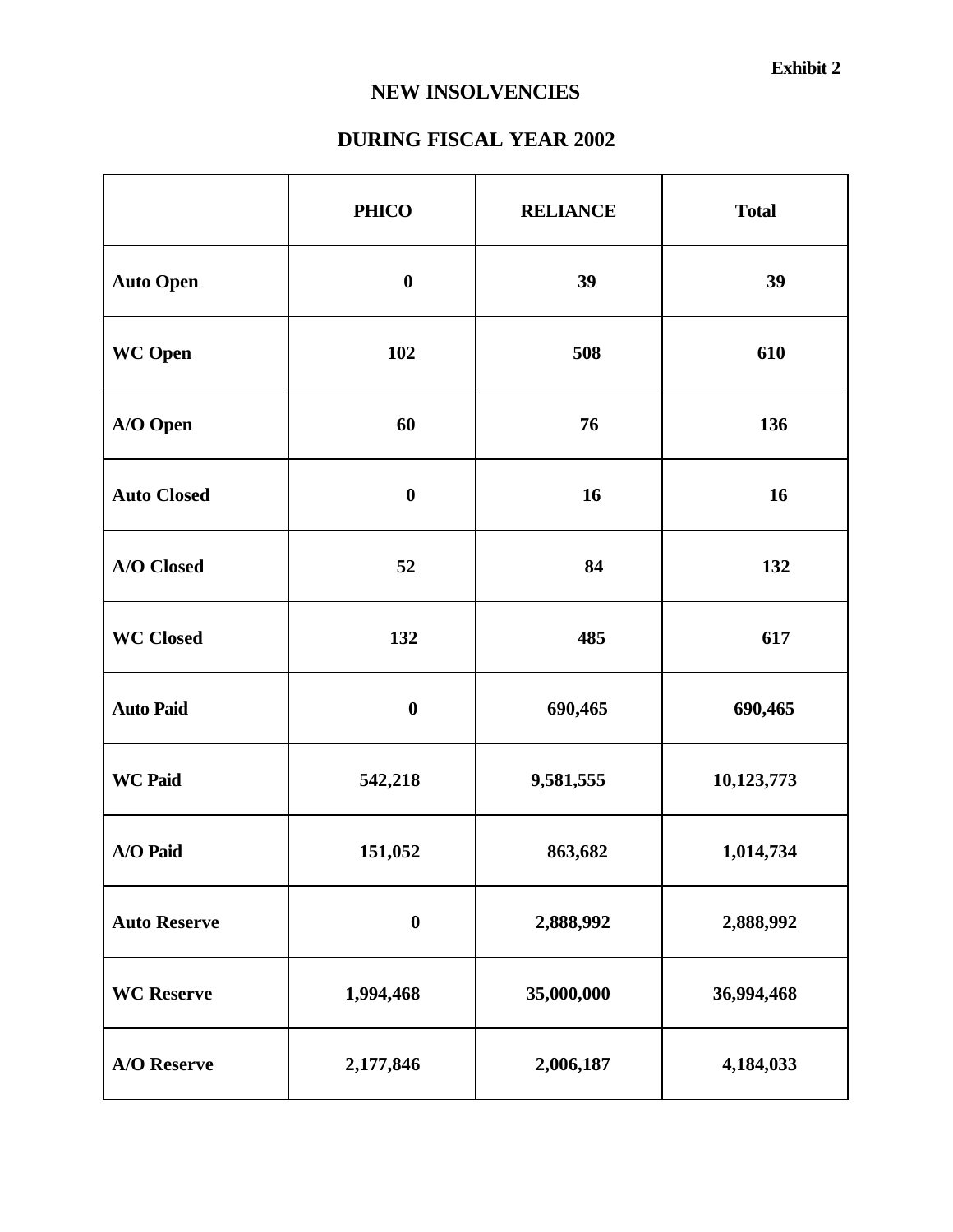# **NEW INSOLVENCIES**

# **DURING FISCAL YEAR 2002**

|                     | <b>PHICO</b>     | <b>RELIANCE</b> | <b>Total</b> |
|---------------------|------------------|-----------------|--------------|
| <b>Auto Open</b>    | $\boldsymbol{0}$ | 39              | 39           |
| <b>WC</b> Open      | 102              | 508             | 610          |
| A/O Open            | 60               | 76              | 136          |
| <b>Auto Closed</b>  | $\boldsymbol{0}$ | 16              | 16           |
| A/O Closed          | 52               | 84              | 132          |
| <b>WC Closed</b>    | 132              | 485             | 617          |
| <b>Auto Paid</b>    | $\bf{0}$         | 690,465         | 690,465      |
| <b>WC Paid</b>      | 542,218          | 9,581,555       | 10,123,773   |
| A/O Paid            | 151,052          | 863,682         | 1,014,734    |
| <b>Auto Reserve</b> | $\bf{0}$         | 2,888,992       | 2,888,992    |
| <b>WC</b> Reserve   | 1,994,468        | 35,000,000      | 36,994,468   |
| <b>A/O</b> Reserve  | 2,177,846        | 2,006,187       | 4,184,033    |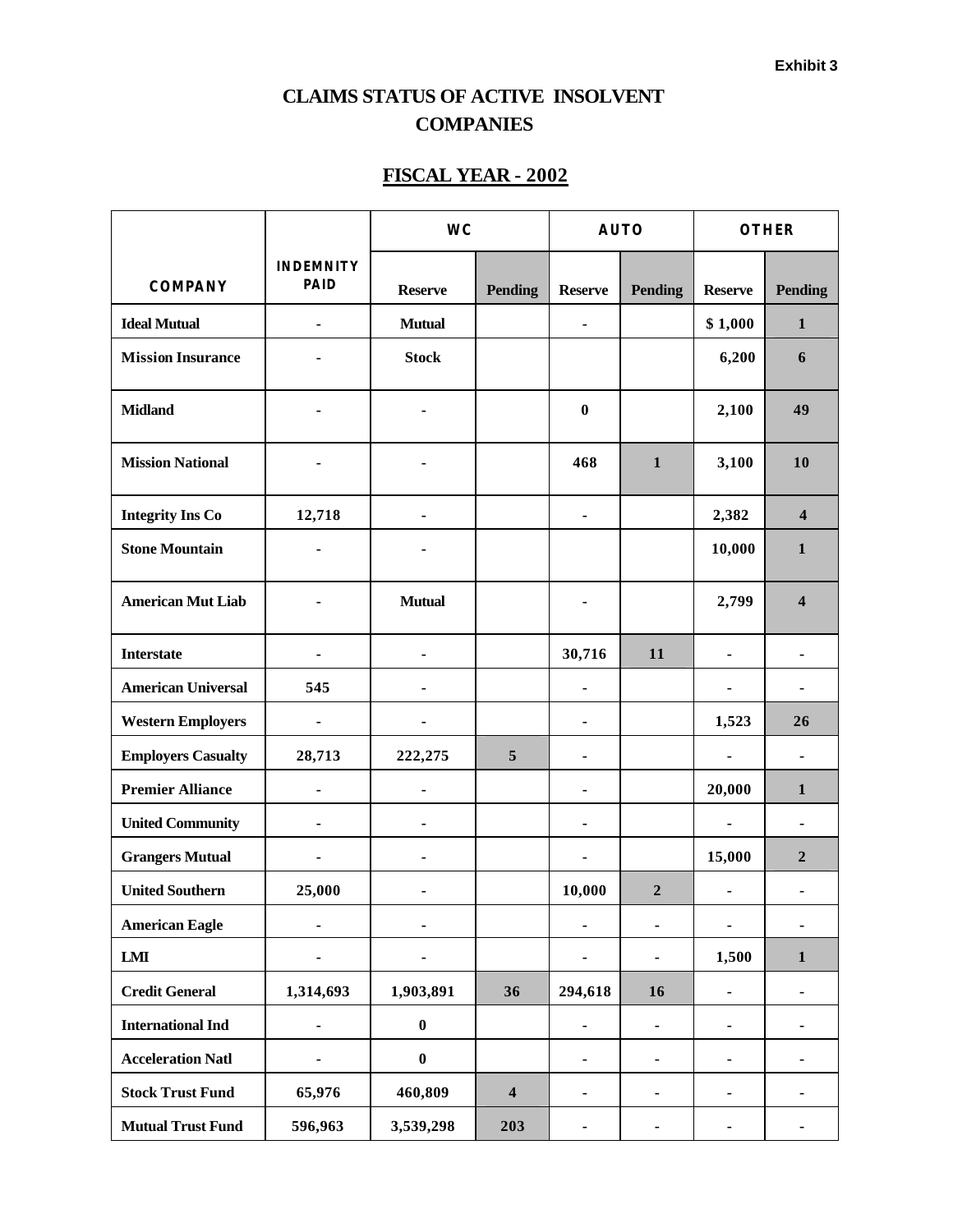# **CLAIMS STATUS OF ACTIVE INSOLVENT COMPANIES**

# **FISCAL YEAR - 2002**

|                           |                                 | <b>WC</b>        |                         | <b>AUTO</b>    |                              | <b>OTHER</b>                 |                              |
|---------------------------|---------------------------------|------------------|-------------------------|----------------|------------------------------|------------------------------|------------------------------|
| <b>COMPANY</b>            | <b>INDEMNITY</b><br><b>PAID</b> | <b>Reserve</b>   | <b>Pending</b>          | <b>Reserve</b> | <b>Pending</b>               | <b>Reserve</b>               | <b>Pending</b>               |
| <b>Ideal Mutual</b>       | ä,                              | <b>Mutual</b>    |                         |                |                              | \$1,000                      | $\mathbf{1}$                 |
| <b>Mission Insurance</b>  |                                 | <b>Stock</b>     |                         |                |                              | 6,200                        | 6                            |
| <b>Midland</b>            |                                 |                  |                         | $\bf{0}$       |                              | 2,100                        | 49                           |
| <b>Mission National</b>   |                                 |                  |                         | 468            | $\mathbf{1}$                 | 3,100                        | 10                           |
| <b>Integrity Ins Co</b>   | 12,718                          |                  |                         | ۰              |                              | 2,382                        | $\overline{\mathbf{4}}$      |
| <b>Stone Mountain</b>     |                                 |                  |                         |                |                              | 10,000                       | $\mathbf{1}$                 |
| <b>American Mut Liab</b>  |                                 | <b>Mutual</b>    |                         |                |                              | 2,799                        | $\overline{\mathbf{4}}$      |
| <b>Interstate</b>         | ä,                              | -                |                         | 30,716         | 11                           |                              | ä,                           |
| <b>American Universal</b> | 545                             |                  |                         | ۰              |                              |                              |                              |
| <b>Western Employers</b>  | $\overline{\phantom{a}}$        |                  |                         | -              |                              | 1,523                        | 26                           |
| <b>Employers Casualty</b> | 28,713                          | 222,275          | 5                       |                |                              | ۰                            | $\qquad \qquad \blacksquare$ |
| <b>Premier Alliance</b>   |                                 |                  |                         |                |                              | 20,000                       | $\mathbf{1}$                 |
| <b>United Community</b>   | ۰                               | ۰                |                         |                |                              | $\overline{\phantom{0}}$     | $\blacksquare$               |
| <b>Grangers Mutual</b>    | ۰                               |                  |                         | -              |                              | 15,000                       | $\overline{2}$               |
| <b>United Southern</b>    | 25,000                          |                  |                         | 10,000         | $\overline{2}$               |                              |                              |
| <b>American Eagle</b>     | $\overline{\phantom{0}}$        | ۰                |                         | -              | ٠                            | -                            | ۰                            |
| <b>LMI</b>                |                                 |                  |                         |                |                              | 1,500                        | $\mathbf{1}$                 |
| <b>Credit General</b>     | 1,314,693                       | 1,903,891        | 36                      | 294,618        | 16                           | $\qquad \qquad \blacksquare$ | -                            |
| <b>International Ind</b>  | ۰                               | $\pmb{0}$        |                         | -              | $\qquad \qquad \blacksquare$ | ۰                            | -                            |
| <b>Acceleration Natl</b>  |                                 | $\boldsymbol{0}$ |                         |                | $\blacksquare$               | $\blacksquare$               |                              |
| <b>Stock Trust Fund</b>   | 65,976                          | 460,809          | $\overline{\mathbf{4}}$ | $\blacksquare$ | -                            | $\blacksquare$               | -                            |
| <b>Mutual Trust Fund</b>  | 596,963                         | 3,539,298        | 203                     | $\blacksquare$ | $\overline{\phantom{0}}$     | ۰                            | ۰                            |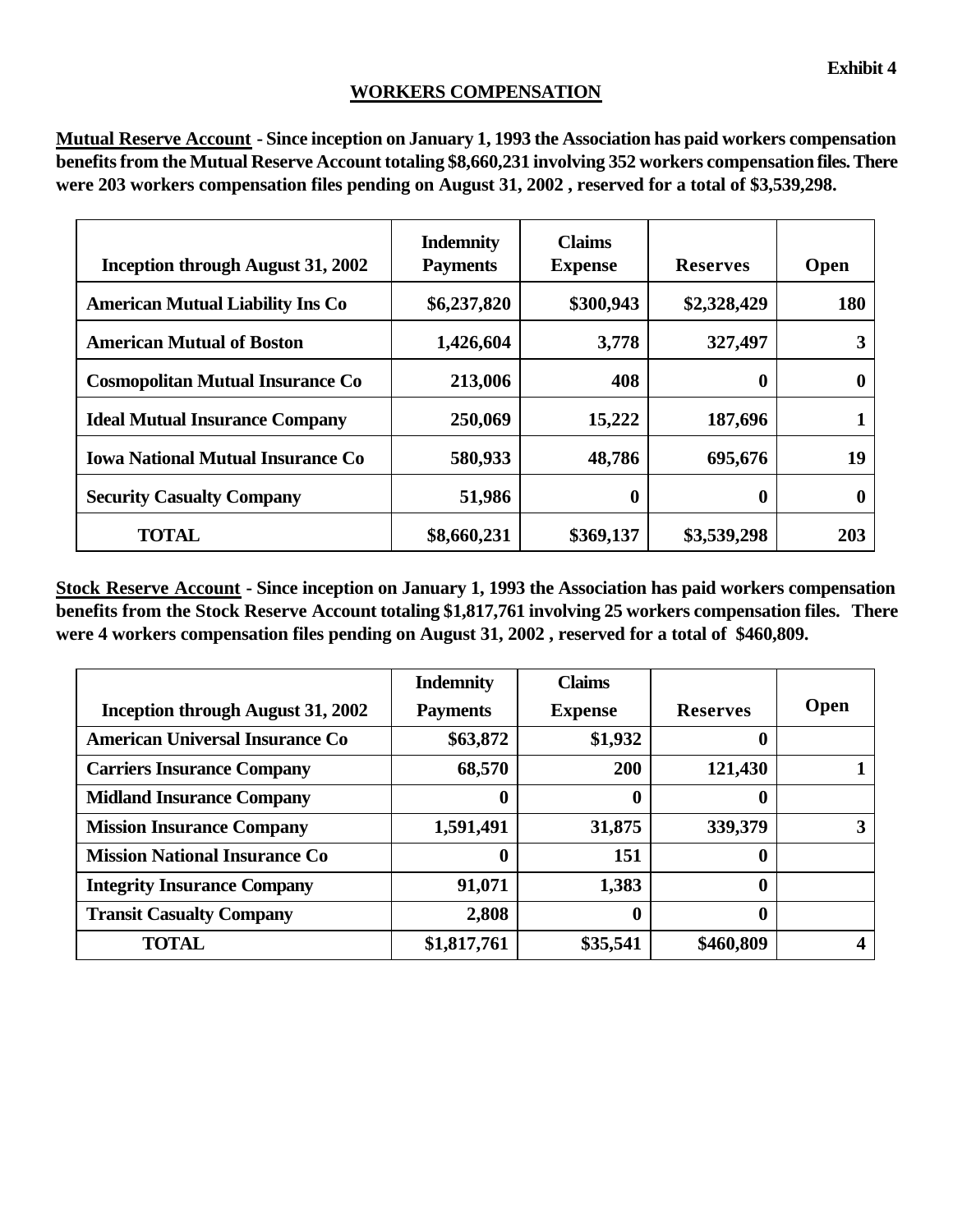#### **WORKERS COMPENSATION**

**Mutual Reserve Account - Since inception on January 1, 1993 the Association has paid workers compensation benefits from the Mutual Reserve Account totaling \$8,660,231 involving 352 workers compensation files. There were 203 workers compensation files pending on August 31, 2002 , reserved for a total of \$3,539,298.**

| <b>Inception through August 31, 2002</b> | <b>Indemnity</b><br><b>Payments</b> | <b>Claims</b><br><b>Expense</b> | <b>Reserves</b>  | <b>Open</b> |
|------------------------------------------|-------------------------------------|---------------------------------|------------------|-------------|
| <b>American Mutual Liability Ins Co</b>  | \$6,237,820                         | \$300,943                       | \$2,328,429      | 180         |
| <b>American Mutual of Boston</b>         | 1,426,604                           | 3,778                           | 327,497          | 3           |
| <b>Cosmopolitan Mutual Insurance Co</b>  | 213,006                             | 408                             | $\boldsymbol{0}$ | 0           |
| <b>Ideal Mutual Insurance Company</b>    | 250,069                             | 15,222                          | 187,696          |             |
| <b>Iowa National Mutual Insurance Co</b> | 580,933                             | 48,786                          | 695,676          | 19          |
| <b>Security Casualty Company</b>         | 51,986                              | $\boldsymbol{0}$                | 0                | 0           |
| <b>TOTAL</b>                             | \$8,660,231                         | \$369,137                       | \$3,539,298      | 203         |

**Stock Reserve Account - Since inception on January 1, 1993 the Association has paid workers compensation benefits from the Stock Reserve Account totaling \$1,817,761 involving 25 workers compensation files. There were 4 workers compensation files pending on August 31, 2002 , reserved for a total of \$460,809.**

|                                        | <b>Indemnity</b> | <b>Claims</b>  |                 |             |
|----------------------------------------|------------------|----------------|-----------------|-------------|
| Inception through August 31, 2002      | <b>Payments</b>  | <b>Expense</b> | <b>Reserves</b> | <b>Open</b> |
| <b>American Universal Insurance Co</b> | \$63,872         | \$1,932        | 0               |             |
| <b>Carriers Insurance Company</b>      | 68,570           | 200            | 121,430         |             |
| <b>Midland Insurance Company</b>       | 0                | 0              | 0               |             |
| <b>Mission Insurance Company</b>       | 1,591,491        | 31,875         | 339,379         | 3           |
| <b>Mission National Insurance Co</b>   | $\bf{0}$         | 151            | 0               |             |
| <b>Integrity Insurance Company</b>     | 91,071           | 1,383          | 0               |             |
| <b>Transit Casualty Company</b>        | 2,808            | 0              | $\bf{0}$        |             |
| <b>TOTAL</b>                           | \$1,817,761      | \$35,541       | \$460,809       |             |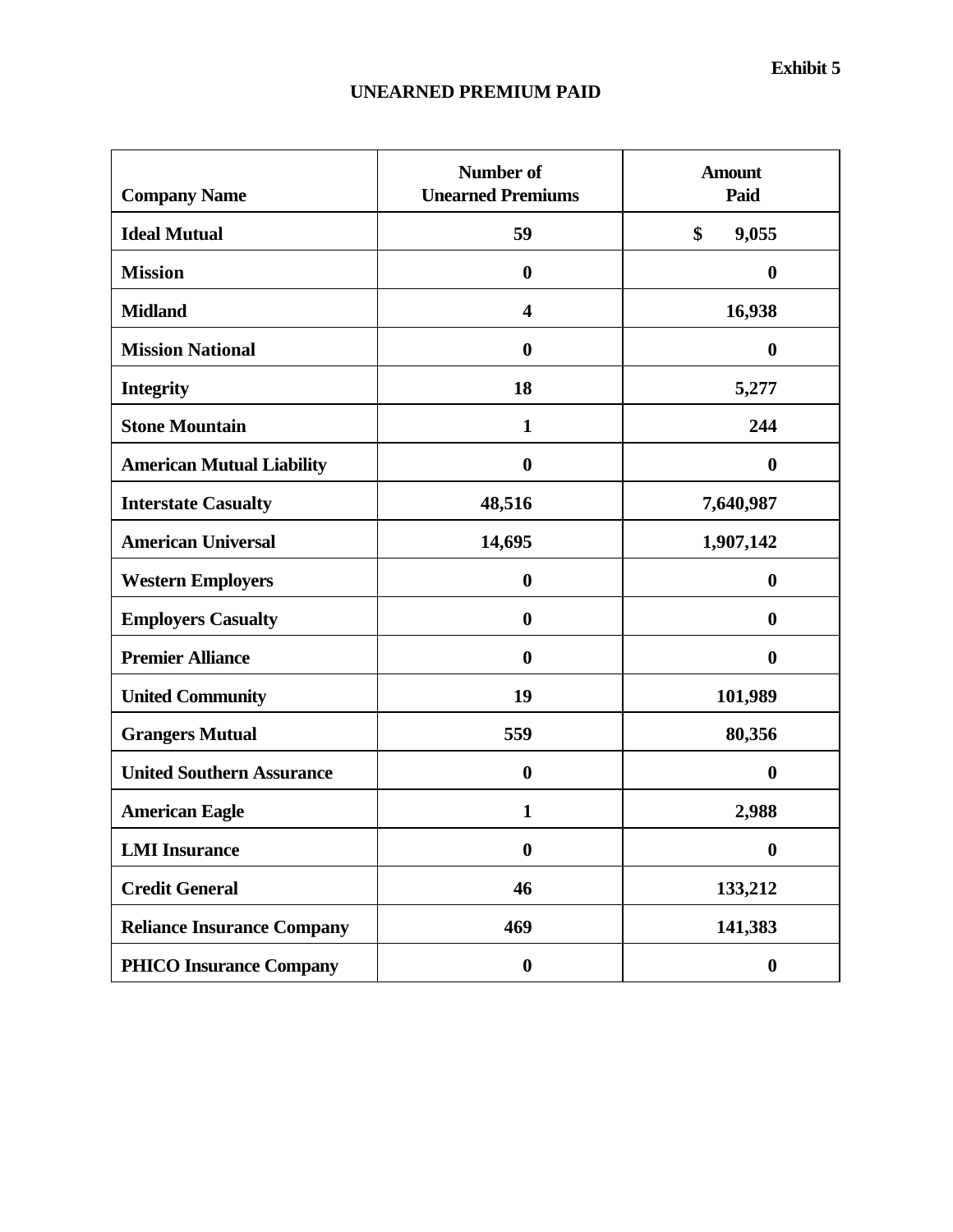# **UNEARNED PREMIUM PAID**

| <b>Company Name</b>               | <b>Number of</b><br><b>Unearned Premiums</b> | <b>Amount</b><br>Paid |
|-----------------------------------|----------------------------------------------|-----------------------|
| <b>Ideal Mutual</b>               | 59                                           | \$<br>9,055           |
| <b>Mission</b>                    | $\boldsymbol{0}$                             | $\boldsymbol{0}$      |
| <b>Midland</b>                    | $\overline{\mathbf{4}}$                      | 16,938                |
| <b>Mission National</b>           | $\boldsymbol{0}$                             | $\boldsymbol{0}$      |
| <b>Integrity</b>                  | 18                                           | 5,277                 |
| <b>Stone Mountain</b>             | $\mathbf{1}$                                 | 244                   |
| <b>American Mutual Liability</b>  | $\boldsymbol{0}$                             | $\boldsymbol{0}$      |
| <b>Interstate Casualty</b>        | 48,516                                       | 7,640,987             |
| <b>American Universal</b>         | 14,695                                       | 1,907,142             |
| <b>Western Employers</b>          | $\boldsymbol{0}$                             | $\boldsymbol{0}$      |
| <b>Employers Casualty</b>         | $\bf{0}$                                     | $\boldsymbol{0}$      |
| <b>Premier Alliance</b>           | $\boldsymbol{0}$                             | $\boldsymbol{0}$      |
| <b>United Community</b>           | 19                                           | 101,989               |
| <b>Grangers Mutual</b>            | 559                                          | 80,356                |
| <b>United Southern Assurance</b>  | $\bf{0}$                                     | $\boldsymbol{0}$      |
| <b>American Eagle</b>             | $\mathbf{1}$                                 | 2,988                 |
| <b>LMI</b> Insurance              | $\boldsymbol{0}$                             | $\boldsymbol{0}$      |
| <b>Credit General</b>             | 46                                           | 133,212               |
| <b>Reliance Insurance Company</b> | 469                                          | 141,383               |
| <b>PHICO Insurance Company</b>    | $\boldsymbol{0}$                             | $\boldsymbol{0}$      |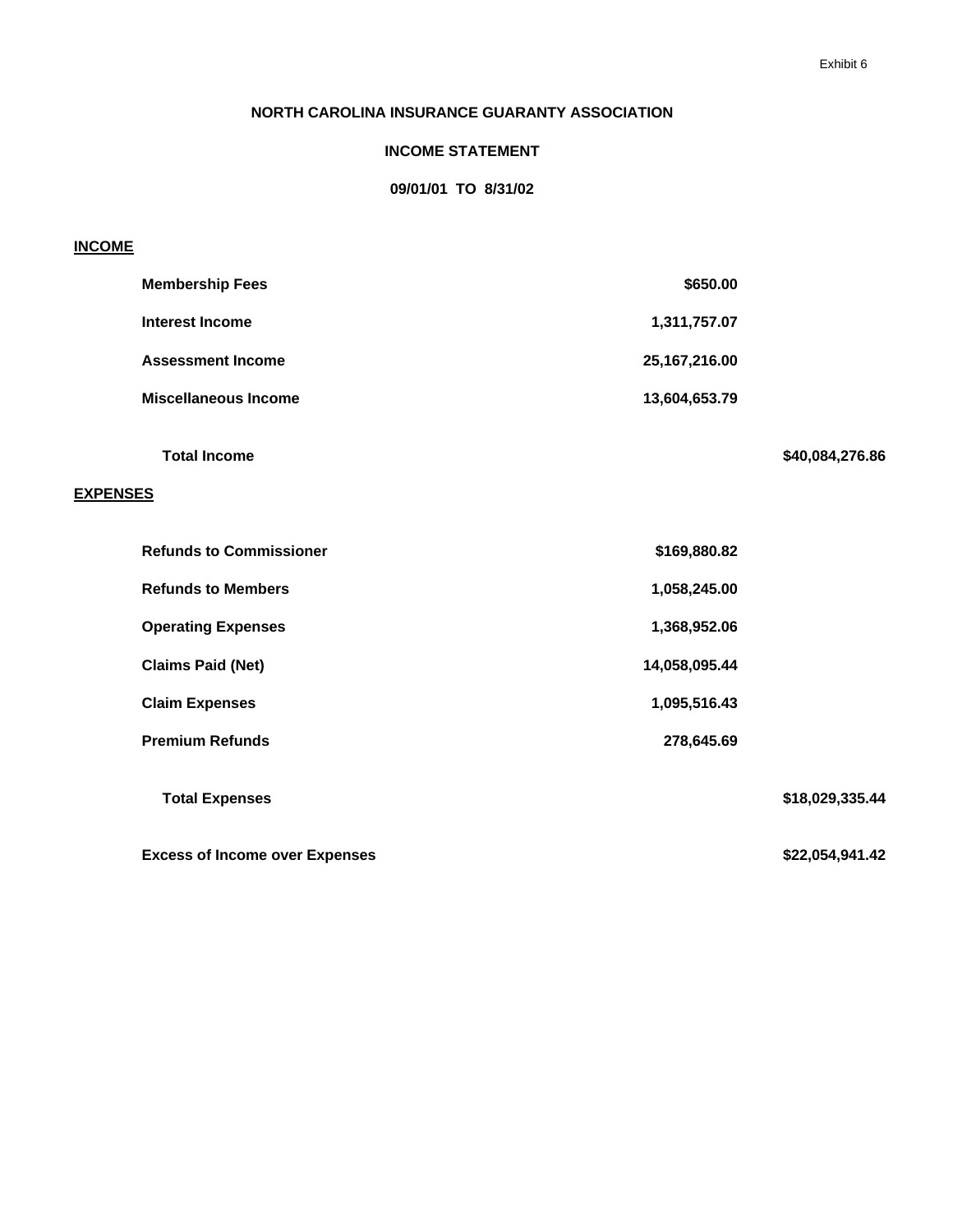#### **NORTH CAROLINA INSURANCE GUARANTY ASSOCIATION**

#### **INCOME STATEMENT**

#### **09/01/01 TO 8/31/02**

#### **INCOME**

|                 | <b>Membership Fees</b>                | \$650.00        |                 |
|-----------------|---------------------------------------|-----------------|-----------------|
|                 | <b>Interest Income</b>                | 1,311,757.07    |                 |
|                 | <b>Assessment Income</b>              | 25, 167, 216.00 |                 |
|                 | <b>Miscellaneous Income</b>           | 13,604,653.79   |                 |
| <b>EXPENSES</b> | <b>Total Income</b>                   |                 | \$40,084,276.86 |
|                 |                                       |                 |                 |
|                 | <b>Refunds to Commissioner</b>        | \$169,880.82    |                 |
|                 | <b>Refunds to Members</b>             | 1,058,245.00    |                 |
|                 | <b>Operating Expenses</b>             | 1,368,952.06    |                 |
|                 | <b>Claims Paid (Net)</b>              | 14,058,095.44   |                 |
|                 | <b>Claim Expenses</b>                 | 1,095,516.43    |                 |
|                 | <b>Premium Refunds</b>                | 278,645.69      |                 |
|                 | <b>Total Expenses</b>                 |                 | \$18,029,335.44 |
|                 | <b>Excess of Income over Expenses</b> |                 | \$22,054,941.42 |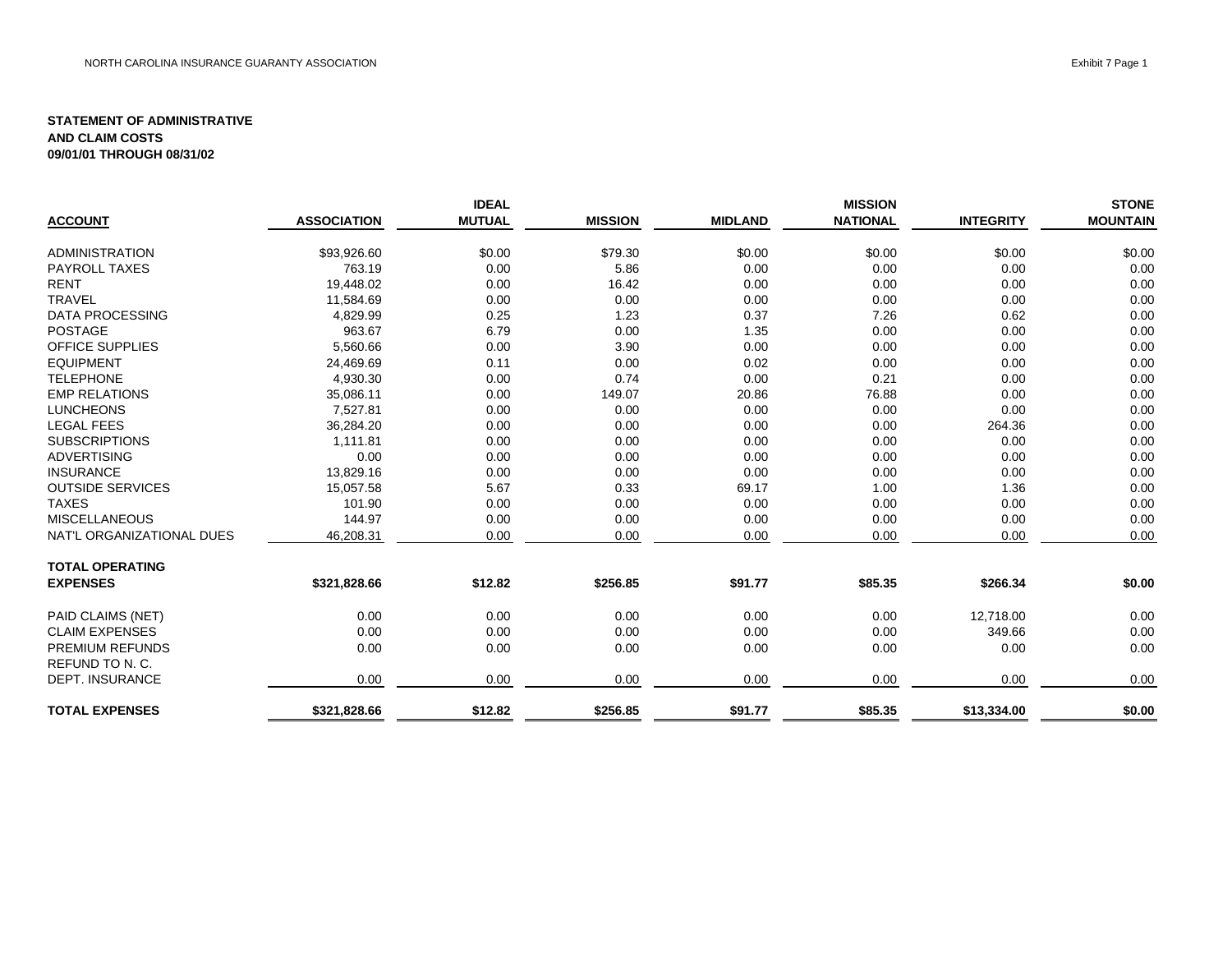|                           |                    | <b>IDEAL</b>  |                |                | <b>MISSION</b>  |                  | <b>STONE</b>    |
|---------------------------|--------------------|---------------|----------------|----------------|-----------------|------------------|-----------------|
| <b>ACCOUNT</b>            | <b>ASSOCIATION</b> | <b>MUTUAL</b> | <b>MISSION</b> | <b>MIDLAND</b> | <b>NATIONAL</b> | <b>INTEGRITY</b> | <b>MOUNTAIN</b> |
| <b>ADMINISTRATION</b>     | \$93,926.60        | \$0.00        | \$79.30        | \$0.00         | \$0.00          | \$0.00           | \$0.00          |
| <b>PAYROLL TAXES</b>      | 763.19             | 0.00          | 5.86           | 0.00           | 0.00            | 0.00             | 0.00            |
| <b>RENT</b>               | 19,448.02          | 0.00          | 16.42          | 0.00           | 0.00            | 0.00             | 0.00            |
| <b>TRAVEL</b>             | 11,584.69          | 0.00          | 0.00           | 0.00           | 0.00            | 0.00             | 0.00            |
| <b>DATA PROCESSING</b>    | 4,829.99           | 0.25          | 1.23           | 0.37           | 7.26            | 0.62             | 0.00            |
| <b>POSTAGE</b>            | 963.67             | 6.79          | 0.00           | 1.35           | 0.00            | 0.00             | 0.00            |
| <b>OFFICE SUPPLIES</b>    | 5,560.66           | 0.00          | 3.90           | 0.00           | 0.00            | 0.00             | 0.00            |
| <b>EQUIPMENT</b>          | 24,469.69          | 0.11          | 0.00           | 0.02           | 0.00            | 0.00             | 0.00            |
| <b>TELEPHONE</b>          | 4,930.30           | 0.00          | 0.74           | 0.00           | 0.21            | 0.00             | 0.00            |
| <b>EMP RELATIONS</b>      | 35,086.11          | 0.00          | 149.07         | 20.86          | 76.88           | 0.00             | 0.00            |
| <b>LUNCHEONS</b>          | 7,527.81           | 0.00          | 0.00           | 0.00           | 0.00            | 0.00             | 0.00            |
| <b>LEGAL FEES</b>         | 36,284.20          | 0.00          | 0.00           | 0.00           | 0.00            | 264.36           | 0.00            |
| <b>SUBSCRIPTIONS</b>      | 1,111.81           | 0.00          | 0.00           | 0.00           | 0.00            | 0.00             | 0.00            |
| <b>ADVERTISING</b>        | 0.00               | 0.00          | 0.00           | 0.00           | 0.00            | 0.00             | 0.00            |
| <b>INSURANCE</b>          | 13,829.16          | 0.00          | 0.00           | 0.00           | 0.00            | 0.00             | 0.00            |
| <b>OUTSIDE SERVICES</b>   | 15,057.58          | 5.67          | 0.33           | 69.17          | 1.00            | 1.36             | 0.00            |
| <b>TAXES</b>              | 101.90             | 0.00          | 0.00           | 0.00           | 0.00            | 0.00             | 0.00            |
| <b>MISCELLANEOUS</b>      | 144.97             | 0.00          | 0.00           | 0.00           | 0.00            | 0.00             | 0.00            |
| NAT'L ORGANIZATIONAL DUES | 46,208.31          | 0.00          | 0.00           | 0.00           | 0.00            | 0.00             | 0.00            |
| <b>TOTAL OPERATING</b>    |                    |               |                |                |                 |                  |                 |
| <b>EXPENSES</b>           | \$321,828.66       | \$12.82       | \$256.85       | \$91.77        | \$85.35         | \$266.34         | \$0.00          |
| PAID CLAIMS (NET)         | 0.00               | 0.00          | 0.00           | 0.00           | 0.00            | 12,718.00        | 0.00            |
| <b>CLAIM EXPENSES</b>     | 0.00               | 0.00          | 0.00           | 0.00           | 0.00            | 349.66           | 0.00            |
| <b>PREMIUM REFUNDS</b>    | 0.00               | 0.00          | 0.00           | 0.00           | 0.00            | 0.00             | 0.00            |
| REFUND TO N. C.           |                    |               |                |                |                 |                  |                 |
| <b>DEPT. INSURANCE</b>    | 0.00               | 0.00          | 0.00           | 0.00           | 0.00            | 0.00             | 0.00            |
| <b>TOTAL EXPENSES</b>     | \$321,828.66       | \$12.82       | \$256.85       | \$91.77        | \$85.35         | \$13,334.00      | \$0.00          |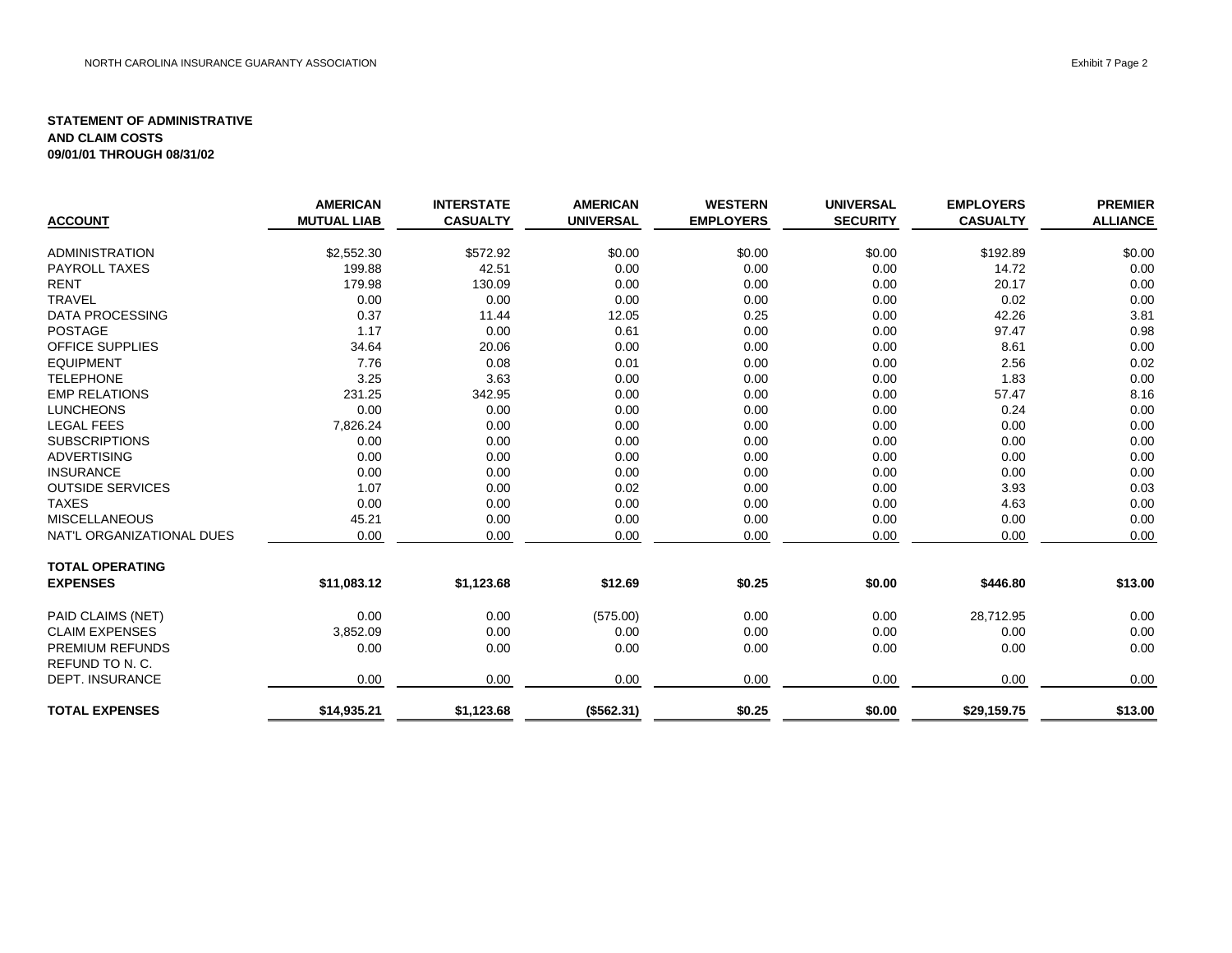|                           | <b>AMERICAN</b>    | <b>INTERSTATE</b> | <b>AMERICAN</b>  | <b>WESTERN</b>   | <b>UNIVERSAL</b> | <b>EMPLOYERS</b> | <b>PREMIER</b>  |
|---------------------------|--------------------|-------------------|------------------|------------------|------------------|------------------|-----------------|
| <b>ACCOUNT</b>            | <b>MUTUAL LIAB</b> | <b>CASUALTY</b>   | <b>UNIVERSAL</b> | <b>EMPLOYERS</b> | <b>SECURITY</b>  | <b>CASUALTY</b>  | <b>ALLIANCE</b> |
| <b>ADMINISTRATION</b>     | \$2,552.30         | \$572.92          | \$0.00           | \$0.00           | \$0.00           | \$192.89         | \$0.00          |
| <b>PAYROLL TAXES</b>      | 199.88             | 42.51             | 0.00             | 0.00             | 0.00             | 14.72            | 0.00            |
| <b>RENT</b>               | 179.98             | 130.09            | 0.00             | 0.00             | 0.00             | 20.17            | 0.00            |
| <b>TRAVEL</b>             | 0.00               | 0.00              | 0.00             | 0.00             | 0.00             | 0.02             | 0.00            |
| <b>DATA PROCESSING</b>    | 0.37               | 11.44             | 12.05            | 0.25             | 0.00             | 42.26            | 3.81            |
| <b>POSTAGE</b>            | 1.17               | 0.00              | 0.61             | 0.00             | 0.00             | 97.47            | 0.98            |
| OFFICE SUPPLIES           | 34.64              | 20.06             | 0.00             | 0.00             | 0.00             | 8.61             | 0.00            |
| <b>EQUIPMENT</b>          | 7.76               | 0.08              | 0.01             | 0.00             | 0.00             | 2.56             | 0.02            |
| <b>TELEPHONE</b>          | 3.25               | 3.63              | 0.00             | 0.00             | 0.00             | 1.83             | 0.00            |
| <b>EMP RELATIONS</b>      | 231.25             | 342.95            | 0.00             | 0.00             | 0.00             | 57.47            | 8.16            |
| <b>LUNCHEONS</b>          | 0.00               | 0.00              | 0.00             | 0.00             | 0.00             | 0.24             | 0.00            |
| <b>LEGAL FEES</b>         | 7,826.24           | 0.00              | 0.00             | 0.00             | 0.00             | 0.00             | 0.00            |
| <b>SUBSCRIPTIONS</b>      | 0.00               | 0.00              | 0.00             | 0.00             | 0.00             | 0.00             | 0.00            |
| <b>ADVERTISING</b>        | 0.00               | 0.00              | 0.00             | 0.00             | 0.00             | 0.00             | 0.00            |
| <b>INSURANCE</b>          | 0.00               | 0.00              | 0.00             | 0.00             | 0.00             | 0.00             | 0.00            |
| <b>OUTSIDE SERVICES</b>   | 1.07               | 0.00              | 0.02             | 0.00             | 0.00             | 3.93             | 0.03            |
| <b>TAXES</b>              | 0.00               | 0.00              | 0.00             | 0.00             | 0.00             | 4.63             | 0.00            |
| <b>MISCELLANEOUS</b>      | 45.21              | 0.00              | 0.00             | 0.00             | 0.00             | 0.00             | 0.00            |
| NAT'L ORGANIZATIONAL DUES | 0.00               | 0.00              | 0.00             | 0.00             | 0.00             | 0.00             | 0.00            |
| <b>TOTAL OPERATING</b>    |                    |                   |                  |                  |                  |                  |                 |
| <b>EXPENSES</b>           | \$11,083.12        | \$1,123.68        | \$12.69          | \$0.25           | \$0.00           | \$446.80         | \$13.00         |
| PAID CLAIMS (NET)         | 0.00               | 0.00              | (575.00)         | 0.00             | 0.00             | 28,712.95        | 0.00            |
| <b>CLAIM EXPENSES</b>     | 3,852.09           | 0.00              | 0.00             | 0.00             | 0.00             | 0.00             | 0.00            |
| <b>PREMIUM REFUNDS</b>    | 0.00               | 0.00              | 0.00             | 0.00             | 0.00             | 0.00             | 0.00            |
| REFUND TO N. C.           |                    |                   |                  |                  |                  |                  |                 |
| <b>DEPT. INSURANCE</b>    | 0.00               | 0.00              | 0.00             | 0.00             | 0.00             | 0.00             | 0.00            |
| <b>TOTAL EXPENSES</b>     | \$14,935.21        | \$1,123.68        | (\$562.31)       | \$0.25           | \$0.00           | \$29,159.75      | \$13.00         |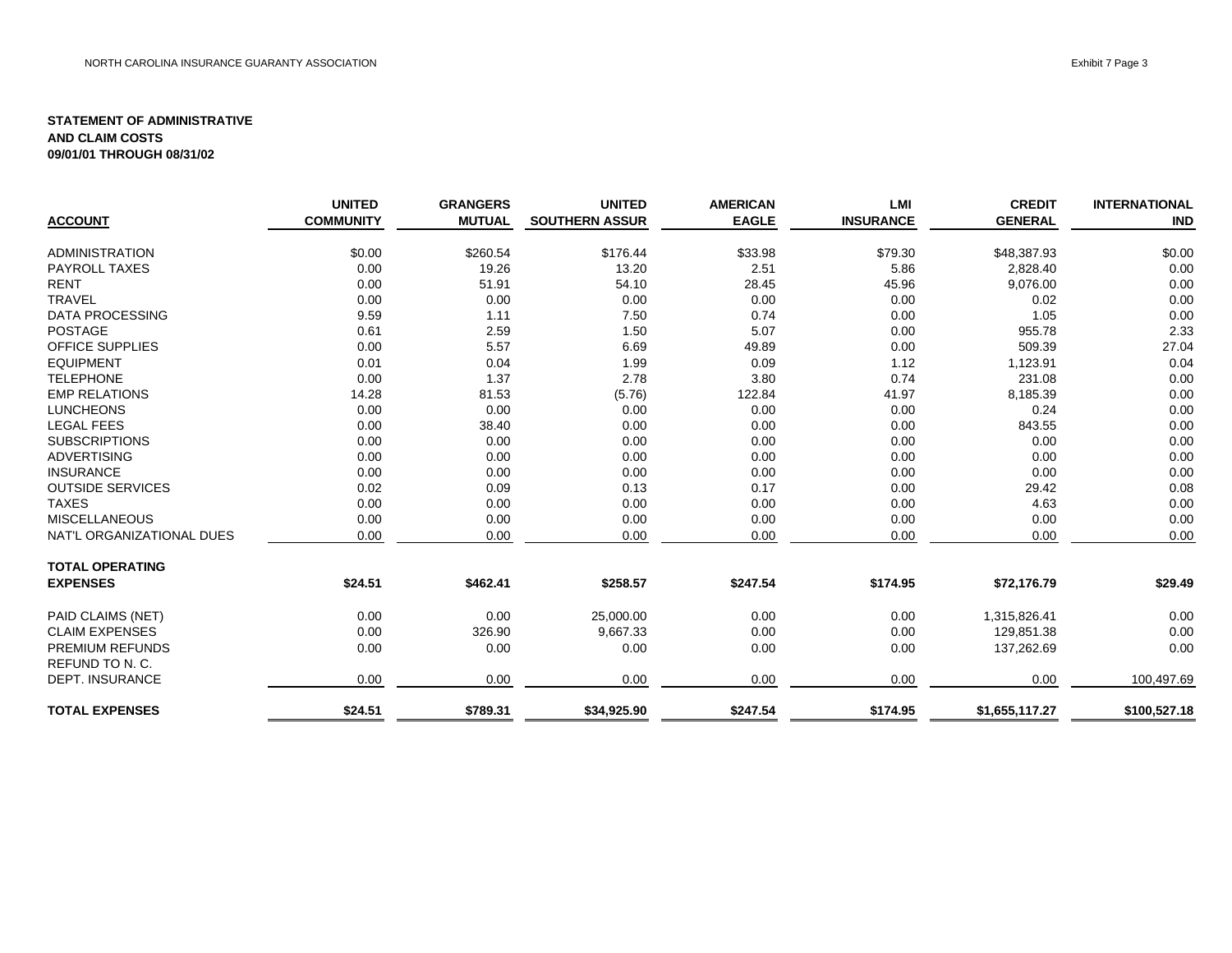|                           | <b>UNITED</b>    | <b>GRANGERS</b> | <b>UNITED</b>         | <b>AMERICAN</b> | <b>LMI</b>       | <b>CREDIT</b>  | <b>INTERNATIONAL</b> |
|---------------------------|------------------|-----------------|-----------------------|-----------------|------------------|----------------|----------------------|
| <b>ACCOUNT</b>            | <b>COMMUNITY</b> | <b>MUTUAL</b>   | <b>SOUTHERN ASSUR</b> | <b>EAGLE</b>    | <b>INSURANCE</b> | <b>GENERAL</b> | <b>IND</b>           |
| ADMINISTRATION            | \$0.00           | \$260.54        | \$176.44              | \$33.98         | \$79.30          | \$48,387.93    | \$0.00               |
| <b>PAYROLL TAXES</b>      | 0.00             | 19.26           | 13.20                 | 2.51            | 5.86             | 2,828.40       | 0.00                 |
| <b>RENT</b>               | 0.00             | 51.91           | 54.10                 | 28.45           | 45.96            | 9,076.00       | 0.00                 |
| <b>TRAVEL</b>             | 0.00             | 0.00            | 0.00                  | 0.00            | 0.00             | 0.02           | 0.00                 |
| DATA PROCESSING           | 9.59             | 1.11            | 7.50                  | 0.74            | 0.00             | 1.05           | 0.00                 |
| <b>POSTAGE</b>            | 0.61             | 2.59            | 1.50                  | 5.07            | 0.00             | 955.78         | 2.33                 |
| <b>OFFICE SUPPLIES</b>    | 0.00             | 5.57            | 6.69                  | 49.89           | 0.00             | 509.39         | 27.04                |
| <b>EQUIPMENT</b>          | 0.01             | 0.04            | 1.99                  | 0.09            | 1.12             | 1,123.91       | 0.04                 |
| <b>TELEPHONE</b>          | 0.00             | 1.37            | 2.78                  | 3.80            | 0.74             | 231.08         | 0.00                 |
| <b>EMP RELATIONS</b>      | 14.28            | 81.53           | (5.76)                | 122.84          | 41.97            | 8,185.39       | 0.00                 |
| <b>LUNCHEONS</b>          | 0.00             | 0.00            | 0.00                  | 0.00            | 0.00             | 0.24           | 0.00                 |
| <b>LEGAL FEES</b>         | 0.00             | 38.40           | 0.00                  | 0.00            | 0.00             | 843.55         | 0.00                 |
| <b>SUBSCRIPTIONS</b>      | 0.00             | 0.00            | 0.00                  | 0.00            | 0.00             | 0.00           | 0.00                 |
| <b>ADVERTISING</b>        | 0.00             | 0.00            | 0.00                  | 0.00            | 0.00             | 0.00           | 0.00                 |
| <b>INSURANCE</b>          | 0.00             | 0.00            | 0.00                  | 0.00            | 0.00             | 0.00           | 0.00                 |
| <b>OUTSIDE SERVICES</b>   | 0.02             | 0.09            | 0.13                  | 0.17            | 0.00             | 29.42          | 0.08                 |
| <b>TAXES</b>              | 0.00             | 0.00            | 0.00                  | 0.00            | 0.00             | 4.63           | 0.00                 |
| <b>MISCELLANEOUS</b>      | 0.00             | 0.00            | 0.00                  | 0.00            | 0.00             | 0.00           | 0.00                 |
| NAT'L ORGANIZATIONAL DUES | 0.00             | 0.00            | 0.00                  | 0.00            | 0.00             | 0.00           | 0.00                 |
| <b>TOTAL OPERATING</b>    |                  |                 |                       |                 |                  |                |                      |
| <b>EXPENSES</b>           | \$24.51          | \$462.41        | \$258.57              | \$247.54        | \$174.95         | \$72,176.79    | \$29.49              |
| PAID CLAIMS (NET)         | 0.00             | 0.00            | 25,000.00             | 0.00            | 0.00             | 1,315,826.41   | 0.00                 |
| <b>CLAIM EXPENSES</b>     | 0.00             | 326.90          | 9,667.33              | 0.00            | 0.00             | 129,851.38     | 0.00                 |
| <b>PREMIUM REFUNDS</b>    | 0.00             | 0.00            | 0.00                  | 0.00            | 0.00             | 137,262.69     | 0.00                 |
| REFUND TO N. C.           |                  |                 |                       |                 |                  |                |                      |
| <b>DEPT. INSURANCE</b>    | 0.00             | 0.00            | 0.00                  | 0.00            | 0.00             | 0.00           | 100,497.69           |
| <b>TOTAL EXPENSES</b>     | \$24.51          | \$789.31        | \$34,925.90           | \$247.54        | \$174.95         | \$1,655,117.27 | \$100,527.18         |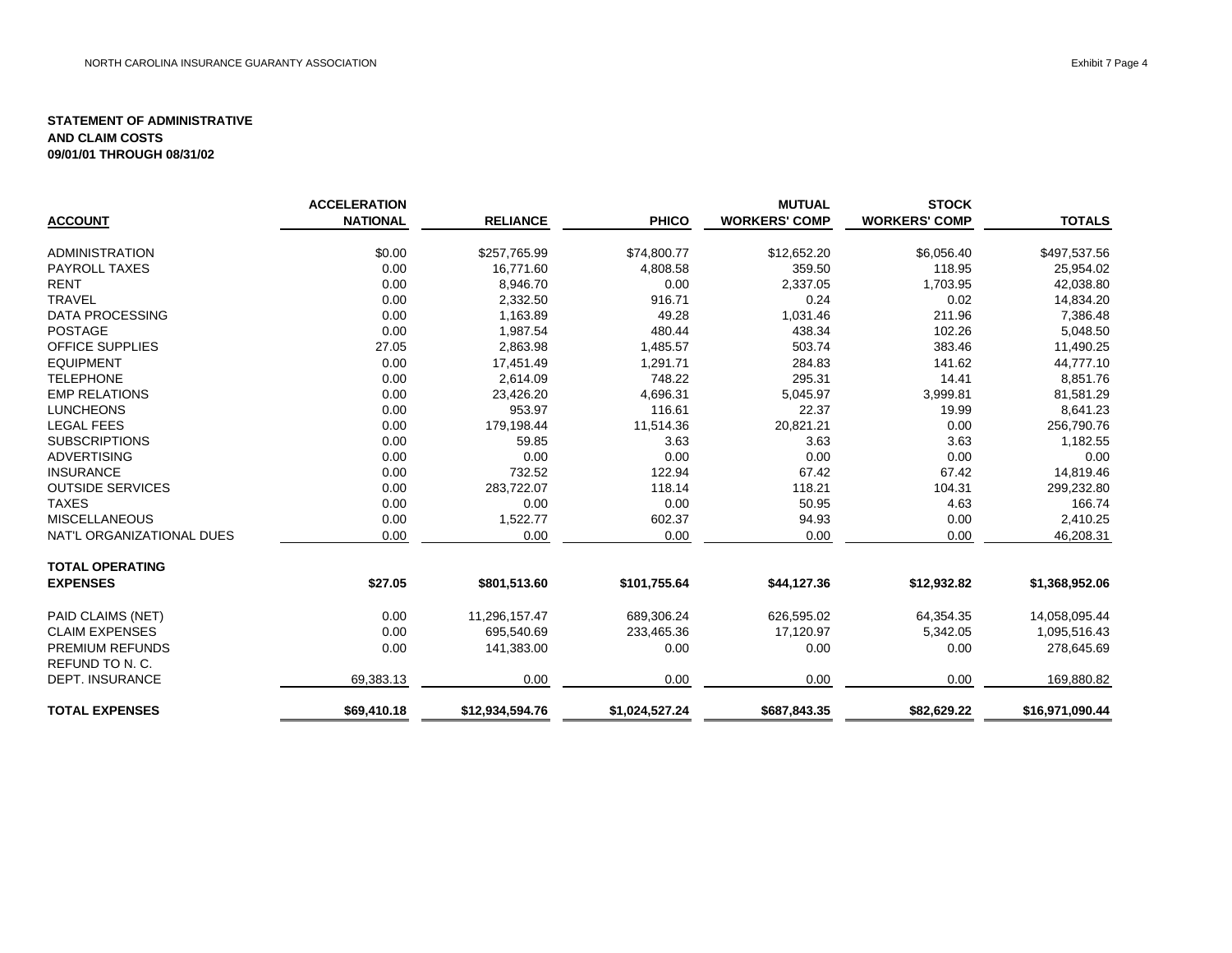|                           | <b>ACCELERATION</b> |                 |                | <b>MUTUAL</b>        | <b>STOCK</b>         |                 |
|---------------------------|---------------------|-----------------|----------------|----------------------|----------------------|-----------------|
| <b>ACCOUNT</b>            | <b>NATIONAL</b>     | <b>RELIANCE</b> | <b>PHICO</b>   | <b>WORKERS' COMP</b> | <b>WORKERS' COMP</b> | <b>TOTALS</b>   |
| <b>ADMINISTRATION</b>     | \$0.00              | \$257,765.99    | \$74,800.77    | \$12,652.20          | \$6,056.40           | \$497,537.56    |
| <b>PAYROLL TAXES</b>      | 0.00                | 16,771.60       | 4,808.58       | 359.50               | 118.95               | 25,954.02       |
| <b>RENT</b>               | 0.00                | 8,946.70        | 0.00           | 2,337.05             | 1,703.95             | 42,038.80       |
| <b>TRAVEL</b>             | 0.00                | 2,332.50        | 916.71         | 0.24                 | 0.02                 | 14,834.20       |
| <b>DATA PROCESSING</b>    | 0.00                | 1,163.89        | 49.28          | 1,031.46             | 211.96               | 7,386.48        |
| <b>POSTAGE</b>            | 0.00                | 1,987.54        | 480.44         | 438.34               | 102.26               | 5,048.50        |
| <b>OFFICE SUPPLIES</b>    | 27.05               | 2,863.98        | 1,485.57       | 503.74               | 383.46               | 11,490.25       |
| <b>EQUIPMENT</b>          | 0.00                | 17,451.49       | 1,291.71       | 284.83               | 141.62               | 44,777.10       |
| <b>TELEPHONE</b>          | 0.00                | 2,614.09        | 748.22         | 295.31               | 14.41                | 8,851.76        |
| <b>EMP RELATIONS</b>      | 0.00                | 23,426.20       | 4,696.31       | 5,045.97             | 3,999.81             | 81,581.29       |
| <b>LUNCHEONS</b>          | 0.00                | 953.97          | 116.61         | 22.37                | 19.99                | 8,641.23        |
| <b>LEGAL FEES</b>         | 0.00                | 179,198.44      | 11,514.36      | 20,821.21            | 0.00                 | 256,790.76      |
| <b>SUBSCRIPTIONS</b>      | 0.00                | 59.85           | 3.63           | 3.63                 | 3.63                 | 1,182.55        |
| <b>ADVERTISING</b>        | 0.00                | 0.00            | 0.00           | 0.00                 | 0.00                 | 0.00            |
| <b>INSURANCE</b>          | 0.00                | 732.52          | 122.94         | 67.42                | 67.42                | 14,819.46       |
| <b>OUTSIDE SERVICES</b>   | 0.00                | 283,722.07      | 118.14         | 118.21               | 104.31               | 299,232.80      |
| <b>TAXES</b>              | 0.00                | 0.00            | 0.00           | 50.95                | 4.63                 | 166.74          |
| <b>MISCELLANEOUS</b>      | 0.00                | 1,522.77        | 602.37         | 94.93                | 0.00                 | 2,410.25        |
| NAT'L ORGANIZATIONAL DUES | 0.00                | 0.00            | 0.00           | 0.00                 | 0.00                 | 46,208.31       |
| <b>TOTAL OPERATING</b>    |                     |                 |                |                      |                      |                 |
| <b>EXPENSES</b>           | \$27.05             | \$801,513.60    | \$101,755.64   | \$44,127.36          | \$12,932.82          | \$1,368,952.06  |
| PAID CLAIMS (NET)         | 0.00                | 11,296,157.47   | 689,306.24     | 626,595.02           | 64,354.35            | 14,058,095.44   |
| <b>CLAIM EXPENSES</b>     | 0.00                | 695,540.69      | 233,465.36     | 17,120.97            | 5,342.05             | 1,095,516.43    |
| <b>PREMIUM REFUNDS</b>    | 0.00                | 141,383.00      | 0.00           | 0.00                 | 0.00                 | 278,645.69      |
| REFUND TO N. C.           |                     |                 |                |                      |                      |                 |
| <b>DEPT. INSURANCE</b>    | 69,383.13           | 0.00            | 0.00           | 0.00                 | 0.00                 | 169,880.82      |
| <b>TOTAL EXPENSES</b>     | \$69,410.18         | \$12,934,594.76 | \$1,024,527.24 | \$687,843.35         | \$82,629.22          | \$16,971,090.44 |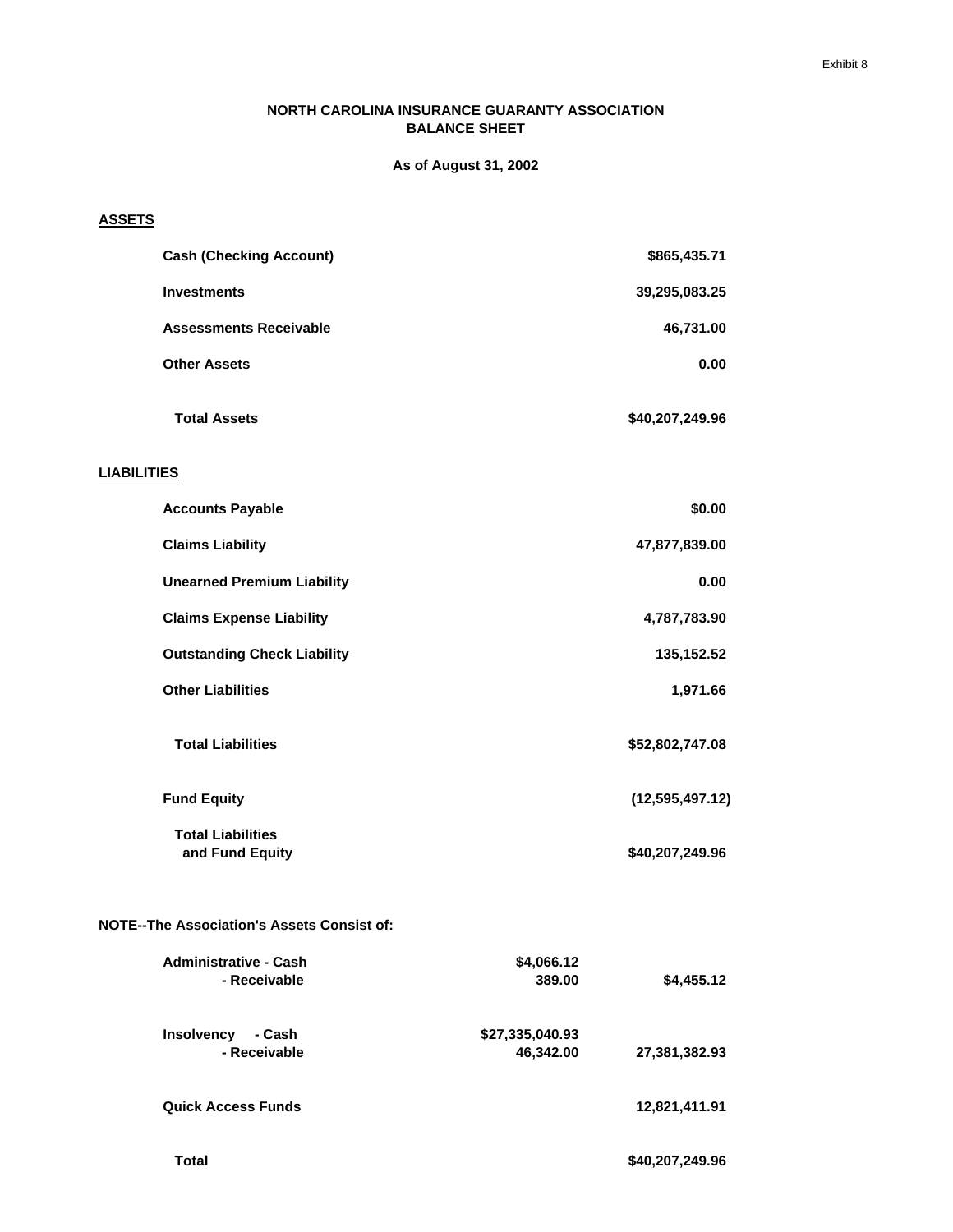#### **NORTH CAROLINA INSURANCE GUARANTY ASSOCIATION BALANCE SHEET**

**As of August 31, 2002**

#### **ASSETS**

| <b>Cash (Checking Account)</b>                    | \$865,435.71                                  |
|---------------------------------------------------|-----------------------------------------------|
| <b>Investments</b>                                | 39,295,083.25                                 |
| <b>Assessments Receivable</b>                     | 46,731.00                                     |
| <b>Other Assets</b>                               | 0.00                                          |
| <b>Total Assets</b>                               | \$40,207,249.96                               |
| <b>LIABILITIES</b>                                |                                               |
| <b>Accounts Payable</b>                           | \$0.00                                        |
| <b>Claims Liability</b>                           | 47,877,839.00                                 |
| <b>Unearned Premium Liability</b>                 | 0.00                                          |
| <b>Claims Expense Liability</b>                   | 4,787,783.90                                  |
| <b>Outstanding Check Liability</b>                | 135, 152.52                                   |
| <b>Other Liabilities</b>                          | 1,971.66                                      |
| <b>Total Liabilities</b>                          | \$52,802,747.08                               |
| <b>Fund Equity</b>                                | (12, 595, 497.12)                             |
| <b>Total Liabilities</b><br>and Fund Equity       | \$40,207,249.96                               |
| <b>NOTE--The Association's Assets Consist of:</b> |                                               |
| <b>Administrative - Cash</b><br>- Receivable      | \$4,066.12<br>389.00<br>\$4,455.12            |
| Insolvency - Cash<br>- Receivable                 | \$27,335,040.93<br>46,342.00<br>27,381,382.93 |
| <b>Quick Access Funds</b>                         | 12,821,411.91                                 |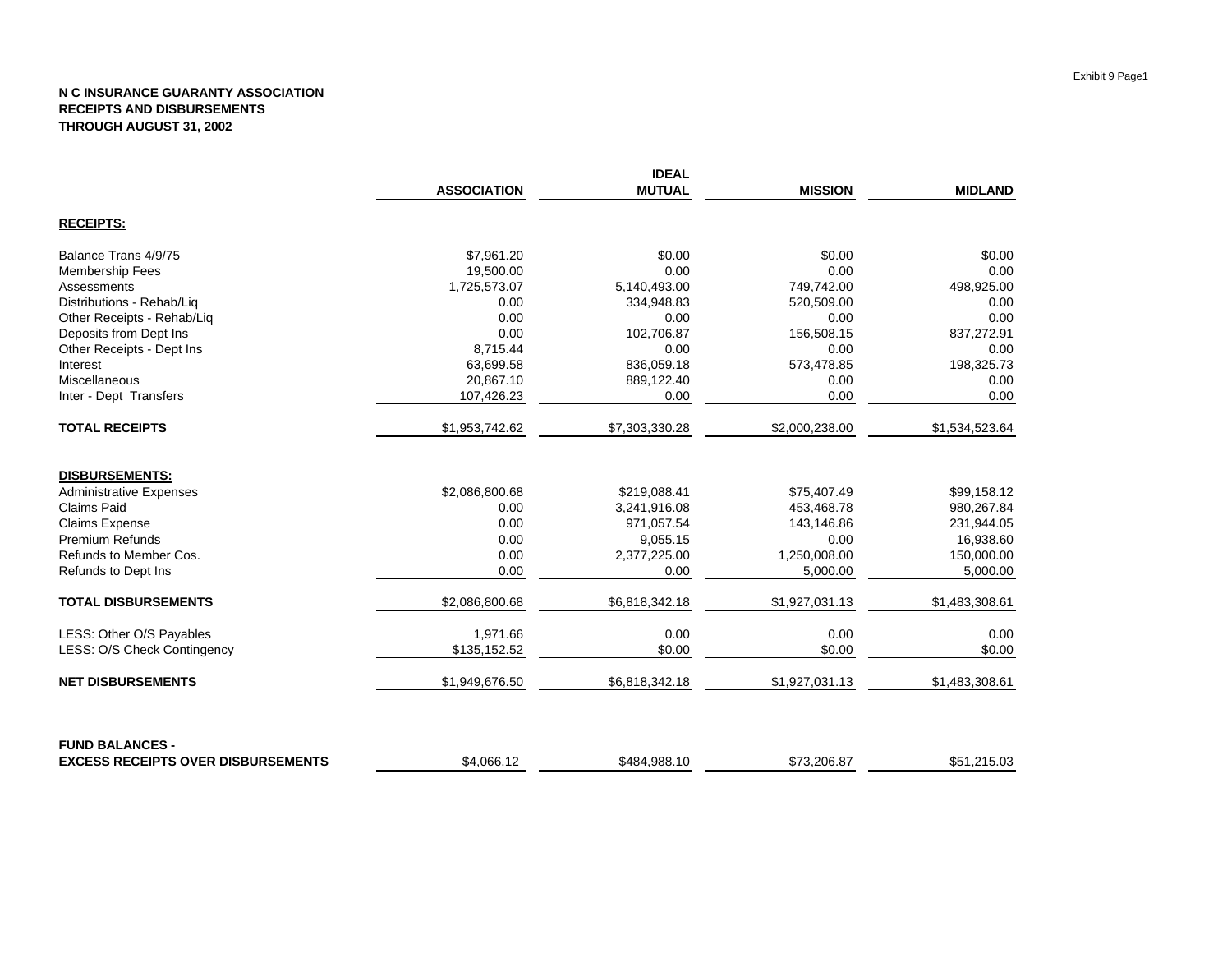|                                           |                    | <b>IDEAL</b>   |                |                |
|-------------------------------------------|--------------------|----------------|----------------|----------------|
|                                           | <b>ASSOCIATION</b> | <b>MUTUAL</b>  | <b>MISSION</b> | <b>MIDLAND</b> |
| <b>RECEIPTS:</b>                          |                    |                |                |                |
| Balance Trans 4/9/75                      | \$7,961.20         | \$0.00         | \$0.00         | \$0.00         |
| <b>Membership Fees</b>                    | 19,500.00          | 0.00           | 0.00           | 0.00           |
| Assessments                               | 1,725,573.07       | 5,140,493.00   | 749,742.00     | 498,925.00     |
| Distributions - Rehab/Liq                 | 0.00               | 334,948.83     | 520,509.00     | 0.00           |
| Other Receipts - Rehab/Liq                | 0.00               | 0.00           | 0.00           | 0.00           |
| Deposits from Dept Ins                    | 0.00               | 102,706.87     | 156,508.15     | 837,272.91     |
| Other Receipts - Dept Ins                 | 8,715.44           | 0.00           | 0.00           | 0.00           |
| Interest                                  | 63,699.58          | 836,059.18     | 573,478.85     | 198,325.73     |
| Miscellaneous                             | 20,867.10          | 889,122.40     | 0.00           | 0.00           |
| Inter - Dept Transfers                    | 107,426.23         | 0.00           | 0.00           | 0.00           |
| <b>TOTAL RECEIPTS</b>                     | \$1,953,742.62     | \$7,303,330.28 | \$2,000,238.00 | \$1,534,523.64 |
| <b>DISBURSEMENTS:</b>                     |                    |                |                |                |
| <b>Administrative Expenses</b>            | \$2,086,800.68     | \$219,088.41   | \$75,407.49    | \$99,158.12    |
| <b>Claims Paid</b>                        | 0.00               | 3,241,916.08   | 453,468.78     | 980,267.84     |
| <b>Claims Expense</b>                     | 0.00               | 971,057.54     | 143,146.86     | 231,944.05     |
| <b>Premium Refunds</b>                    | 0.00               | 9,055.15       | 0.00           | 16,938.60      |
| Refunds to Member Cos.                    | 0.00               | 2,377,225.00   | 1,250,008.00   | 150,000.00     |
| Refunds to Dept Ins                       | 0.00               | 0.00           | 5,000.00       | 5,000.00       |
| <b>TOTAL DISBURSEMENTS</b>                | \$2,086,800.68     | \$6,818,342.18 | \$1,927,031.13 | \$1,483,308.61 |
| LESS: Other O/S Payables                  | 1,971.66           | 0.00           | 0.00           | 0.00           |
| LESS: O/S Check Contingency               | \$135,152.52       | \$0.00         | \$0.00         | \$0.00         |
| <b>NET DISBURSEMENTS</b>                  | \$1,949,676.50     | \$6,818,342.18 | \$1,927,031.13 | \$1,483,308.61 |
| <b>FUND BALANCES -</b>                    |                    |                |                |                |
| <b>EXCESS RECEIPTS OVER DISBURSEMENTS</b> | \$4.066.12         | \$484.988.10   | \$73,206.87    | \$51.215.03    |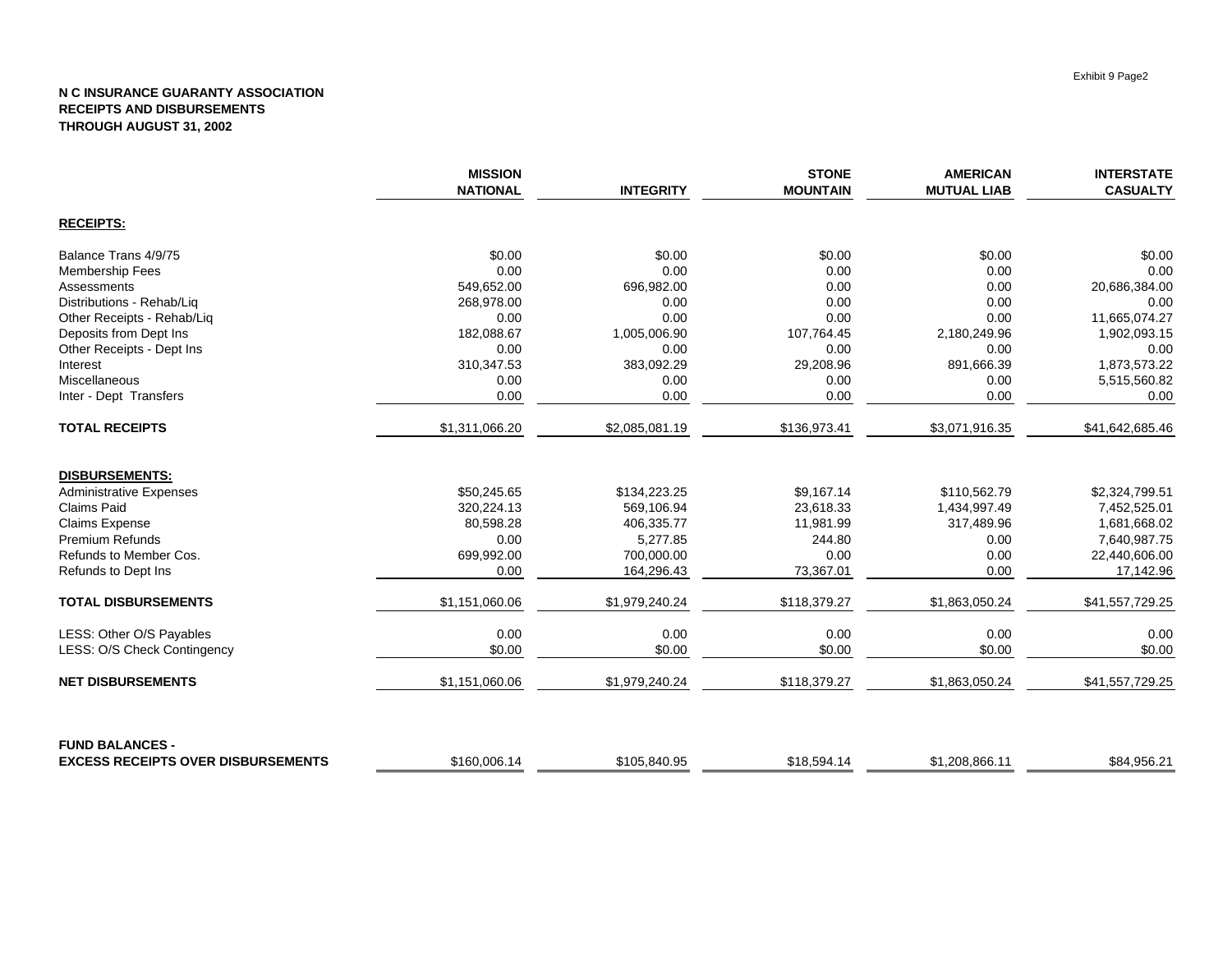|                                           | <b>MISSION</b><br><b>NATIONAL</b> | <b>INTEGRITY</b> | <b>STONE</b><br><b>MOUNTAIN</b> | <b>AMERICAN</b><br><b>MUTUAL LIAB</b> | <b>INTERSTATE</b><br><b>CASUALTY</b> |
|-------------------------------------------|-----------------------------------|------------------|---------------------------------|---------------------------------------|--------------------------------------|
| <b>RECEIPTS:</b>                          |                                   |                  |                                 |                                       |                                      |
| Balance Trans 4/9/75                      | \$0.00                            | \$0.00           | \$0.00                          | \$0.00                                | \$0.00                               |
| <b>Membership Fees</b>                    | 0.00                              | 0.00             | 0.00                            | 0.00                                  | 0.00                                 |
| Assessments                               | 549,652.00                        | 696,982.00       | 0.00                            | 0.00                                  | 20,686,384.00                        |
| Distributions - Rehab/Liq                 | 268,978.00                        | 0.00             | 0.00                            | 0.00                                  | 0.00                                 |
| Other Receipts - Rehab/Liq                | 0.00                              | 0.00             | 0.00                            | 0.00                                  | 11,665,074.27                        |
| Deposits from Dept Ins                    | 182,088.67                        | 1,005,006.90     | 107,764.45                      | 2,180,249.96                          | 1,902,093.15                         |
| Other Receipts - Dept Ins                 | 0.00                              | 0.00             | 0.00                            | 0.00                                  | 0.00                                 |
| Interest                                  | 310,347.53                        | 383,092.29       | 29,208.96                       | 891,666.39                            | 1,873,573.22                         |
| Miscellaneous                             | 0.00                              | 0.00             | 0.00                            | 0.00                                  | 5,515,560.82                         |
| Inter - Dept Transfers                    | 0.00                              | 0.00             | 0.00                            | 0.00                                  | 0.00                                 |
| <b>TOTAL RECEIPTS</b>                     | \$1,311,066.20                    | \$2,085,081.19   | \$136,973.41                    | \$3,071,916.35                        | \$41,642,685.46                      |
| <b>DISBURSEMENTS:</b>                     |                                   |                  |                                 |                                       |                                      |
| <b>Administrative Expenses</b>            | \$50,245.65                       | \$134,223.25     | \$9,167.14                      | \$110,562.79                          | \$2,324,799.51                       |
| Claims Paid                               | 320,224.13                        | 569,106.94       | 23,618.33                       | 1,434,997.49                          | 7,452,525.01                         |
| <b>Claims Expense</b>                     | 80,598.28                         | 406,335.77       | 11,981.99                       | 317,489.96                            | 1,681,668.02                         |
| <b>Premium Refunds</b>                    | 0.00                              | 5,277.85         | 244.80                          | 0.00                                  | 7,640,987.75                         |
| Refunds to Member Cos.                    | 699,992.00                        | 700,000.00       | 0.00                            | 0.00                                  | 22,440,606.00                        |
| Refunds to Dept Ins                       | 0.00                              | 164,296.43       | 73,367.01                       | 0.00                                  | 17,142.96                            |
| <b>TOTAL DISBURSEMENTS</b>                | \$1,151,060.06                    | \$1,979,240.24   | \$118,379.27                    | \$1,863,050.24                        | \$41,557,729.25                      |
| LESS: Other O/S Payables                  | 0.00                              | 0.00             | 0.00                            | 0.00                                  | 0.00                                 |
| LESS: O/S Check Contingency               | \$0.00                            | \$0.00           | \$0.00                          | \$0.00                                | \$0.00                               |
| <b>NET DISBURSEMENTS</b>                  | \$1,151,060.06                    | \$1,979,240.24   | \$118,379.27                    | \$1,863,050.24                        | \$41,557,729.25                      |
| <b>FUND BALANCES -</b>                    |                                   |                  |                                 |                                       |                                      |
| <b>EXCESS RECEIPTS OVER DISBURSEMENTS</b> | \$160,006.14                      | \$105,840.95     | \$18,594.14                     | \$1,208,866.11                        | \$84,956.21                          |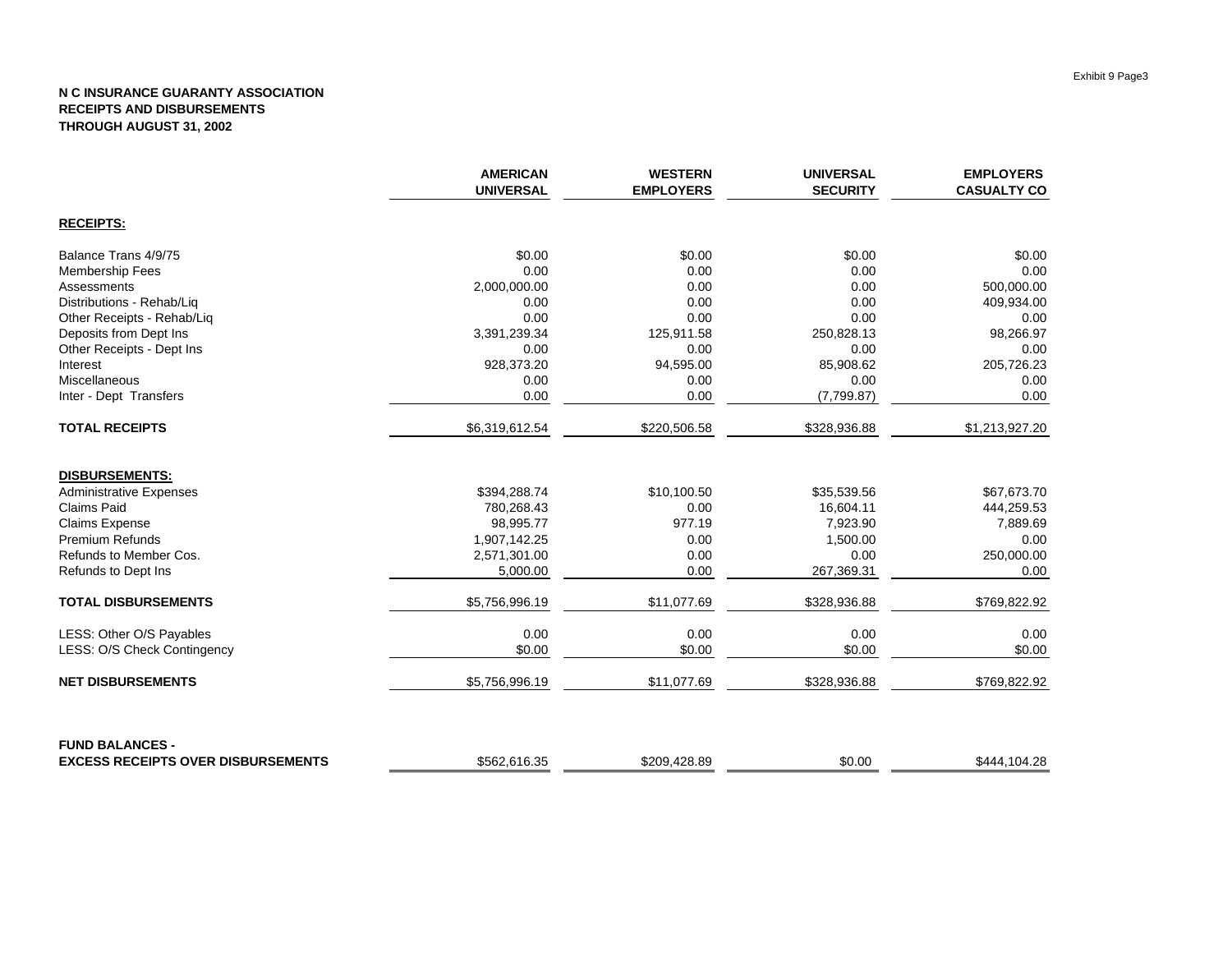|                                           | <b>AMERICAN</b><br><b>UNIVERSAL</b> | <b>WESTERN</b><br><b>EMPLOYERS</b> | <b>UNIVERSAL</b><br><b>SECURITY</b> | <b>EMPLOYERS</b><br><b>CASUALTY CO</b> |
|-------------------------------------------|-------------------------------------|------------------------------------|-------------------------------------|----------------------------------------|
| <b>RECEIPTS:</b>                          |                                     |                                    |                                     |                                        |
| Balance Trans 4/9/75                      | \$0.00                              | \$0.00                             | \$0.00                              | \$0.00                                 |
| <b>Membership Fees</b>                    | 0.00                                | 0.00                               | 0.00                                | 0.00                                   |
| Assessments                               | 2,000,000.00                        | 0.00                               | 0.00                                | 500,000.00                             |
| Distributions - Rehab/Liq                 | 0.00                                | 0.00                               | 0.00                                | 409,934.00                             |
| Other Receipts - Rehab/Lig                | 0.00                                | 0.00                               | 0.00                                | 0.00                                   |
| Deposits from Dept Ins                    | 3,391,239.34                        | 125,911.58                         | 250,828.13                          | 98,266.97                              |
| Other Receipts - Dept Ins                 | 0.00                                | 0.00                               | 0.00                                | 0.00                                   |
| Interest                                  | 928,373.20                          | 94,595.00                          | 85,908.62                           | 205,726.23                             |
| Miscellaneous                             | 0.00                                | 0.00                               | 0.00                                | 0.00                                   |
| Inter - Dept Transfers                    | 0.00                                | 0.00                               | (7,799.87)                          | 0.00                                   |
| <b>TOTAL RECEIPTS</b>                     | \$6,319,612.54                      | \$220,506.58                       | \$328,936.88                        | \$1,213,927.20                         |
| <b>DISBURSEMENTS:</b>                     |                                     |                                    |                                     |                                        |
| <b>Administrative Expenses</b>            | \$394,288.74                        | \$10,100.50                        | \$35,539.56                         | \$67,673.70                            |
| <b>Claims Paid</b>                        | 780,268.43                          | 0.00                               | 16,604.11                           | 444,259.53                             |
| Claims Expense                            | 98,995.77                           | 977.19                             | 7,923.90                            | 7,889.69                               |
| Premium Refunds                           | 1,907,142.25                        | 0.00                               | 1,500.00                            | 0.00                                   |
| Refunds to Member Cos.                    | 2,571,301.00                        | 0.00                               | 0.00                                | 250,000.00                             |
| Refunds to Dept Ins                       | 5,000.00                            | 0.00                               | 267,369.31                          | 0.00                                   |
| <b>TOTAL DISBURSEMENTS</b>                | \$5,756,996.19                      | \$11,077.69                        | \$328,936.88                        | \$769,822.92                           |
| LESS: Other O/S Payables                  | 0.00                                | 0.00                               | 0.00                                | 0.00                                   |
| LESS: O/S Check Contingency               | \$0.00                              | \$0.00                             | \$0.00                              | \$0.00                                 |
| <b>NET DISBURSEMENTS</b>                  | \$5,756,996.19                      | \$11,077.69                        | \$328,936.88                        | \$769,822.92                           |
| <b>FUND BALANCES -</b>                    |                                     |                                    |                                     |                                        |
| <b>EXCESS RECEIPTS OVER DISBURSEMENTS</b> | \$562,616.35                        | \$209,428.89                       | \$0.00                              | \$444,104.28                           |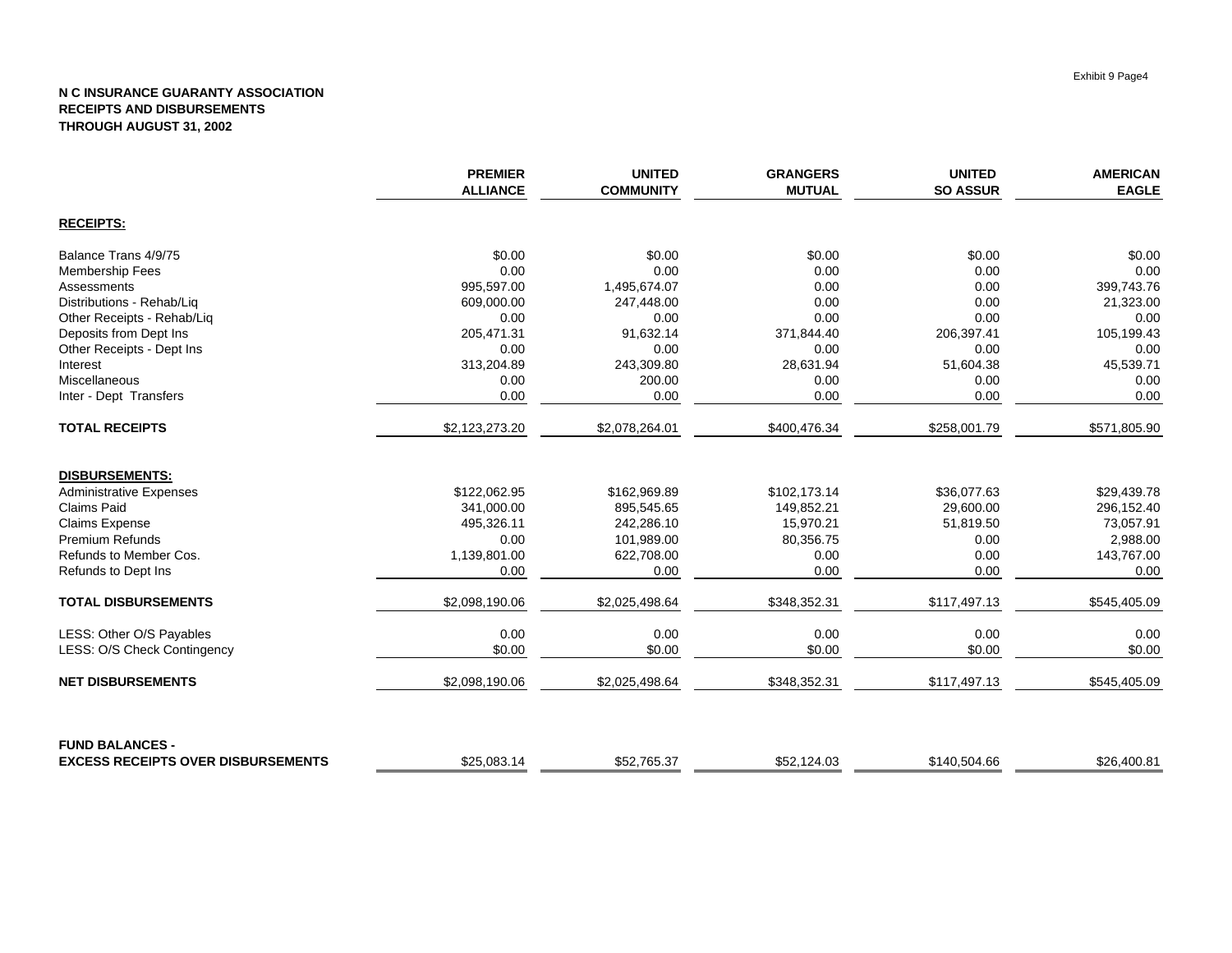|                                           | <b>PREMIER</b><br><b>ALLIANCE</b> | <b>UNITED</b><br><b>COMMUNITY</b> | <b>GRANGERS</b><br><b>MUTUAL</b> | <b>UNITED</b><br><b>SO ASSUR</b> | <b>AMERICAN</b><br><b>EAGLE</b> |
|-------------------------------------------|-----------------------------------|-----------------------------------|----------------------------------|----------------------------------|---------------------------------|
| <b>RECEIPTS:</b>                          |                                   |                                   |                                  |                                  |                                 |
| Balance Trans 4/9/75                      | \$0.00                            | \$0.00                            | \$0.00                           | \$0.00                           | \$0.00                          |
| <b>Membership Fees</b>                    | 0.00                              | 0.00                              | 0.00                             | 0.00                             | 0.00                            |
| Assessments                               | 995,597.00                        | 1,495,674.07                      | 0.00                             | 0.00                             | 399,743.76                      |
| Distributions - Rehab/Liq                 | 609,000.00                        | 247,448.00                        | 0.00                             | 0.00                             | 21,323.00                       |
| Other Receipts - Rehab/Liq                | 0.00                              | 0.00                              | 0.00                             | 0.00                             | 0.00                            |
| Deposits from Dept Ins                    | 205,471.31                        | 91,632.14                         | 371,844.40                       | 206,397.41                       | 105,199.43                      |
| Other Receipts - Dept Ins                 | 0.00                              | 0.00                              | 0.00                             | 0.00                             | 0.00                            |
| Interest                                  | 313,204.89                        | 243,309.80                        | 28,631.94                        | 51,604.38                        | 45,539.71                       |
| Miscellaneous                             | 0.00                              | 200.00                            | 0.00                             | 0.00                             | 0.00                            |
| Inter - Dept Transfers                    | 0.00                              | 0.00                              | 0.00                             | 0.00                             | 0.00                            |
| <b>TOTAL RECEIPTS</b>                     | \$2,123,273.20                    | \$2,078,264.01                    | \$400,476.34                     | \$258,001.79                     | \$571,805.90                    |
| <b>DISBURSEMENTS:</b>                     |                                   |                                   |                                  |                                  |                                 |
| <b>Administrative Expenses</b>            | \$122,062.95                      | \$162,969.89                      | \$102,173.14                     | \$36,077.63                      | \$29,439.78                     |
| Claims Paid                               | 341,000.00                        | 895,545.65                        | 149,852.21                       | 29,600.00                        | 296,152.40                      |
| <b>Claims Expense</b>                     | 495,326.11                        | 242,286.10                        | 15,970.21                        | 51,819.50                        | 73,057.91                       |
| <b>Premium Refunds</b>                    | 0.00                              | 101,989.00                        | 80,356.75                        | 0.00                             | 2,988.00                        |
| Refunds to Member Cos.                    | 1,139,801.00                      | 622,708.00                        | 0.00                             | 0.00                             | 143,767.00                      |
| Refunds to Dept Ins                       | 0.00                              | 0.00                              | 0.00                             | 0.00                             | 0.00                            |
| <b>TOTAL DISBURSEMENTS</b>                | \$2,098,190.06                    | \$2,025,498.64                    | \$348,352.31                     | \$117,497.13                     | \$545,405.09                    |
| LESS: Other O/S Payables                  | 0.00                              | 0.00                              | 0.00                             | 0.00                             | 0.00                            |
| LESS: O/S Check Contingency               | \$0.00                            | \$0.00                            | \$0.00                           | \$0.00                           | \$0.00                          |
| <b>NET DISBURSEMENTS</b>                  | \$2,098,190.06                    | \$2,025,498.64                    | \$348,352.31                     | \$117,497.13                     | \$545,405.09                    |
| <b>FUND BALANCES -</b>                    |                                   |                                   |                                  |                                  |                                 |
| <b>EXCESS RECEIPTS OVER DISBURSEMENTS</b> | \$25,083.14                       | \$52.765.37                       | \$52,124.03                      | \$140,504.66                     | \$26.400.81                     |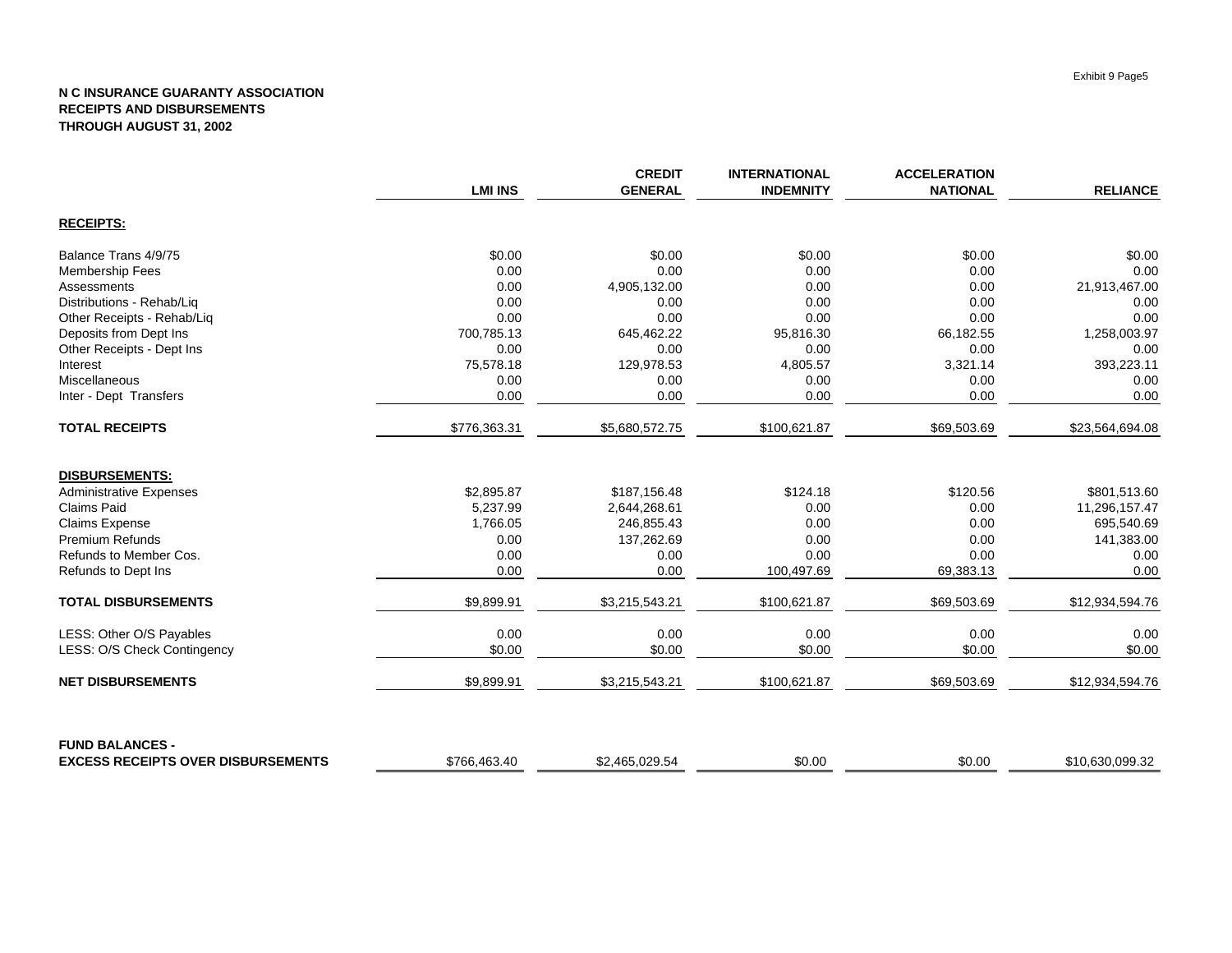|                                           | <b>LMI INS</b> | <b>CREDIT</b><br><b>GENERAL</b> | <b>INTERNATIONAL</b><br><b>INDEMNITY</b> | <b>ACCELERATION</b><br><b>NATIONAL</b> | <b>RELIANCE</b> |
|-------------------------------------------|----------------|---------------------------------|------------------------------------------|----------------------------------------|-----------------|
|                                           |                |                                 |                                          |                                        |                 |
| <b>RECEIPTS:</b>                          |                |                                 |                                          |                                        |                 |
| Balance Trans 4/9/75                      | \$0.00         | \$0.00                          | \$0.00                                   | \$0.00                                 | \$0.00          |
| <b>Membership Fees</b>                    | 0.00           | 0.00                            | 0.00                                     | 0.00                                   | 0.00            |
| Assessments                               | 0.00           | 4,905,132.00                    | 0.00                                     | 0.00                                   | 21,913,467.00   |
| Distributions - Rehab/Liq                 | 0.00           | 0.00                            | 0.00                                     | 0.00                                   | 0.00            |
| Other Receipts - Rehab/Liq                | 0.00           | 0.00                            | 0.00                                     | 0.00                                   | 0.00            |
| Deposits from Dept Ins                    | 700,785.13     | 645,462.22                      | 95,816.30                                | 66,182.55                              | 1,258,003.97    |
| Other Receipts - Dept Ins                 | 0.00           | 0.00                            | 0.00                                     | 0.00                                   | 0.00            |
| Interest                                  | 75,578.18      | 129,978.53                      | 4,805.57                                 | 3,321.14                               | 393,223.11      |
| Miscellaneous                             | 0.00           | 0.00                            | 0.00                                     | 0.00                                   | 0.00            |
| Inter - Dept Transfers                    | 0.00           | 0.00                            | 0.00                                     | 0.00                                   | 0.00            |
| <b>TOTAL RECEIPTS</b>                     | \$776,363.31   | \$5,680,572.75                  | \$100,621.87                             | \$69,503.69                            | \$23,564,694.08 |
| <b>DISBURSEMENTS:</b>                     |                |                                 |                                          |                                        |                 |
| <b>Administrative Expenses</b>            | \$2,895.87     | \$187,156.48                    | \$124.18                                 | \$120.56                               | \$801,513.60    |
| <b>Claims Paid</b>                        | 5,237.99       | 2,644,268.61                    | 0.00                                     | 0.00                                   | 11,296,157.47   |
| Claims Expense                            | 1,766.05       | 246,855.43                      | 0.00                                     | 0.00                                   | 695,540.69      |
| Premium Refunds                           | 0.00           | 137,262.69                      | 0.00                                     | 0.00                                   | 141,383.00      |
| Refunds to Member Cos.                    | 0.00           | 0.00                            | 0.00                                     | 0.00                                   | 0.00            |
| Refunds to Dept Ins                       | 0.00           | 0.00                            | 100,497.69                               | 69,383.13                              | 0.00            |
| <b>TOTAL DISBURSEMENTS</b>                | \$9,899.91     | \$3,215,543.21                  | \$100,621.87                             | \$69,503.69                            | \$12,934,594.76 |
| LESS: Other O/S Payables                  | 0.00           | 0.00                            | 0.00                                     | 0.00                                   | 0.00            |
| LESS: O/S Check Contingency               | \$0.00         | \$0.00                          | \$0.00                                   | \$0.00                                 | \$0.00          |
| <b>NET DISBURSEMENTS</b>                  | \$9,899.91     | \$3,215,543.21                  | \$100,621.87                             | \$69,503.69                            | \$12,934,594.76 |
| <b>FUND BALANCES -</b>                    |                |                                 |                                          |                                        |                 |
| <b>EXCESS RECEIPTS OVER DISBURSEMENTS</b> | \$766,463.40   | \$2,465,029.54                  | \$0.00                                   | \$0.00                                 | \$10,630,099.32 |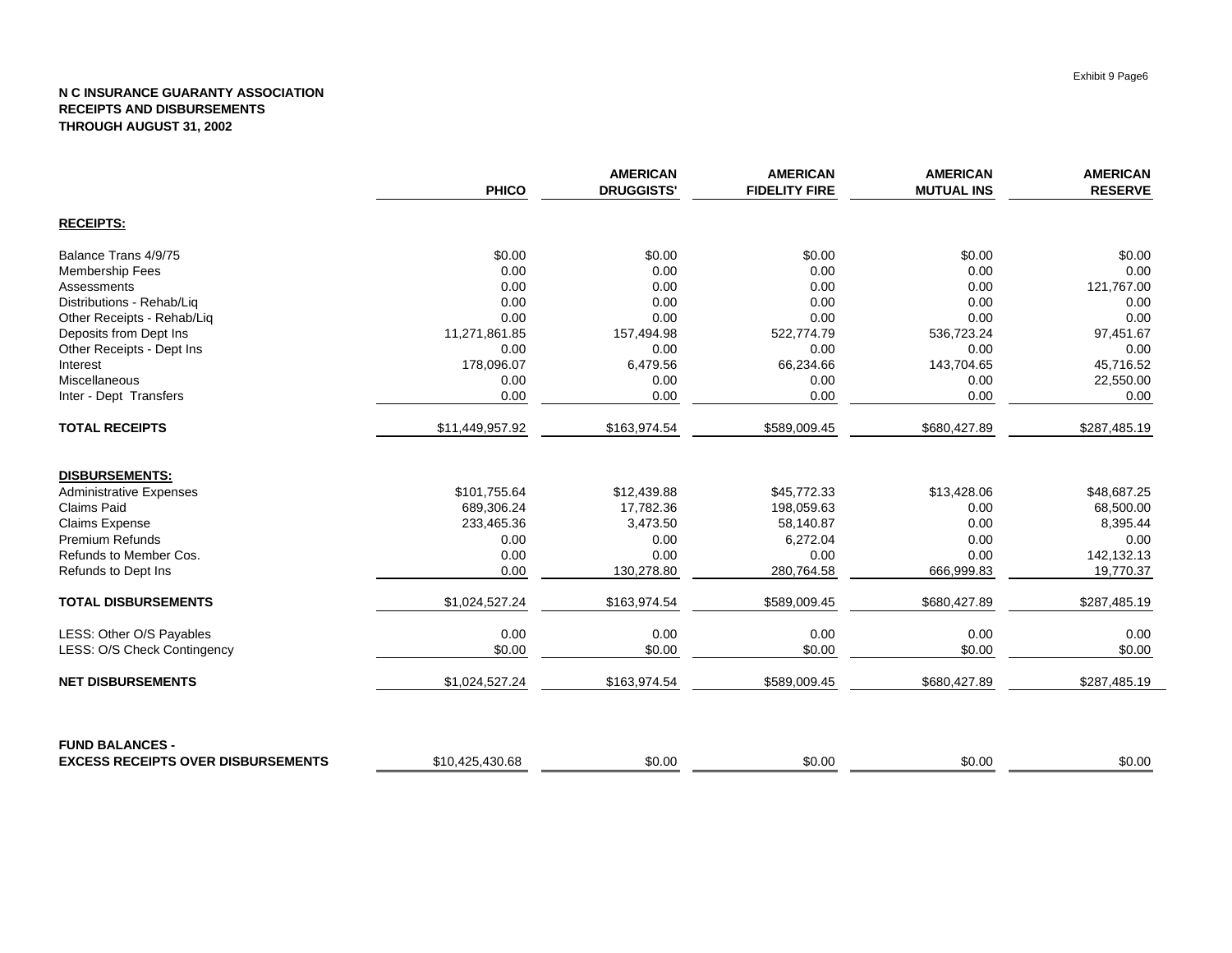|                                           | <b>PHICO</b>    | <b>AMERICAN</b><br><b>DRUGGISTS'</b> | <b>AMERICAN</b><br><b>FIDELITY FIRE</b> | <b>AMERICAN</b><br><b>MUTUAL INS</b> | <b>AMERICAN</b><br><b>RESERVE</b> |
|-------------------------------------------|-----------------|--------------------------------------|-----------------------------------------|--------------------------------------|-----------------------------------|
| <b>RECEIPTS:</b>                          |                 |                                      |                                         |                                      |                                   |
| Balance Trans 4/9/75                      | \$0.00          | \$0.00                               | \$0.00                                  | \$0.00                               | \$0.00                            |
| <b>Membership Fees</b>                    | 0.00            | 0.00                                 | 0.00                                    | 0.00                                 | 0.00                              |
| Assessments                               | 0.00            | 0.00                                 | 0.00                                    | 0.00                                 | 121,767.00                        |
| Distributions - Rehab/Liq                 | 0.00            | 0.00                                 | 0.00                                    | 0.00                                 | 0.00                              |
| Other Receipts - Rehab/Liq                | 0.00            | 0.00                                 | 0.00                                    | 0.00                                 | 0.00                              |
| Deposits from Dept Ins                    | 11,271,861.85   | 157,494.98                           | 522,774.79                              | 536,723.24                           | 97,451.67                         |
| Other Receipts - Dept Ins                 | 0.00            | 0.00                                 | 0.00                                    | 0.00                                 | 0.00                              |
| Interest                                  | 178,096.07      | 6,479.56                             | 66,234.66                               | 143,704.65                           | 45,716.52                         |
| Miscellaneous                             | 0.00            | 0.00                                 | 0.00                                    | 0.00                                 | 22,550.00                         |
| Inter - Dept Transfers                    | 0.00            | 0.00                                 | 0.00                                    | 0.00                                 | 0.00                              |
| <b>TOTAL RECEIPTS</b>                     | \$11,449,957.92 | \$163,974.54                         | \$589,009.45                            | \$680,427.89                         | \$287,485.19                      |
| <b>DISBURSEMENTS:</b>                     |                 |                                      |                                         |                                      |                                   |
| <b>Administrative Expenses</b>            | \$101,755.64    | \$12,439.88                          | \$45,772.33                             | \$13,428.06                          | \$48,687.25                       |
| <b>Claims Paid</b>                        | 689,306.24      | 17,782.36                            | 198,059.63                              | 0.00                                 | 68,500.00                         |
| <b>Claims Expense</b>                     | 233,465.36      | 3,473.50                             | 58,140.87                               | 0.00                                 | 8,395.44                          |
| <b>Premium Refunds</b>                    | 0.00            | 0.00                                 | 6,272.04                                | 0.00                                 | 0.00                              |
| Refunds to Member Cos.                    | 0.00            | 0.00                                 | 0.00                                    | 0.00                                 | 142,132.13                        |
| Refunds to Dept Ins                       | 0.00            | 130,278.80                           | 280,764.58                              | 666,999.83                           | 19,770.37                         |
| <b>TOTAL DISBURSEMENTS</b>                | \$1,024,527.24  | \$163,974.54                         | \$589,009.45                            | \$680,427.89                         | \$287,485.19                      |
| LESS: Other O/S Payables                  | 0.00            | 0.00                                 | 0.00                                    | 0.00                                 | 0.00                              |
| LESS: O/S Check Contingency               | \$0.00          | \$0.00                               | \$0.00                                  | \$0.00                               | \$0.00                            |
| <b>NET DISBURSEMENTS</b>                  | \$1,024,527.24  | \$163,974.54                         | \$589,009.45                            | \$680,427.89                         | \$287,485.19                      |
| <b>FUND BALANCES -</b>                    |                 |                                      |                                         |                                      |                                   |
| <b>EXCESS RECEIPTS OVER DISBURSEMENTS</b> | \$10,425,430.68 | \$0.00                               | \$0.00                                  | \$0.00                               | \$0.00                            |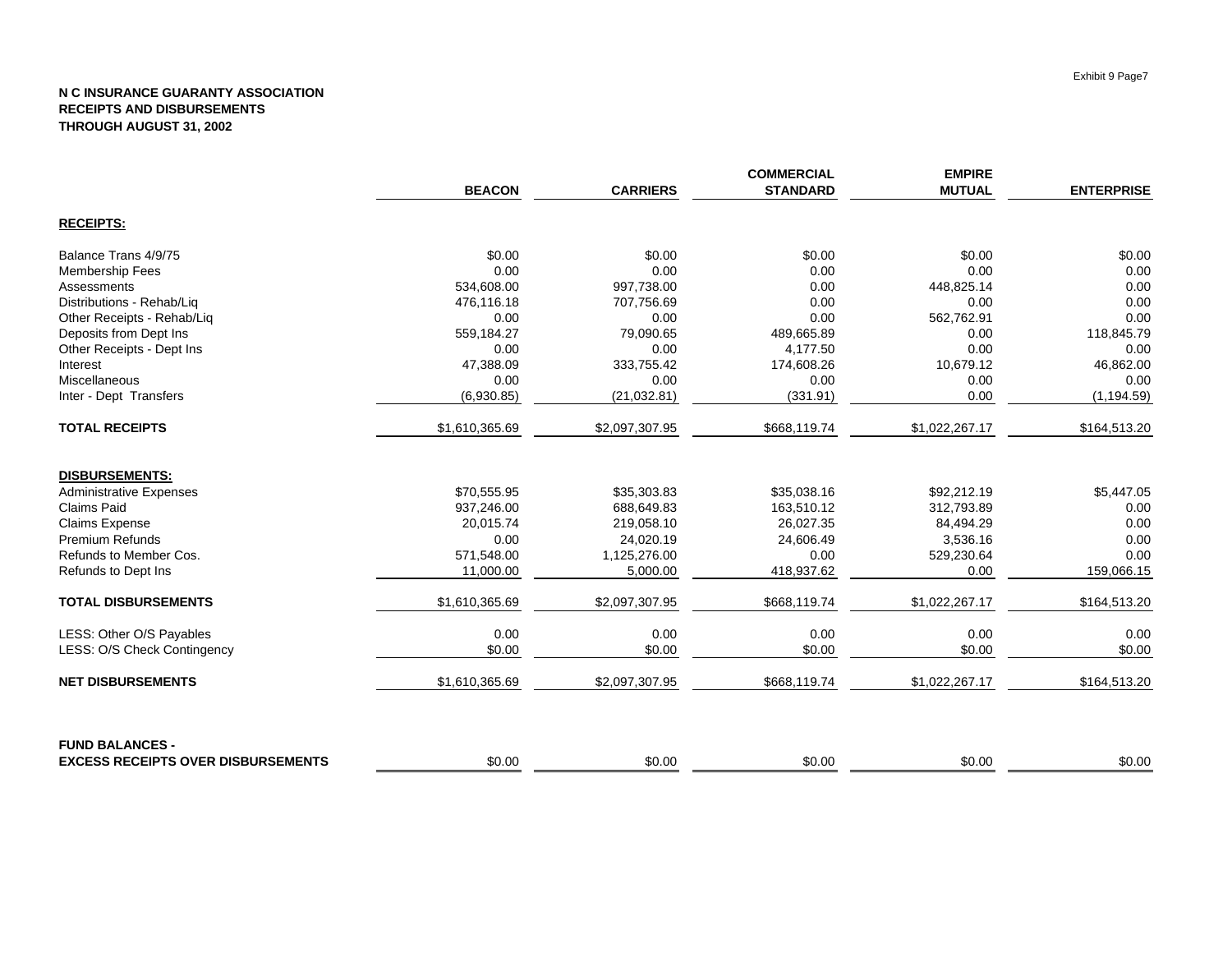|                                           |                |                 | <b>COMMERCIAL</b> | <b>EMPIRE</b>  |                   |
|-------------------------------------------|----------------|-----------------|-------------------|----------------|-------------------|
|                                           | <b>BEACON</b>  | <b>CARRIERS</b> | <b>STANDARD</b>   | <b>MUTUAL</b>  | <b>ENTERPRISE</b> |
| <b>RECEIPTS:</b>                          |                |                 |                   |                |                   |
| Balance Trans 4/9/75                      | \$0.00         | \$0.00          | \$0.00            | \$0.00         | \$0.00            |
| <b>Membership Fees</b>                    | 0.00           | 0.00            | 0.00              | 0.00           | 0.00              |
| Assessments                               | 534,608.00     | 997,738.00      | 0.00              | 448,825.14     | 0.00              |
| Distributions - Rehab/Liq                 | 476,116.18     | 707,756.69      | 0.00              | 0.00           | 0.00              |
| Other Receipts - Rehab/Liq                | 0.00           | 0.00            | 0.00              | 562,762.91     | 0.00              |
| Deposits from Dept Ins                    | 559,184.27     | 79,090.65       | 489,665.89        | 0.00           | 118,845.79        |
| Other Receipts - Dept Ins                 | 0.00           | 0.00            | 4,177.50          | 0.00           | 0.00              |
| Interest                                  | 47,388.09      | 333,755.42      | 174,608.26        | 10,679.12      | 46,862.00         |
| Miscellaneous                             | 0.00           | 0.00            | 0.00              | 0.00           | 0.00              |
| Inter - Dept Transfers                    | (6,930.85)     | (21, 032.81)    | (331.91)          | 0.00           | (1, 194.59)       |
| <b>TOTAL RECEIPTS</b>                     | \$1,610,365.69 | \$2,097,307.95  | \$668,119.74      | \$1,022,267.17 | \$164,513.20      |
| <b>DISBURSEMENTS:</b>                     |                |                 |                   |                |                   |
| <b>Administrative Expenses</b>            | \$70.555.95    | \$35,303.83     | \$35,038.16       | \$92,212.19    | \$5,447.05        |
| <b>Claims Paid</b>                        | 937,246.00     | 688,649.83      | 163,510.12        | 312,793.89     | 0.00              |
| <b>Claims Expense</b>                     | 20,015.74      | 219,058.10      | 26,027.35         | 84,494.29      | 0.00              |
| <b>Premium Refunds</b>                    | 0.00           | 24,020.19       | 24,606.49         | 3,536.16       | 0.00              |
| Refunds to Member Cos.                    | 571,548.00     | 1,125,276.00    | 0.00              | 529,230.64     | 0.00              |
| Refunds to Dept Ins                       | 11,000.00      | 5,000.00        | 418,937.62        | 0.00           | 159,066.15        |
| <b>TOTAL DISBURSEMENTS</b>                | \$1,610,365.69 | \$2,097,307.95  | \$668,119.74      | \$1,022,267.17 | \$164,513.20      |
| LESS: Other O/S Payables                  | 0.00           | 0.00            | 0.00              | 0.00           | 0.00              |
| LESS: O/S Check Contingency               | \$0.00         | \$0.00          | \$0.00            | \$0.00         | \$0.00            |
| <b>NET DISBURSEMENTS</b>                  | \$1,610,365.69 | \$2,097,307.95  | \$668,119.74      | \$1,022,267.17 | \$164,513.20      |
| <b>FUND BALANCES -</b>                    |                |                 |                   |                |                   |
| <b>EXCESS RECEIPTS OVER DISBURSEMENTS</b> | \$0.00         | \$0.00          | \$0.00            | \$0.00         | \$0.00            |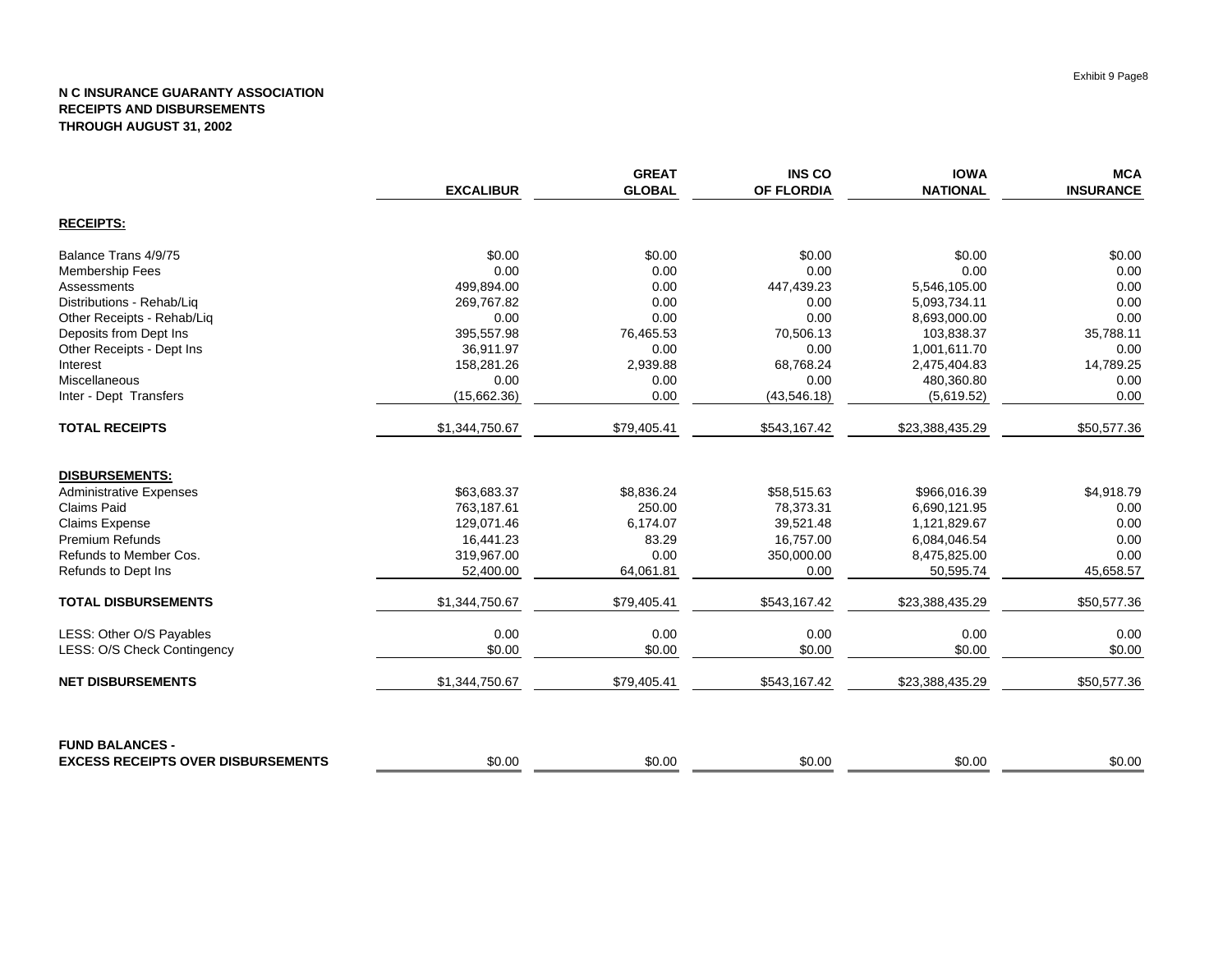|                                           |                  | <b>GREAT</b>  | <b>INS CO</b>     | <b>IOWA</b>     | <b>MCA</b>       |
|-------------------------------------------|------------------|---------------|-------------------|-----------------|------------------|
|                                           | <b>EXCALIBUR</b> | <b>GLOBAL</b> | <b>OF FLORDIA</b> | <b>NATIONAL</b> | <b>INSURANCE</b> |
| <b>RECEIPTS:</b>                          |                  |               |                   |                 |                  |
| Balance Trans 4/9/75                      | \$0.00           | \$0.00        | \$0.00            | \$0.00          | \$0.00           |
| <b>Membership Fees</b>                    | 0.00             | 0.00          | 0.00              | 0.00            | 0.00             |
| Assessments                               | 499,894.00       | 0.00          | 447,439.23        | 5,546,105.00    | 0.00             |
| Distributions - Rehab/Liq                 | 269,767.82       | 0.00          | 0.00              | 5,093,734.11    | 0.00             |
| Other Receipts - Rehab/Liq                | 0.00             | 0.00          | 0.00              | 8,693,000.00    | 0.00             |
| Deposits from Dept Ins                    | 395,557.98       | 76,465.53     | 70,506.13         | 103,838.37      | 35,788.11        |
| Other Receipts - Dept Ins                 | 36,911.97        | 0.00          | 0.00              | 1,001,611.70    | 0.00             |
| Interest                                  | 158,281.26       | 2,939.88      | 68,768.24         | 2,475,404.83    | 14,789.25        |
| Miscellaneous                             | 0.00             | 0.00          | 0.00              | 480,360.80      | 0.00             |
| Inter - Dept Transfers                    | (15,662.36)      | 0.00          | (43,546.18)       | (5,619.52)      | 0.00             |
| <b>TOTAL RECEIPTS</b>                     | \$1,344,750.67   | \$79,405.41   | \$543,167.42      | \$23,388,435.29 | \$50,577.36      |
| <b>DISBURSEMENTS:</b>                     |                  |               |                   |                 |                  |
| <b>Administrative Expenses</b>            | \$63,683.37      | \$8,836.24    | \$58,515.63       | \$966,016.39    | \$4,918.79       |
| <b>Claims Paid</b>                        | 763,187.61       | 250.00        | 78,373.31         | 6,690,121.95    | 0.00             |
| <b>Claims Expense</b>                     | 129,071.46       | 6,174.07      | 39,521.48         | 1,121,829.67    | 0.00             |
| <b>Premium Refunds</b>                    | 16,441.23        | 83.29         | 16,757.00         | 6,084,046.54    | 0.00             |
| Refunds to Member Cos.                    | 319,967.00       | 0.00          | 350,000.00        | 8,475,825.00    | 0.00             |
| Refunds to Dept Ins                       | 52,400.00        | 64,061.81     | 0.00              | 50,595.74       | 45,658.57        |
| <b>TOTAL DISBURSEMENTS</b>                | \$1,344,750.67   | \$79,405.41   | \$543,167.42      | \$23,388,435.29 | \$50,577.36      |
| LESS: Other O/S Payables                  | 0.00             | 0.00          | 0.00              | 0.00            | 0.00             |
| LESS: O/S Check Contingency               | \$0.00           | \$0.00        | \$0.00            | \$0.00          | \$0.00           |
| <b>NET DISBURSEMENTS</b>                  | \$1,344,750.67   | \$79,405.41   | \$543,167.42      | \$23,388,435.29 | \$50,577.36      |
| <b>FUND BALANCES -</b>                    |                  |               |                   |                 |                  |
| <b>EXCESS RECEIPTS OVER DISBURSEMENTS</b> | \$0.00           | \$0.00        | \$0.00            | \$0.00          | \$0.00           |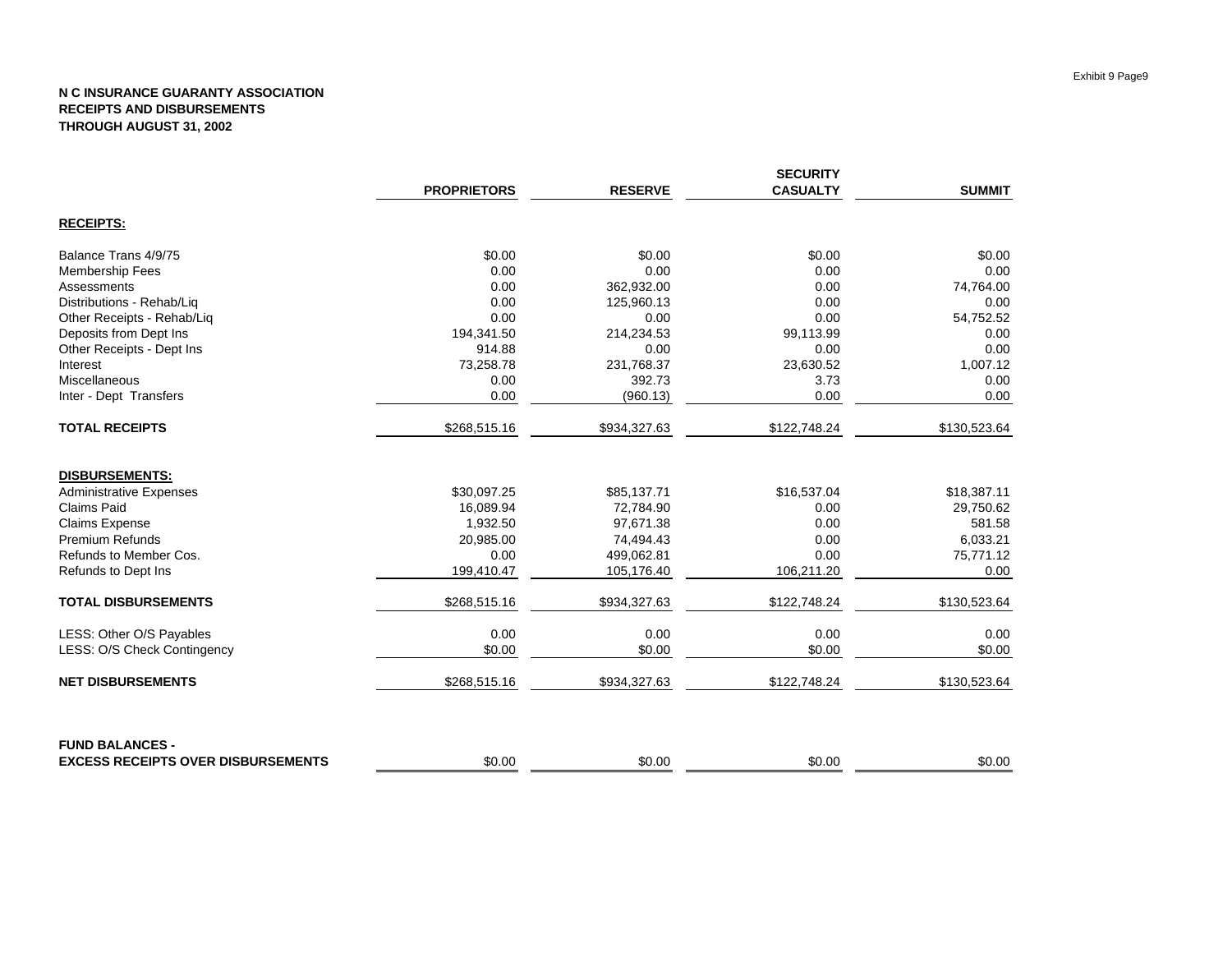|                                           | <b>SECURITY</b>    |                |                 |               |
|-------------------------------------------|--------------------|----------------|-----------------|---------------|
|                                           | <b>PROPRIETORS</b> | <b>RESERVE</b> | <b>CASUALTY</b> | <b>SUMMIT</b> |
| <b>RECEIPTS:</b>                          |                    |                |                 |               |
| Balance Trans 4/9/75                      | \$0.00             | \$0.00         | \$0.00          | \$0.00        |
| <b>Membership Fees</b>                    | 0.00               | 0.00           | 0.00            | 0.00          |
| Assessments                               | 0.00               | 362,932.00     | 0.00            | 74,764.00     |
| Distributions - Rehab/Liq                 | 0.00               | 125,960.13     | 0.00            | 0.00          |
| Other Receipts - Rehab/Liq                | 0.00               | 0.00           | 0.00            | 54,752.52     |
| Deposits from Dept Ins                    | 194,341.50         | 214,234.53     | 99,113.99       | 0.00          |
| Other Receipts - Dept Ins                 | 914.88             | 0.00           | 0.00            | 0.00          |
| Interest                                  | 73,258.78          | 231,768.37     | 23,630.52       | 1,007.12      |
| Miscellaneous                             | 0.00               | 392.73         | 3.73            | 0.00          |
| Inter - Dept Transfers                    | 0.00               | (960.13)       | 0.00            | 0.00          |
| <b>TOTAL RECEIPTS</b>                     | \$268,515.16       | \$934,327.63   | \$122,748.24    | \$130,523.64  |
| <b>DISBURSEMENTS:</b>                     |                    |                |                 |               |
| <b>Administrative Expenses</b>            | \$30,097.25        | \$85,137.71    | \$16,537.04     | \$18,387.11   |
| <b>Claims Paid</b>                        | 16,089.94          | 72,784.90      | 0.00            | 29,750.62     |
| <b>Claims Expense</b>                     | 1,932.50           | 97,671.38      | 0.00            | 581.58        |
| <b>Premium Refunds</b>                    | 20,985.00          | 74,494.43      | 0.00            | 6,033.21      |
| Refunds to Member Cos.                    | 0.00               | 499,062.81     | 0.00            | 75,771.12     |
| Refunds to Dept Ins                       | 199,410.47         | 105,176.40     | 106,211.20      | 0.00          |
| <b>TOTAL DISBURSEMENTS</b>                | \$268,515.16       | \$934,327.63   | \$122,748.24    | \$130,523.64  |
| LESS: Other O/S Payables                  | 0.00               | 0.00           | 0.00            | 0.00          |
| LESS: O/S Check Contingency               | \$0.00             | \$0.00         | \$0.00          | \$0.00        |
| <b>NET DISBURSEMENTS</b>                  | \$268,515.16       | \$934,327.63   | \$122,748.24    | \$130,523.64  |
| <b>FUND BALANCES -</b>                    |                    |                |                 |               |
| <b>EXCESS RECEIPTS OVER DISBURSEMENTS</b> | \$0.00             | \$0.00         | \$0.00          | \$0.00        |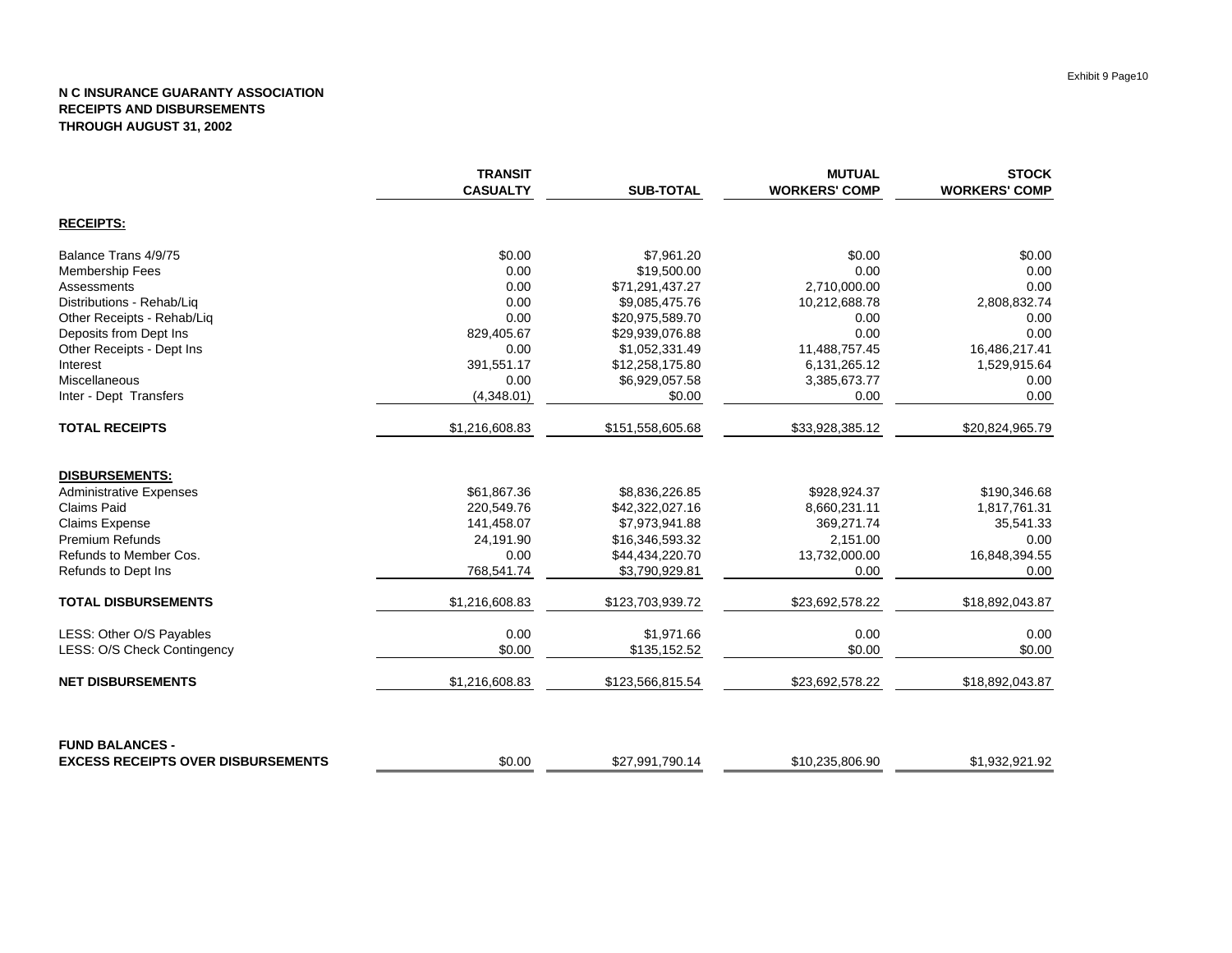|                                           | <b>TRANSIT</b><br><b>CASUALTY</b> | <b>SUB-TOTAL</b> | <b>MUTUAL</b><br><b>WORKERS' COMP</b> | <b>STOCK</b><br><b>WORKERS' COMP</b> |
|-------------------------------------------|-----------------------------------|------------------|---------------------------------------|--------------------------------------|
| <b>RECEIPTS:</b>                          |                                   |                  |                                       |                                      |
| Balance Trans 4/9/75                      | \$0.00                            | \$7,961.20       | \$0.00                                | \$0.00                               |
| Membership Fees                           | 0.00                              | \$19,500.00      | 0.00                                  | 0.00                                 |
| Assessments                               | 0.00                              | \$71,291,437.27  | 2,710,000.00                          | 0.00                                 |
| Distributions - Rehab/Lig                 | 0.00                              | \$9,085,475.76   | 10,212,688.78                         | 2,808,832.74                         |
| Other Receipts - Rehab/Liq                | 0.00                              | \$20,975,589.70  | 0.00                                  | 0.00                                 |
| Deposits from Dept Ins                    | 829,405.67                        | \$29,939,076.88  | 0.00                                  | 0.00                                 |
| Other Receipts - Dept Ins                 | 0.00                              | \$1,052,331.49   | 11,488,757.45                         | 16,486,217.41                        |
| Interest                                  | 391,551.17                        | \$12,258,175.80  | 6,131,265.12                          | 1,529,915.64                         |
| Miscellaneous                             | 0.00                              | \$6,929,057.58   | 3,385,673.77                          | 0.00                                 |
| Inter - Dept Transfers                    | (4,348.01)                        | \$0.00           | 0.00                                  | 0.00                                 |
| <b>TOTAL RECEIPTS</b>                     | \$1,216,608.83                    | \$151,558,605.68 | \$33,928,385.12                       | \$20,824,965.79                      |
| <b>DISBURSEMENTS:</b>                     |                                   |                  |                                       |                                      |
| <b>Administrative Expenses</b>            | \$61.867.36                       | \$8,836,226.85   | \$928.924.37                          | \$190,346.68                         |
| <b>Claims Paid</b>                        | 220,549.76                        | \$42,322,027.16  | 8,660,231.11                          | 1,817,761.31                         |
| <b>Claims Expense</b>                     | 141,458.07                        | \$7,973,941.88   | 369,271.74                            | 35,541.33                            |
| <b>Premium Refunds</b>                    | 24,191.90                         | \$16,346,593.32  | 2,151.00                              | 0.00                                 |
| Refunds to Member Cos.                    | 0.00                              | \$44,434,220.70  | 13,732,000.00                         | 16,848,394.55                        |
| Refunds to Dept Ins                       | 768,541.74                        | \$3,790,929.81   | 0.00                                  | 0.00                                 |
| <b>TOTAL DISBURSEMENTS</b>                | \$1,216,608.83                    | \$123,703,939.72 | \$23,692,578.22                       | \$18,892,043.87                      |
| LESS: Other O/S Payables                  | 0.00                              | \$1,971.66       | 0.00                                  | 0.00                                 |
| LESS: O/S Check Contingency               | \$0.00                            | \$135,152.52     | \$0.00                                | \$0.00                               |
| <b>NET DISBURSEMENTS</b>                  | \$1,216,608.83                    | \$123,566,815.54 | \$23,692,578.22                       | \$18,892,043.87                      |
| <b>FUND BALANCES -</b>                    |                                   |                  |                                       |                                      |
| <b>EXCESS RECEIPTS OVER DISBURSEMENTS</b> | \$0.00                            | \$27,991,790.14  | \$10,235,806.90                       | \$1,932,921.92                       |